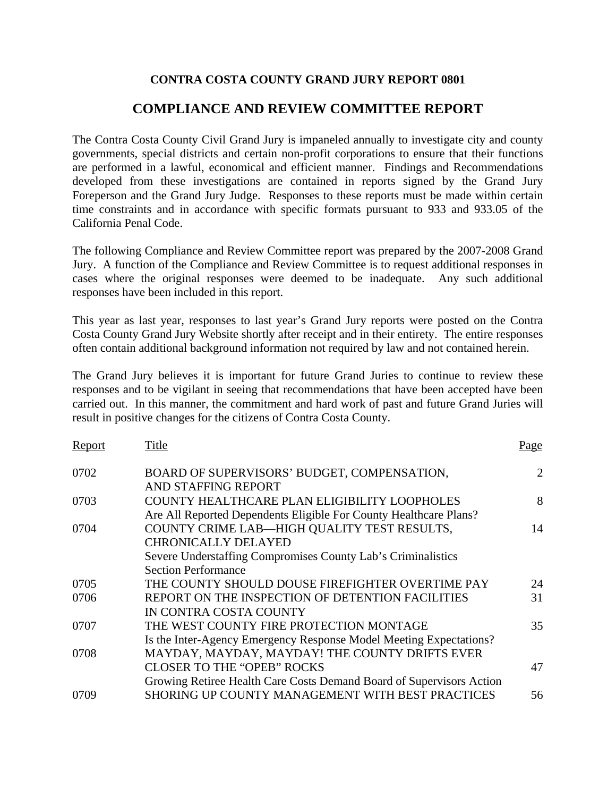# **CONTRA COSTA COUNTY GRAND JURY REPORT 0801**

# **COMPLIANCE AND REVIEW COMMITTEE REPORT**

The Contra Costa County Civil Grand Jury is impaneled annually to investigate city and county governments, special districts and certain non-profit corporations to ensure that their functions are performed in a lawful, economical and efficient manner. Findings and Recommendations developed from these investigations are contained in reports signed by the Grand Jury Foreperson and the Grand Jury Judge. Responses to these reports must be made within certain time constraints and in accordance with specific formats pursuant to 933 and 933.05 of the California Penal Code.

The following Compliance and Review Committee report was prepared by the 2007-2008 Grand Jury. A function of the Compliance and Review Committee is to request additional responses in cases where the original responses were deemed to be inadequate. Any such additional responses have been included in this report.

This year as last year, responses to last year's Grand Jury reports were posted on the Contra Costa County Grand Jury Website shortly after receipt and in their entirety. The entire responses often contain additional background information not required by law and not contained herein.

The Grand Jury believes it is important for future Grand Juries to continue to review these responses and to be vigilant in seeing that recommendations that have been accepted have been carried out. In this manner, the commitment and hard work of past and future Grand Juries will result in positive changes for the citizens of Contra Costa County.

| Report | Title                                                                                                             | Page |
|--------|-------------------------------------------------------------------------------------------------------------------|------|
| 0702   | BOARD OF SUPERVISORS' BUDGET, COMPENSATION,<br>AND STAFFING REPORT                                                | 2    |
| 0703   | COUNTY HEALTHCARE PLAN ELIGIBILITY LOOPHOLES<br>Are All Reported Dependents Eligible For County Healthcare Plans? | 8    |
| 0704   | COUNTY CRIME LAB-HIGH QUALITY TEST RESULTS.<br><b>CHRONICALLY DELAYED</b>                                         | 14   |
|        | Severe Understaffing Compromises County Lab's Criminalistics<br><b>Section Performance</b>                        |      |
| 0705   | THE COUNTY SHOULD DOUSE FIREFIGHTER OVERTIME PAY                                                                  | 24   |
| 0706   | REPORT ON THE INSPECTION OF DETENTION FACILITIES<br>IN CONTRA COSTA COUNTY                                        | 31   |
| 0707   | THE WEST COUNTY FIRE PROTECTION MONTAGE<br>Is the Inter-Agency Emergency Response Model Meeting Expectations?     | 35   |
| 0708   | MAYDAY, MAYDAY, MAYDAY! THE COUNTY DRIFTS EVER                                                                    |      |
|        | <b>CLOSER TO THE "OPEB" ROCKS</b><br>Growing Retiree Health Care Costs Demand Board of Supervisors Action         | 47   |
| 0709   | SHORING UP COUNTY MANAGEMENT WITH BEST PRACTICES                                                                  | 56   |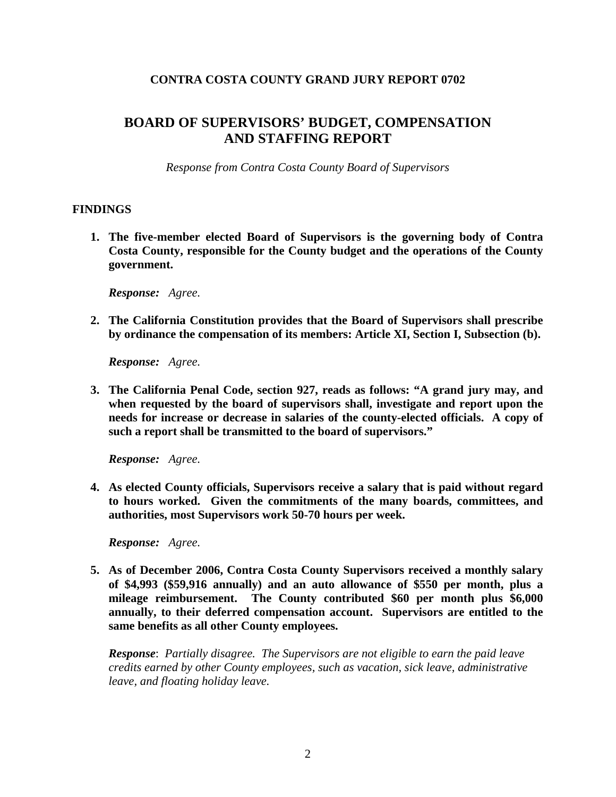# **CONTRA COSTA COUNTY GRAND JURY REPORT 0702**

# **BOARD OF SUPERVISORS' BUDGET, COMPENSATION AND STAFFING REPORT**

*Response from Contra Costa County Board of Supervisors* 

#### **FINDINGS**

**1. The five-member elected Board of Supervisors is the governing body of Contra Costa County, responsible for the County budget and the operations of the County government.** 

*Response: Agree.* 

**2. The California Constitution provides that the Board of Supervisors shall prescribe by ordinance the compensation of its members: Article XI, Section I, Subsection (b).** 

*Response: Agree.* 

**3. The California Penal Code, section 927, reads as follows: "A grand jury may, and when requested by the board of supervisors shall, investigate and report upon the needs for increase or decrease in salaries of the county-elected officials. A copy of such a report shall be transmitted to the board of supervisors."** 

*Response: Agree.* 

**4. As elected County officials, Supervisors receive a salary that is paid without regard to hours worked. Given the commitments of the many boards, committees, and authorities, most Supervisors work 50-70 hours per week.** 

*Response: Agree.* 

**5. As of December 2006, Contra Costa County Supervisors received a monthly salary of \$4,993 (\$59,916 annually) and an auto allowance of \$550 per month, plus a mileage reimbursement. The County contributed \$60 per month plus \$6,000 annually, to their deferred compensation account. Supervisors are entitled to the same benefits as all other County employees.** 

*Response*: *Partially disagree. The Supervisors are not eligible to earn the paid leave credits earned by other County employees, such as vacation, sick leave, administrative leave, and floating holiday leave.*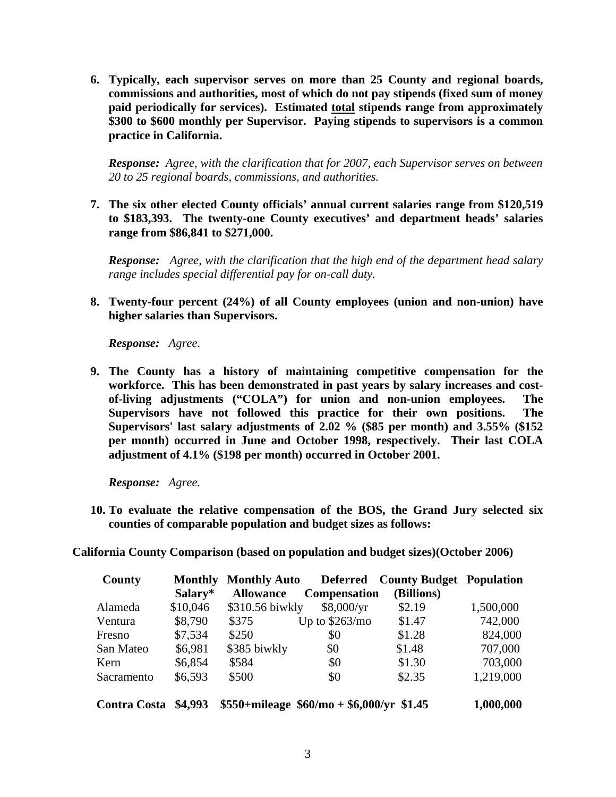**6. Typically, each supervisor serves on more than 25 County and regional boards, commissions and authorities, most of which do not pay stipends (fixed sum of money paid periodically for services). Estimated total stipends range from approximately \$300 to \$600 monthly per Supervisor. Paying stipends to supervisors is a common practice in California.** 

*Response: Agree, with the clarification that for 2007, each Supervisor serves on between 20 to 25 regional boards, commissions, and authorities.* 

**7. The six other elected County officials' annual current salaries range from \$120,519 to \$183,393. The twenty-one County executives' and department heads' salaries range from \$86,841 to \$271,000.** 

*Response: Agree, with the clarification that the high end of the department head salary range includes special differential pay for on-call duty.* 

**8. Twenty-four percent (24%) of all County employees (union and non-union) have higher salaries than Supervisors.** 

*Response: Agree.*

**9. The County has a history of maintaining competitive compensation for the workforce. This has been demonstrated in past years by salary increases and costof-living adjustments ("COLA") for union and non-union employees. The Supervisors have not followed this practice for their own positions. The Supervisors' last salary adjustments of 2.02 % (\$85 per month) and 3.55% (\$152 per month) occurred in June and October 1998, respectively. Their last COLA adjustment of 4.1% (\$198 per month) occurred in October 2001.** 

*Response: Agree.* 

**10. To evaluate the relative compensation of the BOS, the Grand Jury selected six counties of comparable population and budget sizes as follows:** 

**California County Comparison (based on population and budget sizes)(October 2006)** 

| County              | <b>Monthly</b> | <b>Monthly Auto</b> | <b>Deferred</b>                             | <b>County Budget Population</b> |           |
|---------------------|----------------|---------------------|---------------------------------------------|---------------------------------|-----------|
|                     | Salary*        | <b>Allowance</b>    | <b>Compensation</b>                         | (Billions)                      |           |
| Alameda             | \$10,046       | \$310.56 biwkly     | \$8,000/yr                                  | \$2.19                          | 1,500,000 |
| Ventura             | \$8,790        | \$375               | Up to $$263/mol$                            | \$1.47                          | 742,000   |
| Fresno              | \$7,534        | \$250               | \$0                                         | \$1.28                          | 824,000   |
| San Mateo           | \$6,981        | \$385 biwkly        | \$0                                         | \$1.48                          | 707,000   |
| Kern                | \$6,854        | \$584               | \$0                                         | \$1.30                          | 703,000   |
| Sacramento          | \$6,593        | \$500               | \$0                                         | \$2.35                          | 1,219,000 |
| <b>Contra Costa</b> | \$4,993        |                     | $$550+mileage \ $60/mo + $6,000/yr \ $1.45$ |                                 | 1,000,000 |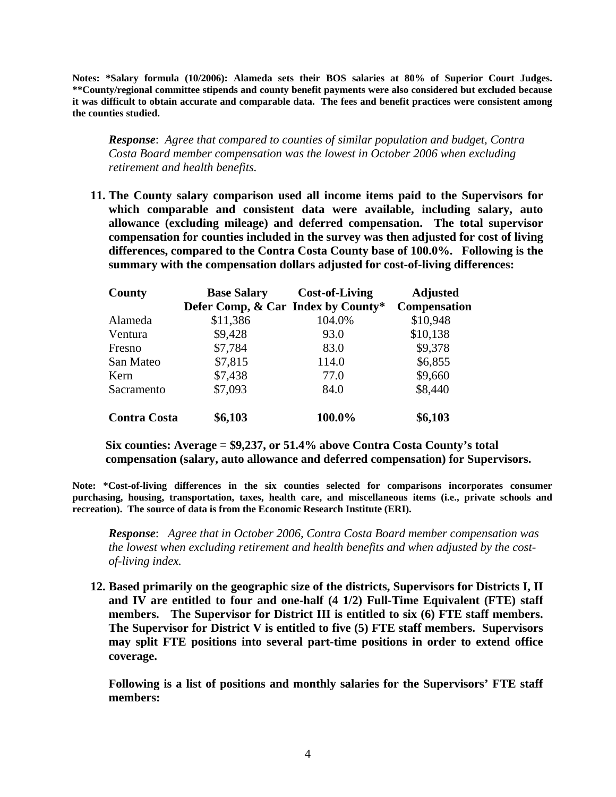**Notes: \*Salary formula (10/2006): Alameda sets their BOS salaries at 80% of Superior Court Judges. \*\*County/regional committee stipends and county benefit payments were also considered but excluded because it was difficult to obtain accurate and comparable data. The fees and benefit practices were consistent among the counties studied.** 

*Response*: *Agree that compared to counties of similar population and budget, Contra Costa Board member compensation was the lowest in October 2006 when excluding retirement and health benefits.* 

**11. The County salary comparison used all income items paid to the Supervisors for which comparable and consistent data were available, including salary, auto allowance (excluding mileage) and deferred compensation. The total supervisor compensation for counties included in the survey was then adjusted for cost of living differences, compared to the Contra Costa County base of 100.0%. Following is the summary with the compensation dollars adjusted for cost-of-living differences:** 

| County              | <b>Base Salary</b>                 | <b>Cost-of-Living</b> | <b>Adjusted</b>     |
|---------------------|------------------------------------|-----------------------|---------------------|
|                     | Defer Comp, & Car Index by County* |                       | <b>Compensation</b> |
| Alameda             | \$11,386                           | 104.0%                | \$10,948            |
| Ventura             | \$9,428                            | 93.0                  | \$10,138            |
| Fresno              | \$7,784                            | 83.0                  | \$9,378             |
| San Mateo           | \$7,815                            | 114.0                 | \$6,855             |
| Kern                | \$7,438                            | 77.0                  | \$9,660             |
| Sacramento          | \$7,093                            | 84.0                  | \$8,440             |
| <b>Contra Costa</b> | \$6,103                            | 100.0%                | \$6,103             |

 **Six counties: Average = \$9,237, or 51.4% above Contra Costa County's total compensation (salary, auto allowance and deferred compensation) for Supervisors.** 

**Note: \*Cost-of-living differences in the six counties selected for comparisons incorporates consumer purchasing, housing, transportation, taxes, health care, and miscellaneous items (i.e., private schools and recreation). The source of data is from the Economic Research Institute (ERI).** 

*Response*: *Agree that in October 2006, Contra Costa Board member compensation was the lowest when excluding retirement and health benefits and when adjusted by the costof-living index.* 

**12. Based primarily on the geographic size of the districts, Supervisors for Districts I, II and IV are entitled to four and one-half (4 1/2) Full-Time Equivalent (FTE) staff members. The Supervisor for District III is entitled to six (6) FTE staff members. The Supervisor for District V is entitled to five (5) FTE staff members. Supervisors may split FTE positions into several part-time positions in order to extend office coverage.** 

**Following is a list of positions and monthly salaries for the Supervisors' FTE staff members:**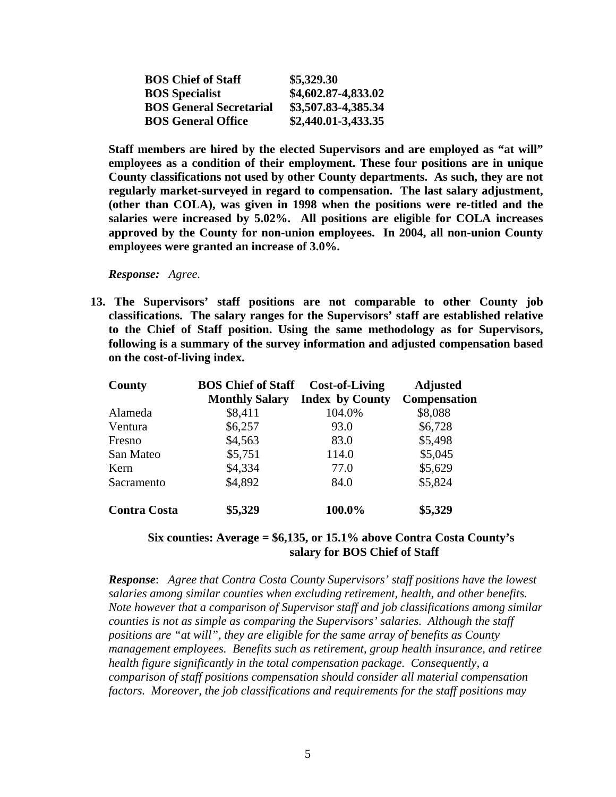| <b>BOS Chief of Staff</b>      | \$5,329.30             |
|--------------------------------|------------------------|
| <b>BOS</b> Specialist          | \$4,602.87-4,833.02    |
| <b>BOS General Secretarial</b> | \$3,507.83-4,385.34    |
| <b>BOS General Office</b>      | $$2,440.01 - 3,433.35$ |

**Staff members are hired by the elected Supervisors and are employed as "at will" employees as a condition of their employment. These four positions are in unique County classifications not used by other County departments. As such, they are not regularly market-surveyed in regard to compensation. The last salary adjustment, (other than COLA), was given in 1998 when the positions were re-titled and the salaries were increased by 5.02%. All positions are eligible for COLA increases approved by the County for non-union employees. In 2004, all non-union County employees were granted an increase of 3.0%.** 

*Response: Agree.* 

**13. The Supervisors' staff positions are not comparable to other County job classifications. The salary ranges for the Supervisors' staff are established relative to the Chief of Staff position. Using the same methodology as for Supervisors, following is a summary of the survey information and adjusted compensation based on the cost-of-living index.** 

| County              | <b>BOS Chief of Staff</b> | <b>Cost-of-Living</b>  | <b>Adjusted</b> |
|---------------------|---------------------------|------------------------|-----------------|
|                     | <b>Monthly Salary</b>     | <b>Index by County</b> | Compensation    |
| Alameda             | \$8,411                   | 104.0%                 | \$8,088         |
| Ventura             | \$6,257                   | 93.0                   | \$6,728         |
| Fresno              | \$4,563                   | 83.0                   | \$5,498         |
| San Mateo           | \$5,751                   | 114.0                  | \$5,045         |
| Kern                | \$4,334                   | 77.0                   | \$5,629         |
| Sacramento          | \$4,892                   | 84.0                   | \$5,824         |
| <b>Contra Costa</b> | \$5,329                   | 100.0%                 | \$5,329         |

#### **Six counties: Average = \$6,135, or 15.1% above Contra Costa County's salary for BOS Chief of Staff**

*Response*: *Agree that Contra Costa County Supervisors' staff positions have the lowest salaries among similar counties when excluding retirement, health, and other benefits. Note however that a comparison of Supervisor staff and job classifications among similar counties is not as simple as comparing the Supervisors' salaries. Although the staff positions are "at will", they are eligible for the same array of benefits as County management employees. Benefits such as retirement, group health insurance, and retiree health figure significantly in the total compensation package. Consequently, a comparison of staff positions compensation should consider all material compensation factors. Moreover, the job classifications and requirements for the staff positions may*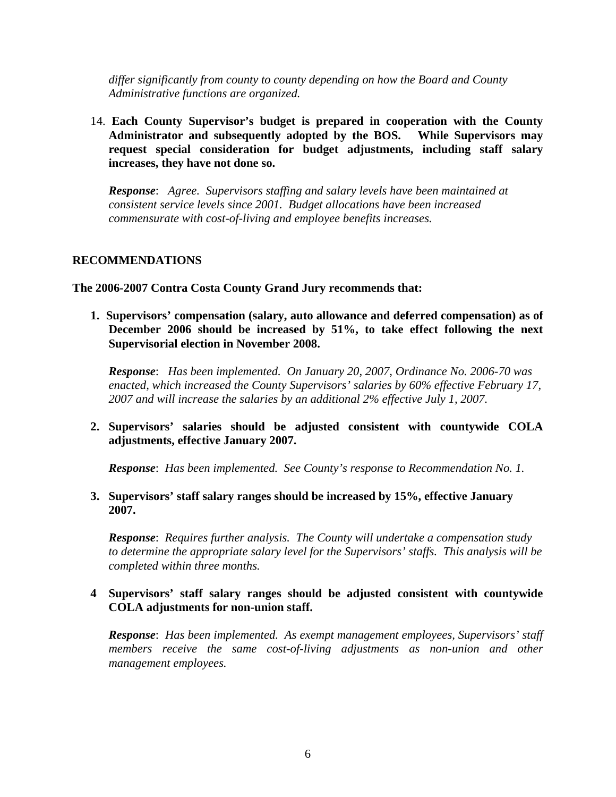*differ significantly from county to county depending on how the Board and County Administrative functions are organized.* 

14. **Each County Supervisor's budget is prepared in cooperation with the County Administrator and subsequently adopted by the BOS. While Supervisors may request special consideration for budget adjustments, including staff salary increases, they have not done so.** 

*Response*: *Agree. Supervisors staffing and salary levels have been maintained at consistent service levels since 2001. Budget allocations have been increased commensurate with cost-of-living and employee benefits increases.* 

#### **RECOMMENDATIONS**

**The 2006-2007 Contra Costa County Grand Jury recommends that:** 

**1. Supervisors' compensation (salary, auto allowance and deferred compensation) as of December 2006 should be increased by 51%, to take effect following the next Supervisorial election in November 2008.** 

*Response*: *Has been implemented. On January 20, 2007, Ordinance No. 2006-70 was enacted, which increased the County Supervisors' salaries by 60% effective February 17, 2007 and will increase the salaries by an additional 2% effective July 1, 2007.*

**2. Supervisors' salaries should be adjusted consistent with countywide COLA adjustments, effective January 2007.** 

*Response*: *Has been implemented. See County's response to Recommendation No. 1.* 

**3. Supervisors' staff salary ranges should be increased by 15%, effective January 2007.** 

*Response*: *Requires further analysis. The County will undertake a compensation study to determine the appropriate salary level for the Supervisors' staffs. This analysis will be completed within three months.* 

#### **4 Supervisors' staff salary ranges should be adjusted consistent with countywide COLA adjustments for non-union staff.**

*Response*: *Has been implemented. As exempt management employees, Supervisors' staff members receive the same cost-of-living adjustments as non-union and other management employees.*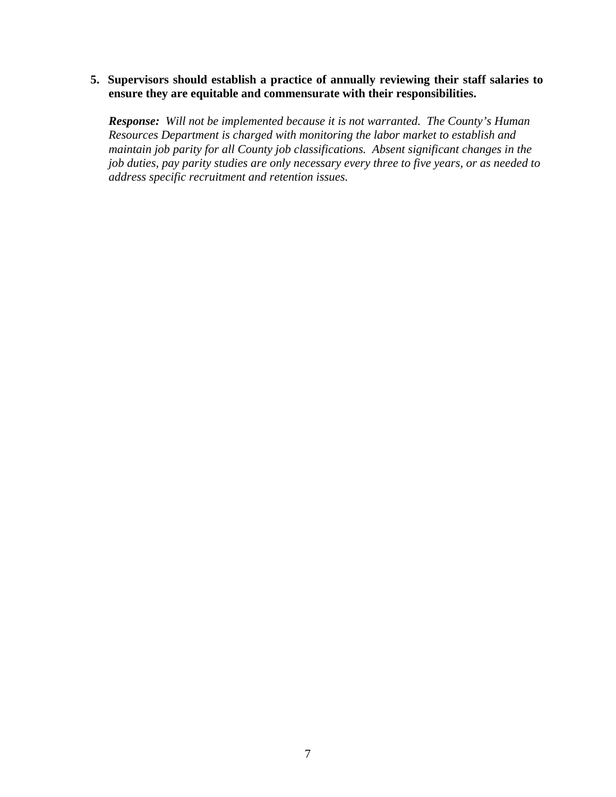#### **5. Supervisors should establish a practice of annually reviewing their staff salaries to ensure they are equitable and commensurate with their responsibilities.**

*Response: Will not be implemented because it is not warranted. The County's Human Resources Department is charged with monitoring the labor market to establish and maintain job parity for all County job classifications. Absent significant changes in the job duties, pay parity studies are only necessary every three to five years, or as needed to address specific recruitment and retention issues.*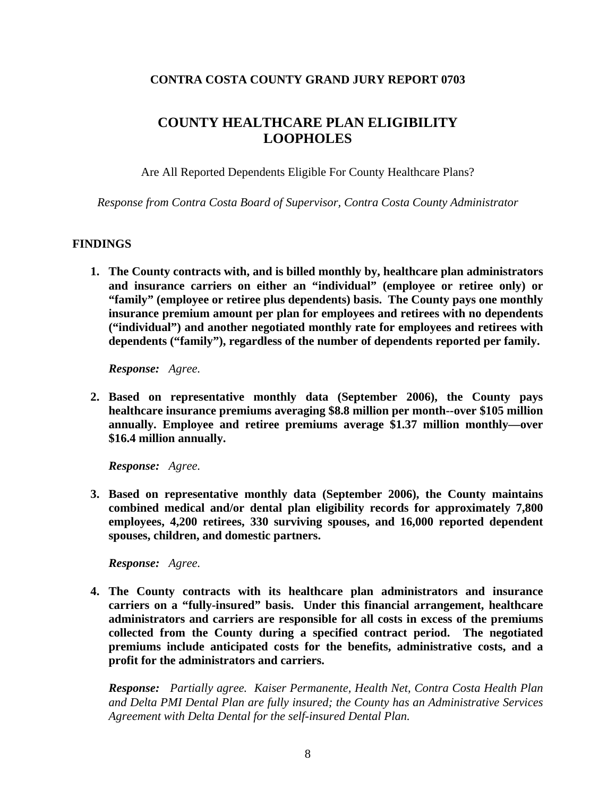# **CONTRA COSTA COUNTY GRAND JURY REPORT 0703**

# **COUNTY HEALTHCARE PLAN ELIGIBILITY LOOPHOLES**

Are All Reported Dependents Eligible For County Healthcare Plans?

*Response from Contra Costa Board of Supervisor, Contra Costa County Administrator* 

# **FINDINGS**

**1. The County contracts with, and is billed monthly by, healthcare plan administrators and insurance carriers on either an "individual" (employee or retiree only) or "family" (employee or retiree plus dependents) basis. The County pays one monthly insurance premium amount per plan for employees and retirees with no dependents ("individual") and another negotiated monthly rate for employees and retirees with dependents ("family"), regardless of the number of dependents reported per family.** 

*Response: Agree.* 

**2. Based on representative monthly data (September 2006), the County pays healthcare insurance premiums averaging \$8.8 million per month--over \$105 million annually. Employee and retiree premiums average \$1.37 million monthly—over \$16.4 million annually.** 

*Response: Agree.* 

**3. Based on representative monthly data (September 2006), the County maintains combined medical and/or dental plan eligibility records for approximately 7,800 employees, 4,200 retirees, 330 surviving spouses, and 16,000 reported dependent spouses, children, and domestic partners.** 

*Response: Agree.* 

**4. The County contracts with its healthcare plan administrators and insurance carriers on a "fully-insured" basis. Under this financial arrangement, healthcare administrators and carriers are responsible for all costs in excess of the premiums collected from the County during a specified contract period. The negotiated premiums include anticipated costs for the benefits, administrative costs, and a profit for the administrators and carriers.** 

*Response: Partially agree. Kaiser Permanente, Health Net, Contra Costa Health Plan and Delta PMI Dental Plan are fully insured; the County has an Administrative Services Agreement with Delta Dental for the self-insured Dental Plan.*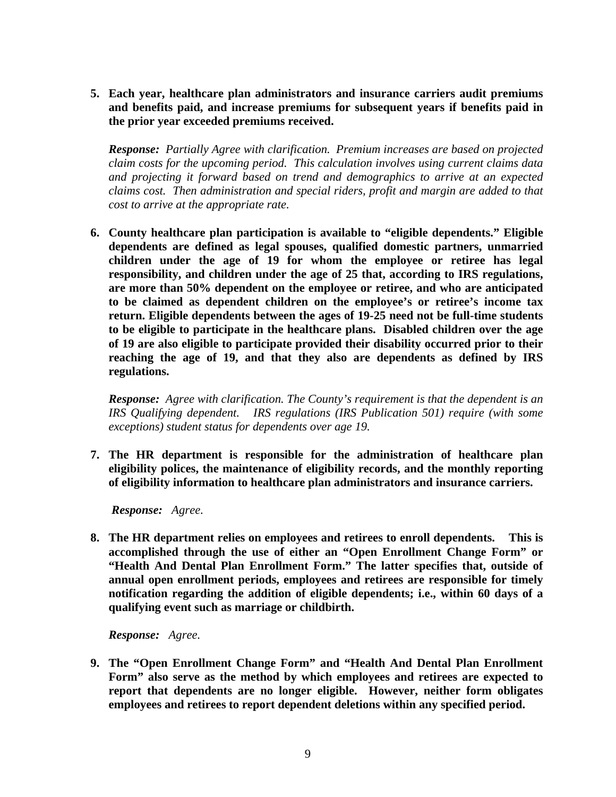**5. Each year, healthcare plan administrators and insurance carriers audit premiums and benefits paid, and increase premiums for subsequent years if benefits paid in the prior year exceeded premiums received.** 

*Response: Partially Agree with clarification. Premium increases are based on projected claim costs for the upcoming period. This calculation involves using current claims data and projecting it forward based on trend and demographics to arrive at an expected claims cost. Then administration and special riders, profit and margin are added to that cost to arrive at the appropriate rate.*

**6. County healthcare plan participation is available to "eligible dependents." Eligible dependents are defined as legal spouses, qualified domestic partners, unmarried children under the age of 19 for whom the employee or retiree has legal responsibility, and children under the age of 25 that, according to IRS regulations, are more than 50% dependent on the employee or retiree, and who are anticipated to be claimed as dependent children on the employee's or retiree's income tax return. Eligible dependents between the ages of 19-25 need not be full-time students to be eligible to participate in the healthcare plans. Disabled children over the age of 19 are also eligible to participate provided their disability occurred prior to their reaching the age of 19, and that they also are dependents as defined by IRS regulations.** 

*Response: Agree with clarification. The County's requirement is that the dependent is an IRS Qualifying dependent. IRS regulations (IRS Publication 501) require (with some exceptions) student status for dependents over age 19.*

**7. The HR department is responsible for the administration of healthcare plan eligibility polices, the maintenance of eligibility records, and the monthly reporting of eligibility information to healthcare plan administrators and insurance carriers.** 

*Response: Agree.* 

**8. The HR department relies on employees and retirees to enroll dependents. This is accomplished through the use of either an "Open Enrollment Change Form" or "Health And Dental Plan Enrollment Form." The latter specifies that, outside of annual open enrollment periods, employees and retirees are responsible for timely notification regarding the addition of eligible dependents; i.e., within 60 days of a qualifying event such as marriage or childbirth.** 

*Response: Agree.* 

**9. The "Open Enrollment Change Form" and "Health And Dental Plan Enrollment Form" also serve as the method by which employees and retirees are expected to report that dependents are no longer eligible. However, neither form obligates employees and retirees to report dependent deletions within any specified period.**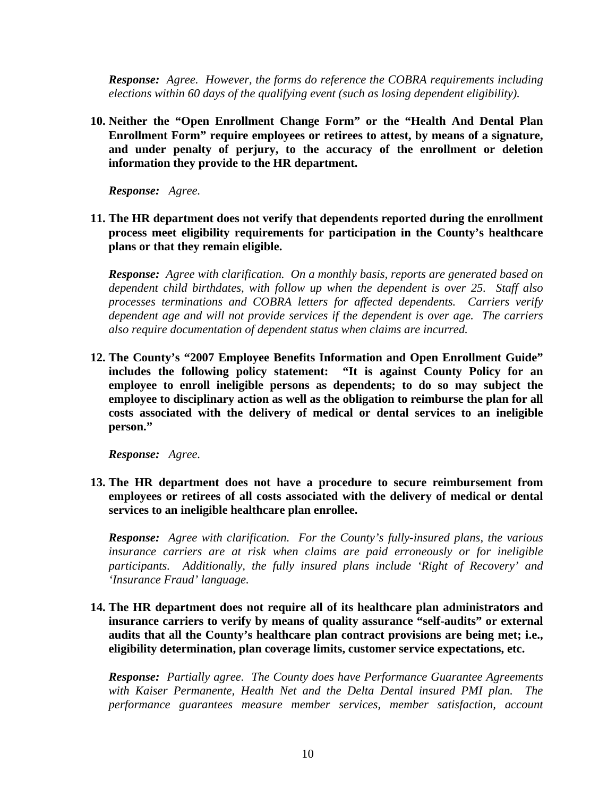*Response: Agree. However, the forms do reference the COBRA requirements including elections within 60 days of the qualifying event (such as losing dependent eligibility).*

**10. Neither the "Open Enrollment Change Form" or the "Health And Dental Plan Enrollment Form" require employees or retirees to attest, by means of a signature, and under penalty of perjury, to the accuracy of the enrollment or deletion information they provide to the HR department.** 

*Response: Agree.* 

**11. The HR department does not verify that dependents reported during the enrollment process meet eligibility requirements for participation in the County's healthcare plans or that they remain eligible.** 

*Response: Agree with clarification. On a monthly basis, reports are generated based on dependent child birthdates, with follow up when the dependent is over 25. Staff also processes terminations and COBRA letters for affected dependents. Carriers verify dependent age and will not provide services if the dependent is over age. The carriers also require documentation of dependent status when claims are incurred.*

**12. The County's "2007 Employee Benefits Information and Open Enrollment Guide" includes the following policy statement: "It is against County Policy for an employee to enroll ineligible persons as dependents; to do so may subject the employee to disciplinary action as well as the obligation to reimburse the plan for all costs associated with the delivery of medical or dental services to an ineligible person."** 

*Response: Agree.* 

**13. The HR department does not have a procedure to secure reimbursement from employees or retirees of all costs associated with the delivery of medical or dental services to an ineligible healthcare plan enrollee.** 

*Response: Agree with clarification. For the County's fully-insured plans, the various insurance carriers are at risk when claims are paid erroneously or for ineligible participants. Additionally, the fully insured plans include 'Right of Recovery' and 'Insurance Fraud' language.*

**14. The HR department does not require all of its healthcare plan administrators and insurance carriers to verify by means of quality assurance "self-audits" or external audits that all the County's healthcare plan contract provisions are being met; i.e., eligibility determination, plan coverage limits, customer service expectations, etc.** 

*Response: Partially agree. The County does have Performance Guarantee Agreements with Kaiser Permanente, Health Net and the Delta Dental insured PMI plan. The performance guarantees measure member services, member satisfaction, account*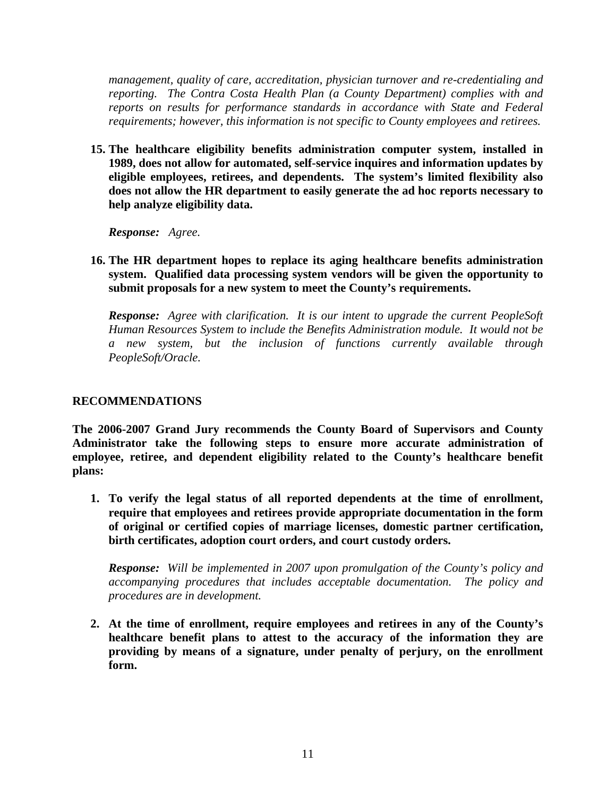*management, quality of care, accreditation, physician turnover and re-credentialing and reporting. The Contra Costa Health Plan (a County Department) complies with and reports on results for performance standards in accordance with State and Federal requirements; however, this information is not specific to County employees and retirees.*

**15. The healthcare eligibility benefits administration computer system, installed in 1989, does not allow for automated, self-service inquires and information updates by eligible employees, retirees, and dependents. The system's limited flexibility also does not allow the HR department to easily generate the ad hoc reports necessary to help analyze eligibility data.** 

*Response: Agree.* 

**16. The HR department hopes to replace its aging healthcare benefits administration system. Qualified data processing system vendors will be given the opportunity to submit proposals for a new system to meet the County's requirements.** 

*Response: Agree with clarification. It is our intent to upgrade the current PeopleSoft Human Resources System to include the Benefits Administration module. It would not be a new system, but the inclusion of functions currently available through PeopleSoft/Oracle.* 

#### **RECOMMENDATIONS**

**The 2006-2007 Grand Jury recommends the County Board of Supervisors and County Administrator take the following steps to ensure more accurate administration of employee, retiree, and dependent eligibility related to the County's healthcare benefit plans:** 

**1. To verify the legal status of all reported dependents at the time of enrollment, require that employees and retirees provide appropriate documentation in the form of original or certified copies of marriage licenses, domestic partner certification, birth certificates, adoption court orders, and court custody orders.** 

*Response: Will be implemented in 2007 upon promulgation of the County's policy and accompanying procedures that includes acceptable documentation. The policy and procedures are in development.* 

**2. At the time of enrollment, require employees and retirees in any of the County's healthcare benefit plans to attest to the accuracy of the information they are providing by means of a signature, under penalty of perjury, on the enrollment form.**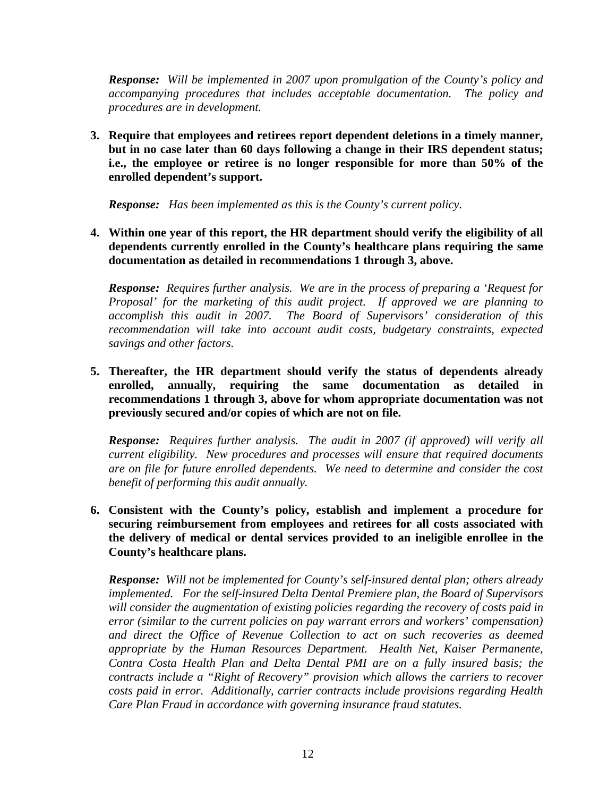*Response: Will be implemented in 2007 upon promulgation of the County's policy and accompanying procedures that includes acceptable documentation. The policy and procedures are in development.*

**3. Require that employees and retirees report dependent deletions in a timely manner, but in no case later than 60 days following a change in their IRS dependent status; i.e., the employee or retiree is no longer responsible for more than 50% of the enrolled dependent's support.** 

*Response: Has been implemented as this is the County's current policy.* 

**4. Within one year of this report, the HR department should verify the eligibility of all dependents currently enrolled in the County's healthcare plans requiring the same documentation as detailed in recommendations 1 through 3, above.** 

*Response: Requires further analysis. We are in the process of preparing a 'Request for Proposal' for the marketing of this audit project. If approved we are planning to accomplish this audit in 2007. The Board of Supervisors' consideration of this recommendation will take into account audit costs, budgetary constraints, expected savings and other factors.* 

**5. Thereafter, the HR department should verify the status of dependents already enrolled, annually, requiring the same documentation as detailed in recommendations 1 through 3, above for whom appropriate documentation was not previously secured and/or copies of which are not on file.** 

*Response: Requires further analysis. The audit in 2007 (if approved) will verify all current eligibility. New procedures and processes will ensure that required documents are on file for future enrolled dependents. We need to determine and consider the cost benefit of performing this audit annually.* 

**6. Consistent with the County's policy, establish and implement a procedure for securing reimbursement from employees and retirees for all costs associated with the delivery of medical or dental services provided to an ineligible enrollee in the County's healthcare plans.** 

*Response: Will not be implemented for County's self-insured dental plan; others already implemented. For the self-insured Delta Dental Premiere plan, the Board of Supervisors will consider the augmentation of existing policies regarding the recovery of costs paid in error (similar to the current policies on pay warrant errors and workers' compensation) and direct the Office of Revenue Collection to act on such recoveries as deemed appropriate by the Human Resources Department. Health Net, Kaiser Permanente, Contra Costa Health Plan and Delta Dental PMI are on a fully insured basis; the contracts include a "Right of Recovery" provision which allows the carriers to recover costs paid in error. Additionally, carrier contracts include provisions regarding Health Care Plan Fraud in accordance with governing insurance fraud statutes.*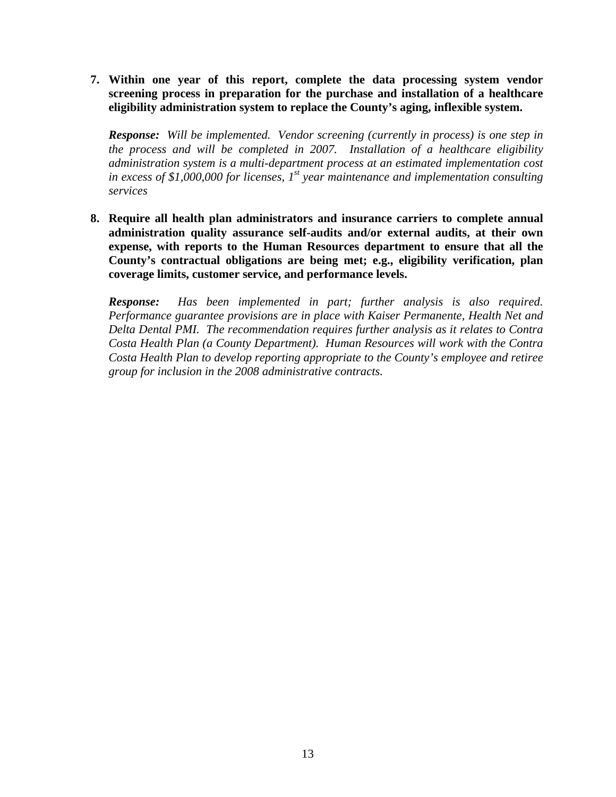**7. Within one year of this report, complete the data processing system vendor screening process in preparation for the purchase and installation of a healthcare eligibility administration system to replace the County's aging, inflexible system.** 

*Response: Will be implemented. Vendor screening (currently in process) is one step in the process and will be completed in 2007. Installation of a healthcare eligibility administration system is a multi-department process at an estimated implementation cost in excess of \$1,000,000 for licenses, 1st year maintenance and implementation consulting services*

**8. Require all health plan administrators and insurance carriers to complete annual administration quality assurance self-audits and/or external audits, at their own expense, with reports to the Human Resources department to ensure that all the County's contractual obligations are being met; e.g., eligibility verification, plan coverage limits, customer service, and performance levels.** 

*Response: Has been implemented in part; further analysis is also required. Performance guarantee provisions are in place with Kaiser Permanente, Health Net and Delta Dental PMI. The recommendation requires further analysis as it relates to Contra Costa Health Plan (a County Department). Human Resources will work with the Contra Costa Health Plan to develop reporting appropriate to the County's employee and retiree group for inclusion in the 2008 administrative contracts.*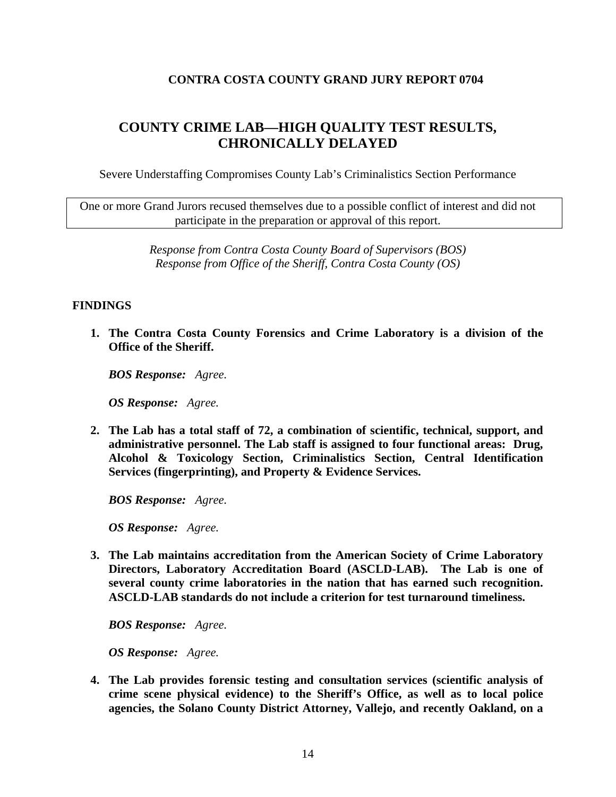# **CONTRA COSTA COUNTY GRAND JURY REPORT 0704**

# **COUNTY CRIME LAB—HIGH QUALITY TEST RESULTS, CHRONICALLY DELAYED**

Severe Understaffing Compromises County Lab's Criminalistics Section Performance

One or more Grand Jurors recused themselves due to a possible conflict of interest and did not participate in the preparation or approval of this report.

> *Response from Contra Costa County Board of Supervisors (BOS) Response from Office of the Sheriff, Contra Costa County (OS)*

#### **FINDINGS**

**1. The Contra Costa County Forensics and Crime Laboratory is a division of the Office of the Sheriff.** 

*BOS Response: Agree.* 

*OS Response: Agree.* 

**2. The Lab has a total staff of 72, a combination of scientific, technical, support, and administrative personnel. The Lab staff is assigned to four functional areas: Drug, Alcohol & Toxicology Section, Criminalistics Section, Central Identification Services (fingerprinting), and Property & Evidence Services.** 

*BOS Response: Agree.* 

*OS Response: Agree.* 

**3. The Lab maintains accreditation from the American Society of Crime Laboratory Directors, Laboratory Accreditation Board (ASCLD-LAB). The Lab is one of several county crime laboratories in the nation that has earned such recognition. ASCLD-LAB standards do not include a criterion for test turnaround timeliness.** 

*BOS Response: Agree.* 

*OS Response: Agree.* 

**4. The Lab provides forensic testing and consultation services (scientific analysis of crime scene physical evidence) to the Sheriff's Office, as well as to local police agencies, the Solano County District Attorney, Vallejo, and recently Oakland, on a**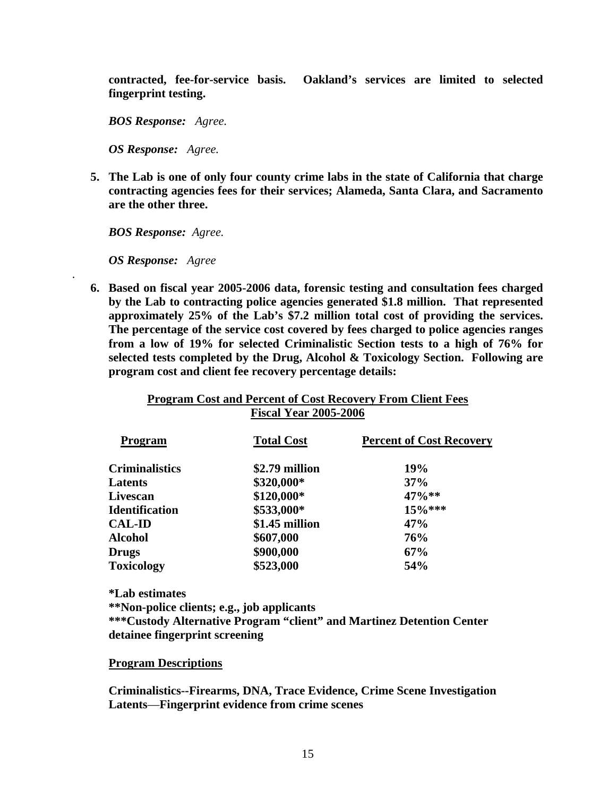**contracted, fee-for-service basis. Oakland's services are limited to selected fingerprint testing.** 

*BOS Response: Agree.* 

*OS Response: Agree.* 

**5. The Lab is one of only four county crime labs in the state of California that charge contracting agencies fees for their services; Alameda, Santa Clara, and Sacramento are the other three.** 

*BOS Response: Agree.* 

*OS Response: Agree* 

*.* 

**6. Based on fiscal year 2005-2006 data, forensic testing and consultation fees charged by the Lab to contracting police agencies generated \$1.8 million. That represented approximately 25% of the Lab's \$7.2 million total cost of providing the services. The percentage of the service cost covered by fees charged to police agencies ranges from a low of 19% for selected Criminalistic Section tests to a high of 76% for selected tests completed by the Drug, Alcohol & Toxicology Section. Following are program cost and client fee recovery percentage details:** 

| Program Cost and Percent of Cost Recovery From Client Fees |  |
|------------------------------------------------------------|--|
| <b>Fiscal Year 2005-2006</b>                               |  |

| <b>Program</b>        | <b>Total Cost</b> | <b>Percent of Cost Recovery</b> |
|-----------------------|-------------------|---------------------------------|
| <b>Criminalistics</b> | \$2.79 million    | 19%                             |
| Latents               | \$320,000*        | 37%                             |
| Livescan              | \$120,000*        | $47\%**$                        |
| <b>Identification</b> | \$533,000*        | $15\%***$                       |
| <b>CAL-ID</b>         | \$1.45 million    | 47%                             |
| <b>Alcohol</b>        | \$607,000         | 76%                             |
| <b>Drugs</b>          | \$900,000         | 67%                             |
| <b>Toxicology</b>     | \$523,000         | 54%                             |

 **\*Lab estimates \*\*Non-police clients; e.g., job applicants \*\*\*Custody Alternative Program "client" and Martinez Detention Center detainee fingerprint screening** 

**Program Descriptions**

**Criminalistics--Firearms, DNA, Trace Evidence, Crime Scene Investigation Latents**—**Fingerprint evidence from crime scenes**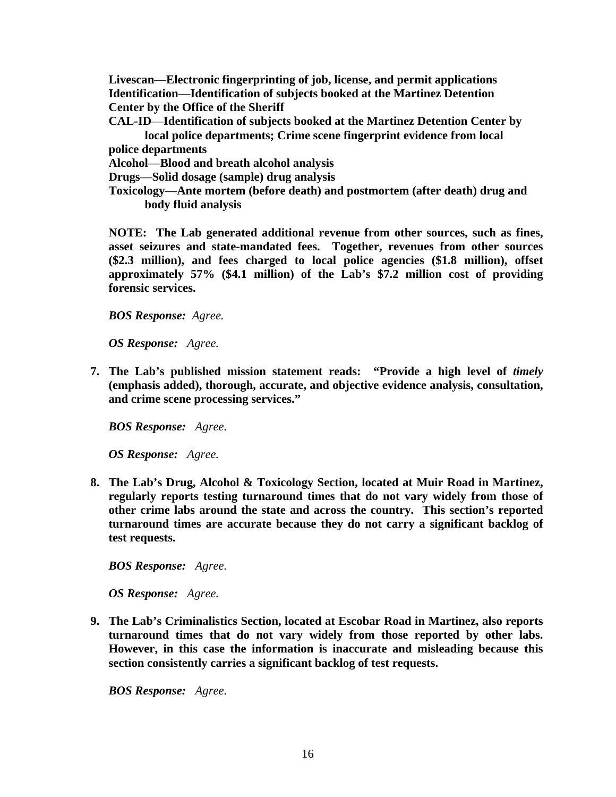**Livescan**—**Electronic fingerprinting of job, license, and permit applications Identification**—**Identification of subjects booked at the Martinez Detention Center by the Office of the Sheriff** 

**CAL-ID**—**Identification of subjects booked at the Martinez Detention Center by local police departments; Crime scene fingerprint evidence from local** 

**police departments**

**Alcohol**—**Blood and breath alcohol analysis**

**Drugs**—**Solid dosage (sample) drug analysis**

**Toxicology**—**Ante mortem (before death) and postmortem (after death) drug and body fluid analysis** 

 **NOTE: The Lab generated additional revenue from other sources, such as fines, asset seizures and state-mandated fees. Together, revenues from other sources (\$2.3 million), and fees charged to local police agencies (\$1.8 million), offset approximately 57% (\$4.1 million) of the Lab's \$7.2 million cost of providing forensic services.** 

*BOS Response: Agree.* 

*OS Response: Agree.* 

**7. The Lab's published mission statement reads: "Provide a high level of** *timely* **(emphasis added), thorough, accurate, and objective evidence analysis, consultation, and crime scene processing services."** 

*BOS Response: Agree.* 

*OS Response: Agree.* 

**8. The Lab's Drug, Alcohol & Toxicology Section, located at Muir Road in Martinez, regularly reports testing turnaround times that do not vary widely from those of other crime labs around the state and across the country. This section's reported turnaround times are accurate because they do not carry a significant backlog of test requests.** 

 *BOS Response: Agree.* 

*OS Response: Agree.* 

**9. The Lab's Criminalistics Section, located at Escobar Road in Martinez, also reports turnaround times that do not vary widely from those reported by other labs. However, in this case the information is inaccurate and misleading because this section consistently carries a significant backlog of test requests.** 

*BOS Response: Agree.*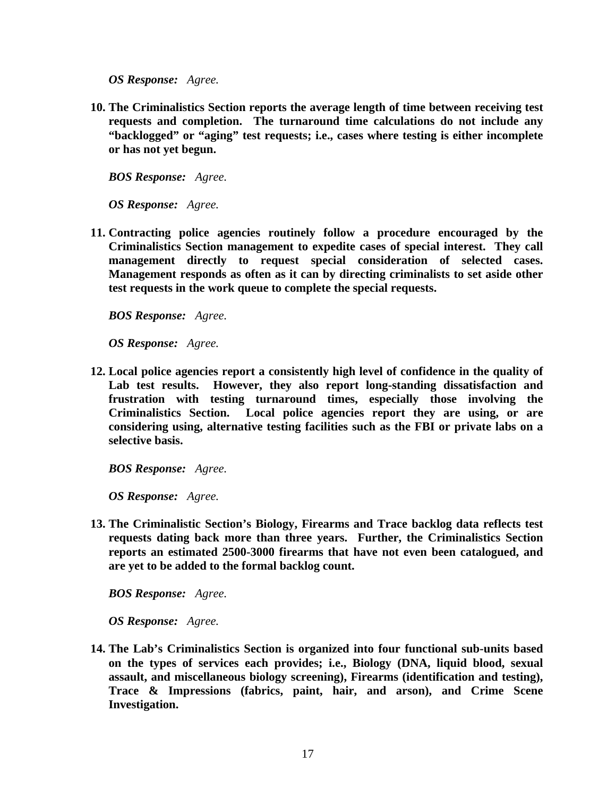*OS Response: Agree.* 

**10. The Criminalistics Section reports the average length of time between receiving test requests and completion. The turnaround time calculations do not include any "backlogged" or "aging" test requests; i.e., cases where testing is either incomplete or has not yet begun.** 

*BOS Response: Agree.* 

*OS Response: Agree.* 

**11. Contracting police agencies routinely follow a procedure encouraged by the Criminalistics Section management to expedite cases of special interest. They call management directly to request special consideration of selected cases. Management responds as often as it can by directing criminalists to set aside other test requests in the work queue to complete the special requests.** 

*BOS Response: Agree.* 

*OS Response: Agree.* 

**12. Local police agencies report a consistently high level of confidence in the quality of Lab test results. However, they also report long-standing dissatisfaction and frustration with testing turnaround times, especially those involving the Criminalistics Section. Local police agencies report they are using, or are considering using, alternative testing facilities such as the FBI or private labs on a selective basis.** 

*BOS Response: Agree.* 

*OS Response: Agree.* 

**13. The Criminalistic Section's Biology, Firearms and Trace backlog data reflects test requests dating back more than three years. Further, the Criminalistics Section reports an estimated 2500-3000 firearms that have not even been catalogued, and are yet to be added to the formal backlog count.** 

*BOS Response: Agree.* 

*OS Response: Agree.* 

**14. The Lab's Criminalistics Section is organized into four functional sub-units based on the types of services each provides; i.e., Biology (DNA, liquid blood, sexual assault, and miscellaneous biology screening), Firearms (identification and testing), Trace & Impressions (fabrics, paint, hair, and arson), and Crime Scene Investigation.**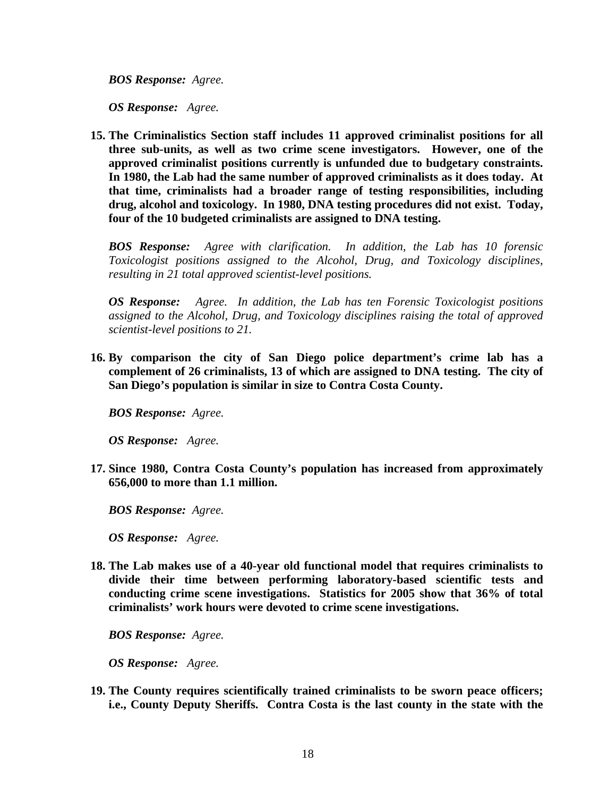*BOS Response: Agree.* 

*OS Response: Agree.* 

**15. The Criminalistics Section staff includes 11 approved criminalist positions for all three sub-units, as well as two crime scene investigators. However, one of the approved criminalist positions currently is unfunded due to budgetary constraints. In 1980, the Lab had the same number of approved criminalists as it does today. At that time, criminalists had a broader range of testing responsibilities, including drug, alcohol and toxicology. In 1980, DNA testing procedures did not exist. Today, four of the 10 budgeted criminalists are assigned to DNA testing.** 

*BOS Response: Agree with clarification. In addition, the Lab has 10 forensic Toxicologist positions assigned to the Alcohol, Drug, and Toxicology disciplines, resulting in 21 total approved scientist-level positions.* 

*OS Response: Agree. In addition, the Lab has ten Forensic Toxicologist positions assigned to the Alcohol, Drug, and Toxicology disciplines raising the total of approved scientist-level positions to 21.* 

**16. By comparison the city of San Diego police department's crime lab has a complement of 26 criminalists, 13 of which are assigned to DNA testing. The city of San Diego's population is similar in size to Contra Costa County.** 

*BOS Response: Agree.* 

*OS Response: Agree.* 

**17. Since 1980, Contra Costa County's population has increased from approximately 656,000 to more than 1.1 million.** 

*BOS Response: Agree.* 

*OS Response: Agree.* 

**18. The Lab makes use of a 40-year old functional model that requires criminalists to divide their time between performing laboratory-based scientific tests and conducting crime scene investigations. Statistics for 2005 show that 36% of total criminalists' work hours were devoted to crime scene investigations.** 

*BOS Response: Agree.* 

*OS Response: Agree.* 

**19. The County requires scientifically trained criminalists to be sworn peace officers; i.e., County Deputy Sheriffs. Contra Costa is the last county in the state with the**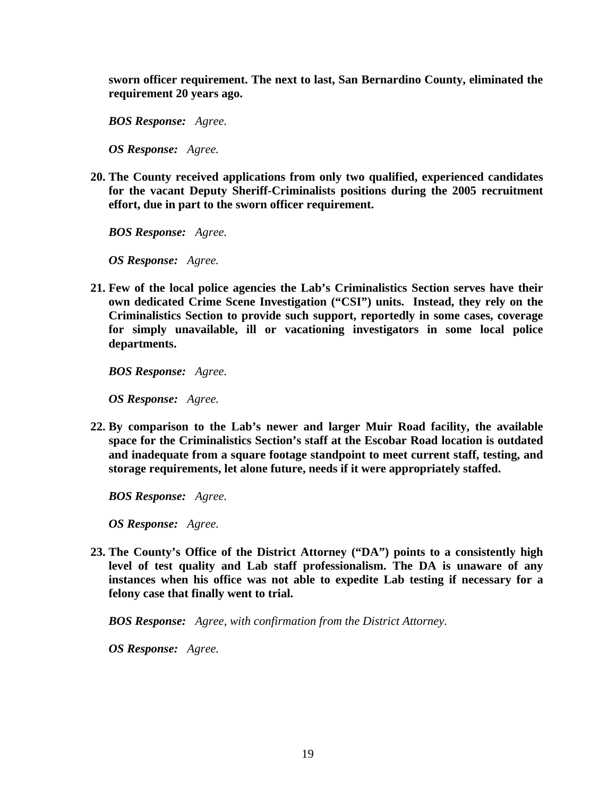**sworn officer requirement. The next to last, San Bernardino County, eliminated the requirement 20 years ago.** 

*BOS Response: Agree.* 

*OS Response: Agree.* 

**20. The County received applications from only two qualified, experienced candidates for the vacant Deputy Sheriff-Criminalists positions during the 2005 recruitment effort, due in part to the sworn officer requirement.** 

*BOS Response: Agree.* 

*OS Response: Agree.* 

**21. Few of the local police agencies the Lab's Criminalistics Section serves have their own dedicated Crime Scene Investigation ("CSI") units. Instead, they rely on the Criminalistics Section to provide such support, reportedly in some cases, coverage for simply unavailable, ill or vacationing investigators in some local police departments.** 

*BOS Response: Agree.* 

*OS Response: Agree.* 

**22. By comparison to the Lab's newer and larger Muir Road facility, the available space for the Criminalistics Section's staff at the Escobar Road location is outdated and inadequate from a square footage standpoint to meet current staff, testing, and storage requirements, let alone future, needs if it were appropriately staffed.** 

*BOS Response: Agree.* 

*OS Response: Agree.* 

**23. The County's Office of the District Attorney ("DA") points to a consistently high level of test quality and Lab staff professionalism. The DA is unaware of any instances when his office was not able to expedite Lab testing if necessary for a felony case that finally went to trial.** 

*BOS Response: Agree, with confirmation from the District Attorney.* 

*OS Response: Agree.*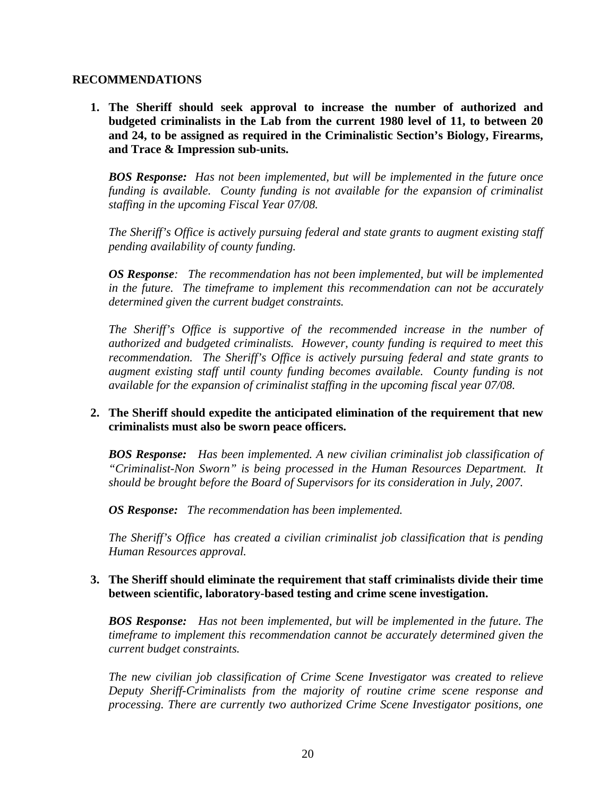#### **RECOMMENDATIONS**

**1. The Sheriff should seek approval to increase the number of authorized and budgeted criminalists in the Lab from the current 1980 level of 11, to between 20 and 24, to be assigned as required in the Criminalistic Section's Biology, Firearms, and Trace & Impression sub-units.** 

*BOS Response: Has not been implemented, but will be implemented in the future once funding is available. County funding is not available for the expansion of criminalist staffing in the upcoming Fiscal Year 07/08.* 

*The Sheriff's Office is actively pursuing federal and state grants to augment existing staff pending availability of county funding.* 

*OS Response: The recommendation has not been implemented, but will be implemented in the future. The timeframe to implement this recommendation can not be accurately determined given the current budget constraints.* 

*The Sheriff's Office is supportive of the recommended increase in the number of authorized and budgeted criminalists. However, county funding is required to meet this recommendation. The Sheriff's Office is actively pursuing federal and state grants to augment existing staff until county funding becomes available. County funding is not available for the expansion of criminalist staffing in the upcoming fiscal year 07/08.* 

# **2. The Sheriff should expedite the anticipated elimination of the requirement that new criminalists must also be sworn peace officers.**

*BOS Response: Has been implemented. A new civilian criminalist job classification of "Criminalist-Non Sworn" is being processed in the Human Resources Department. It should be brought before the Board of Supervisors for its consideration in July, 2007.* 

*OS Response: The recommendation has been implemented.* 

*The Sheriff's Office has created a civilian criminalist job classification that is pending Human Resources approval.* 

# **3. The Sheriff should eliminate the requirement that staff criminalists divide their time between scientific, laboratory-based testing and crime scene investigation.**

*BOS Response: Has not been implemented, but will be implemented in the future. The timeframe to implement this recommendation cannot be accurately determined given the current budget constraints.*

*The new civilian job classification of Crime Scene Investigator was created to relieve Deputy Sheriff-Criminalists from the majority of routine crime scene response and processing. There are currently two authorized Crime Scene Investigator positions, one*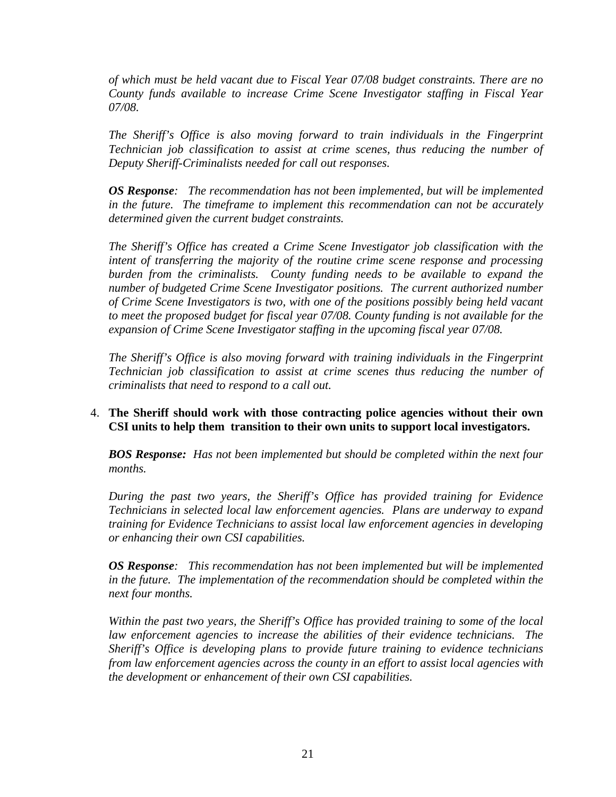*of which must be held vacant due to Fiscal Year 07/08 budget constraints. There are no County funds available to increase Crime Scene Investigator staffing in Fiscal Year 07/08.* 

*The Sheriff's Office is also moving forward to train individuals in the Fingerprint Technician job classification to assist at crime scenes, thus reducing the number of Deputy Sheriff-Criminalists needed for call out responses.* 

*OS Response: The recommendation has not been implemented, but will be implemented in the future. The timeframe to implement this recommendation can not be accurately determined given the current budget constraints.* 

*The Sheriff's Office has created a Crime Scene Investigator job classification with the intent of transferring the majority of the routine crime scene response and processing burden from the criminalists. County funding needs to be available to expand the number of budgeted Crime Scene Investigator positions. The current authorized number of Crime Scene Investigators is two, with one of the positions possibly being held vacant to meet the proposed budget for fiscal year 07/08. County funding is not available for the expansion of Crime Scene Investigator staffing in the upcoming fiscal year 07/08.* 

*The Sheriff's Office is also moving forward with training individuals in the Fingerprint Technician job classification to assist at crime scenes thus reducing the number of criminalists that need to respond to a call out.* 

# 4. **The Sheriff should work with those contracting police agencies without their own CSI units to help them transition to their own units to support local investigators.**

*BOS Response: Has not been implemented but should be completed within the next four months.* 

*During the past two years, the Sheriff's Office has provided training for Evidence Technicians in selected local law enforcement agencies. Plans are underway to expand training for Evidence Technicians to assist local law enforcement agencies in developing or enhancing their own CSI capabilities.* 

*OS Response: This recommendation has not been implemented but will be implemented in the future. The implementation of the recommendation should be completed within the next four months.* 

*Within the past two years, the Sheriff's Office has provided training to some of the local law enforcement agencies to increase the abilities of their evidence technicians. The Sheriff's Office is developing plans to provide future training to evidence technicians from law enforcement agencies across the county in an effort to assist local agencies with the development or enhancement of their own CSI capabilities.*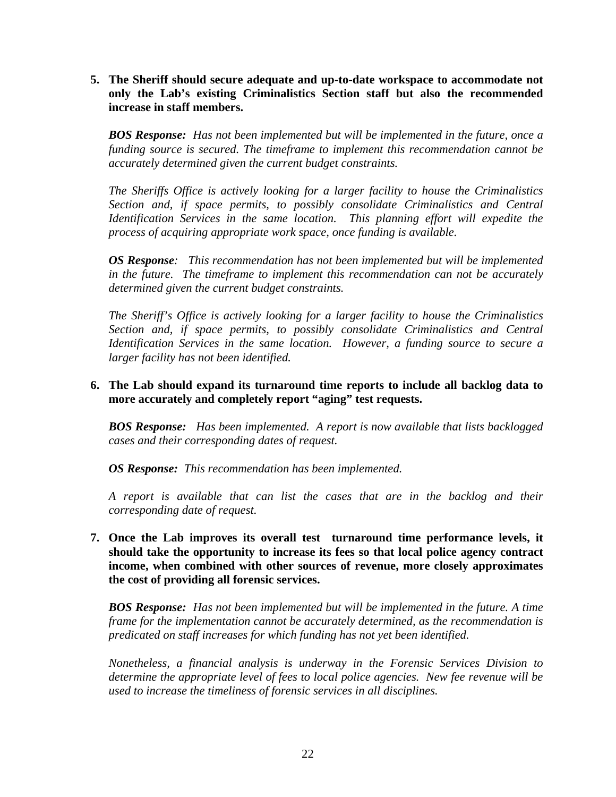**5. The Sheriff should secure adequate and up-to-date workspace to accommodate not only the Lab's existing Criminalistics Section staff but also the recommended increase in staff members.** 

*BOS Response: Has not been implemented but will be implemented in the future, once a funding source is secured. The timeframe to implement this recommendation cannot be accurately determined given the current budget constraints.* 

*The Sheriffs Office is actively looking for a larger facility to house the Criminalistics Section and, if space permits, to possibly consolidate Criminalistics and Central Identification Services in the same location. This planning effort will expedite the process of acquiring appropriate work space, once funding is available.*

*OS Response: This recommendation has not been implemented but will be implemented in the future. The timeframe to implement this recommendation can not be accurately determined given the current budget constraints.* 

*The Sheriff's Office is actively looking for a larger facility to house the Criminalistics Section and, if space permits, to possibly consolidate Criminalistics and Central Identification Services in the same location. However, a funding source to secure a larger facility has not been identified.* 

#### **6. The Lab should expand its turnaround time reports to include all backlog data to more accurately and completely report "aging" test requests.**

*BOS Response: Has been implemented. A report is now available that lists backlogged cases and their corresponding dates of request.* 

*OS Response: This recommendation has been implemented.* 

*A report is available that can list the cases that are in the backlog and their corresponding date of request.* 

**7. Once the Lab improves its overall test turnaround time performance levels, it should take the opportunity to increase its fees so that local police agency contract income, when combined with other sources of revenue, more closely approximates the cost of providing all forensic services.** 

*BOS Response: Has not been implemented but will be implemented in the future. A time frame for the implementation cannot be accurately determined, as the recommendation is predicated on staff increases for which funding has not yet been identified.* 

*Nonetheless, a financial analysis is underway in the Forensic Services Division to determine the appropriate level of fees to local police agencies. New fee revenue will be used to increase the timeliness of forensic services in all disciplines.*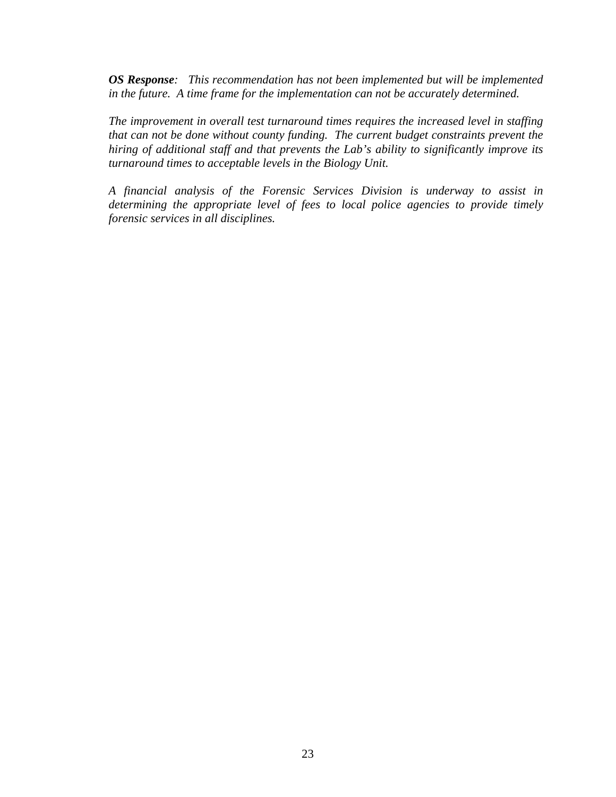*OS Response: This recommendation has not been implemented but will be implemented in the future. A time frame for the implementation can not be accurately determined.* 

*The improvement in overall test turnaround times requires the increased level in staffing that can not be done without county funding. The current budget constraints prevent the hiring of additional staff and that prevents the Lab's ability to significantly improve its turnaround times to acceptable levels in the Biology Unit.* 

*A financial analysis of the Forensic Services Division is underway to assist in determining the appropriate level of fees to local police agencies to provide timely forensic services in all disciplines.*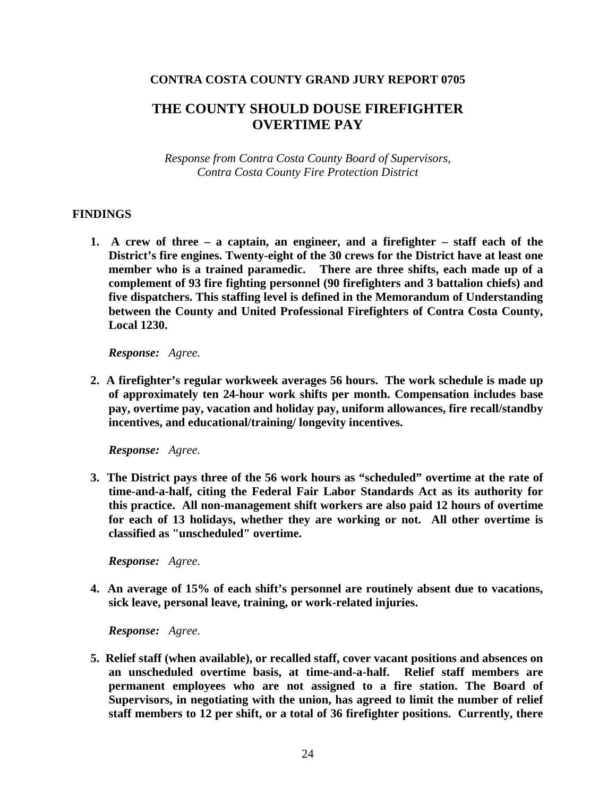#### **CONTRA COSTA COUNTY GRAND JURY REPORT 0705**

# **THE COUNTY SHOULD DOUSE FIREFIGHTER OVERTIME PAY**

*Response from Contra Costa County Board of Supervisors, Contra Costa County Fire Protection District* 

#### **FINDINGS**

**1. A crew of three – a captain, an engineer, and a firefighter – staff each of the District's fire engines. Twenty-eight of the 30 crews for the District have at least one member who is a trained paramedic. There are three shifts, each made up of a complement of 93 fire fighting personnel (90 firefighters and 3 battalion chiefs) and five dispatchers. This staffing level is defined in the Memorandum of Understanding between the County and United Professional Firefighters of Contra Costa County, Local 1230.** 

*Response: Agree.* 

**2. A firefighter's regular workweek averages 56 hours. The work schedule is made up of approximately ten 24-hour work shifts per month. Compensation includes base pay, overtime pay, vacation and holiday pay, uniform allowances, fire recall/standby incentives, and educational/training/ longevity incentives.**

 *Response: Agree.* 

**3. The District pays three of the 56 work hours as "scheduled" overtime at the rate of time-and-a-half, citing the Federal Fair Labor Standards Act as its authority for this practice. All non-management shift workers are also paid 12 hours of overtime for each of 13 holidays, whether they are working or not. All other overtime is classified as "unscheduled" overtime.** 

*Response: Agree.* 

**4. An average of 15% of each shift's personnel are routinely absent due to vacations, sick leave, personal leave, training, or work-related injuries.**

*Response: Agree.* 

**5. Relief staff (when available), or recalled staff, cover vacant positions and absences on an unscheduled overtime basis, at time-and-a-half. Relief staff members are permanent employees who are not assigned to a fire station. The Board of Supervisors, in negotiating with the union, has agreed to limit the number of relief staff members to 12 per shift, or a total of 36 firefighter positions. Currently, there**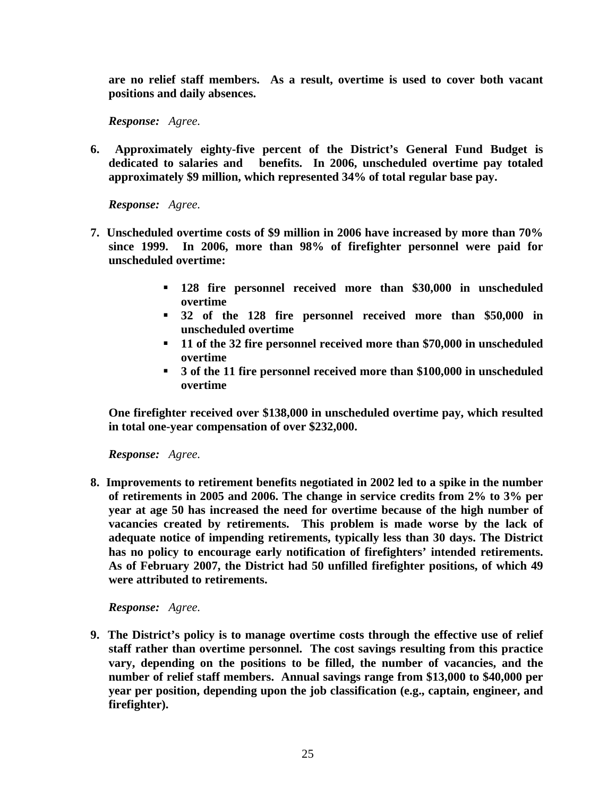**are no relief staff members. As a result, overtime is used to cover both vacant positions and daily absences.** 

*Response: Agree.* 

**6. Approximately eighty-five percent of the District's General Fund Budget is dedicated to salaries and benefits. In 2006, unscheduled overtime pay totaled approximately \$9 million, which represented 34% of total regular base pay.** 

*Response: Agree.* 

- **7. Unscheduled overtime costs of \$9 million in 2006 have increased by more than 70% since 1999. In 2006, more than 98% of firefighter personnel were paid for unscheduled overtime:** 
	- **128 fire personnel received more than \$30,000 in unscheduled overtime**
	- **32 of the 128 fire personnel received more than \$50,000 in unscheduled overtime**
	- **11 of the 32 fire personnel received more than \$70,000 in unscheduled overtime**
	- **3 of the 11 fire personnel received more than \$100,000 in unscheduled overtime**

**One firefighter received over \$138,000 in unscheduled overtime pay, which resulted in total one-year compensation of over \$232,000.** 

*Response: Agree.* 

**8. Improvements to retirement benefits negotiated in 2002 led to a spike in the number of retirements in 2005 and 2006. The change in service credits from 2% to 3% per year at age 50 has increased the need for overtime because of the high number of vacancies created by retirements. This problem is made worse by the lack of adequate notice of impending retirements, typically less than 30 days. The District has no policy to encourage early notification of firefighters' intended retirements. As of February 2007, the District had 50 unfilled firefighter positions, of which 49 were attributed to retirements.** 

*Response: Agree.* 

**9. The District's policy is to manage overtime costs through the effective use of relief staff rather than overtime personnel. The cost savings resulting from this practice vary, depending on the positions to be filled, the number of vacancies, and the number of relief staff members. Annual savings range from \$13,000 to \$40,000 per year per position, depending upon the job classification (e.g., captain, engineer, and firefighter).**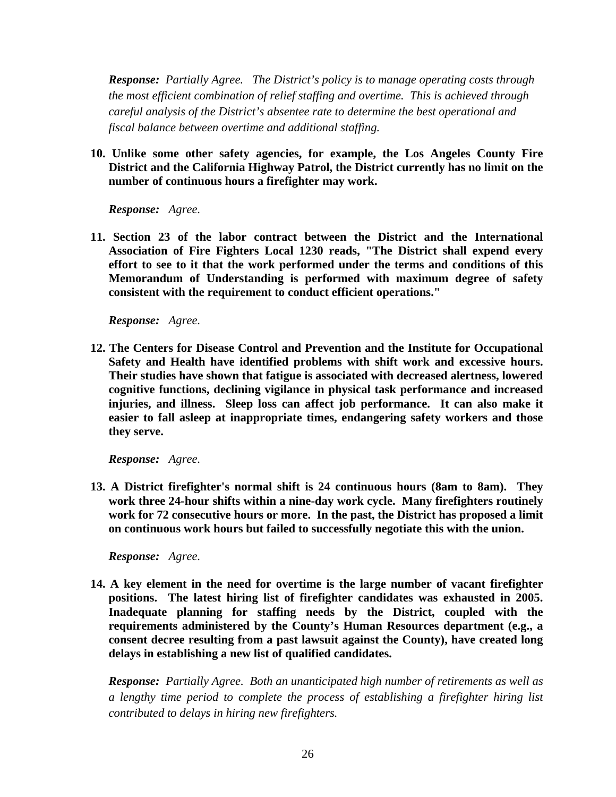*Response: Partially Agree. The District's policy is to manage operating costs through the most efficient combination of relief staffing and overtime. This is achieved through careful analysis of the District's absentee rate to determine the best operational and fiscal balance between overtime and additional staffing.* 

**10. Unlike some other safety agencies, for example, the Los Angeles County Fire District and the California Highway Patrol, the District currently has no limit on the number of continuous hours a firefighter may work.** 

*Response: Agree.* 

**11. Section 23 of the labor contract between the District and the International Association of Fire Fighters Local 1230 reads, "The District shall expend every effort to see to it that the work performed under the terms and conditions of this Memorandum of Understanding is performed with maximum degree of safety consistent with the requirement to conduct efficient operations."** 

*Response: Agree.* 

**12. The Centers for Disease Control and Prevention and the Institute for Occupational Safety and Health have identified problems with shift work and excessive hours. Their studies have shown that fatigue is associated with decreased alertness, lowered cognitive functions, declining vigilance in physical task performance and increased injuries, and illness. Sleep loss can affect job performance. It can also make it easier to fall asleep at inappropriate times, endangering safety workers and those they serve.** 

*Response: Agree.* 

**13. A District firefighter's normal shift is 24 continuous hours (8am to 8am). They work three 24-hour shifts within a nine-day work cycle. Many firefighters routinely work for 72 consecutive hours or more. In the past, the District has proposed a limit on continuous work hours but failed to successfully negotiate this with the union.** 

*Response: Agree.* 

**14. A key element in the need for overtime is the large number of vacant firefighter positions. The latest hiring list of firefighter candidates was exhausted in 2005. Inadequate planning for staffing needs by the District, coupled with the requirements administered by the County's Human Resources department (e.g., a consent decree resulting from a past lawsuit against the County), have created long delays in establishing a new list of qualified candidates.** 

*Response: Partially Agree. Both an unanticipated high number of retirements as well as a lengthy time period to complete the process of establishing a firefighter hiring list contributed to delays in hiring new firefighters.*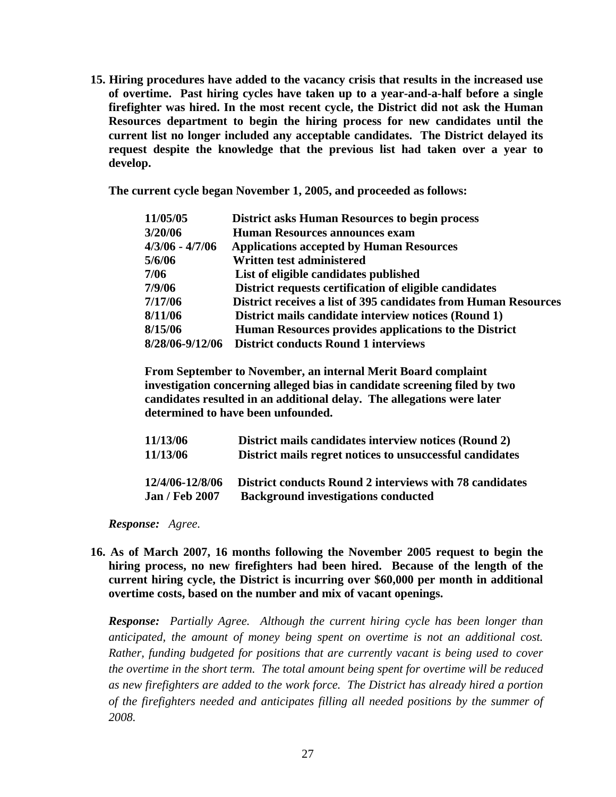**15. Hiring procedures have added to the vacancy crisis that results in the increased use of overtime. Past hiring cycles have taken up to a year-and-a-half before a single firefighter was hired. In the most recent cycle, the District did not ask the Human Resources department to begin the hiring process for new candidates until the current list no longer included any acceptable candidates. The District delayed its request despite the knowledge that the previous list had taken over a year to develop.** 

 **The current cycle began November 1, 2005, and proceeded as follows:** 

| <b>District asks Human Resources to begin process</b>           |
|-----------------------------------------------------------------|
| <b>Human Resources announces exam</b>                           |
| <b>Applications accepted by Human Resources</b>                 |
| Written test administered                                       |
| List of eligible candidates published                           |
| District requests certification of eligible candidates          |
| District receives a list of 395 candidates from Human Resources |
| District mails candidate interview notices (Round 1)            |
| Human Resources provides applications to the District           |
| <b>District conducts Round 1 interviews</b>                     |
|                                                                 |

 **From September to November, an internal Merit Board complaint investigation concerning alleged bias in candidate screening filed by two candidates resulted in an additional delay. The allegations were later determined to have been unfounded.** 

| 11/13/06              | District mails candidates interview notices (Round 2)          |
|-----------------------|----------------------------------------------------------------|
| 11/13/06              | District mails regret notices to unsuccessful candidates       |
|                       |                                                                |
| 12/4/06-12/8/06       | <b>District conducts Round 2 interviews with 78 candidates</b> |
| <b>Jan / Feb 2007</b> | <b>Background investigations conducted</b>                     |

*Response: Agree.* 

**16. As of March 2007, 16 months following the November 2005 request to begin the hiring process, no new firefighters had been hired. Because of the length of the current hiring cycle, the District is incurring over \$60,000 per month in additional overtime costs, based on the number and mix of vacant openings.** 

*Response: Partially Agree. Although the current hiring cycle has been longer than anticipated, the amount of money being spent on overtime is not an additional cost. Rather, funding budgeted for positions that are currently vacant is being used to cover the overtime in the short term. The total amount being spent for overtime will be reduced as new firefighters are added to the work force. The District has already hired a portion of the firefighters needed and anticipates filling all needed positions by the summer of 2008.*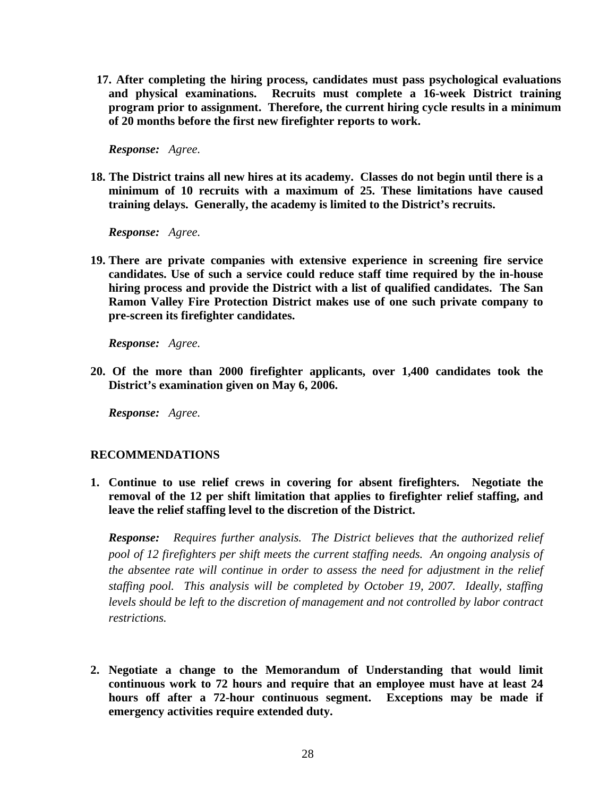**17. After completing the hiring process, candidates must pass psychological evaluations and physical examinations. Recruits must complete a 16-week District training program prior to assignment. Therefore, the current hiring cycle results in a minimum of 20 months before the first new firefighter reports to work.** 

*Response: Agree.* 

**18. The District trains all new hires at its academy. Classes do not begin until there is a minimum of 10 recruits with a maximum of 25. These limitations have caused training delays. Generally, the academy is limited to the District's recruits.** 

*Response: Agree.* 

**19. There are private companies with extensive experience in screening fire service candidates. Use of such a service could reduce staff time required by the in-house hiring process and provide the District with a list of qualified candidates. The San Ramon Valley Fire Protection District makes use of one such private company to pre-screen its firefighter candidates.**

*Response: Agree.* 

**20. Of the more than 2000 firefighter applicants, over 1,400 candidates took the District's examination given on May 6, 2006.** 

*Response: Agree.* 

#### **RECOMMENDATIONS**

**1. Continue to use relief crews in covering for absent firefighters. Negotiate the removal of the 12 per shift limitation that applies to firefighter relief staffing, and leave the relief staffing level to the discretion of the District.** 

*Response: Requires further analysis. The District believes that the authorized relief pool of 12 firefighters per shift meets the current staffing needs. An ongoing analysis of the absentee rate will continue in order to assess the need for adjustment in the relief staffing pool. This analysis will be completed by October 19, 2007. Ideally, staffing levels should be left to the discretion of management and not controlled by labor contract restrictions.*

**2. Negotiate a change to the Memorandum of Understanding that would limit continuous work to 72 hours and require that an employee must have at least 24 hours off after a 72-hour continuous segment. Exceptions may be made if emergency activities require extended duty.**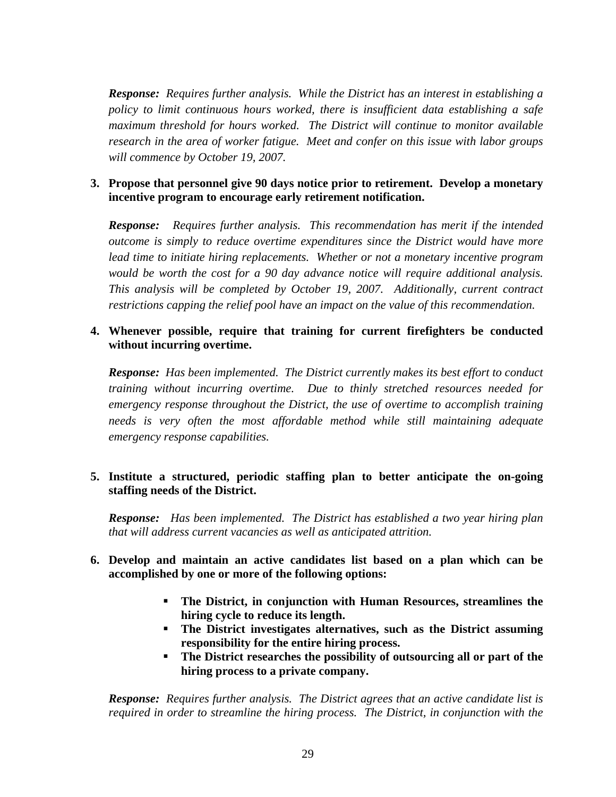*Response: Requires further analysis. While the District has an interest in establishing a policy to limit continuous hours worked, there is insufficient data establishing a safe maximum threshold for hours worked. The District will continue to monitor available research in the area of worker fatigue. Meet and confer on this issue with labor groups will commence by October 19, 2007.*

# **3. Propose that personnel give 90 days notice prior to retirement. Develop a monetary incentive program to encourage early retirement notification.**

*Response: Requires further analysis. This recommendation has merit if the intended outcome is simply to reduce overtime expenditures since the District would have more lead time to initiate hiring replacements. Whether or not a monetary incentive program would be worth the cost for a 90 day advance notice will require additional analysis. This analysis will be completed by October 19, 2007. Additionally, current contract restrictions capping the relief pool have an impact on the value of this recommendation.* 

# **4. Whenever possible, require that training for current firefighters be conducted without incurring overtime.**

*Response: Has been implemented. The District currently makes its best effort to conduct training without incurring overtime. Due to thinly stretched resources needed for emergency response throughout the District, the use of overtime to accomplish training needs is very often the most affordable method while still maintaining adequate emergency response capabilities.* 

# **5. Institute a structured, periodic staffing plan to better anticipate the on-going staffing needs of the District.**

*Response: Has been implemented. The District has established a two year hiring plan that will address current vacancies as well as anticipated attrition.*

# **6. Develop and maintain an active candidates list based on a plan which can be accomplished by one or more of the following options:**

- **The District, in conjunction with Human Resources, streamlines the hiring cycle to reduce its length.**
- **The District investigates alternatives, such as the District assuming responsibility for the entire hiring process.**
- **The District researches the possibility of outsourcing all or part of the hiring process to a private company.**

*Response: Requires further analysis. The District agrees that an active candidate list is required in order to streamline the hiring process. The District, in conjunction with the*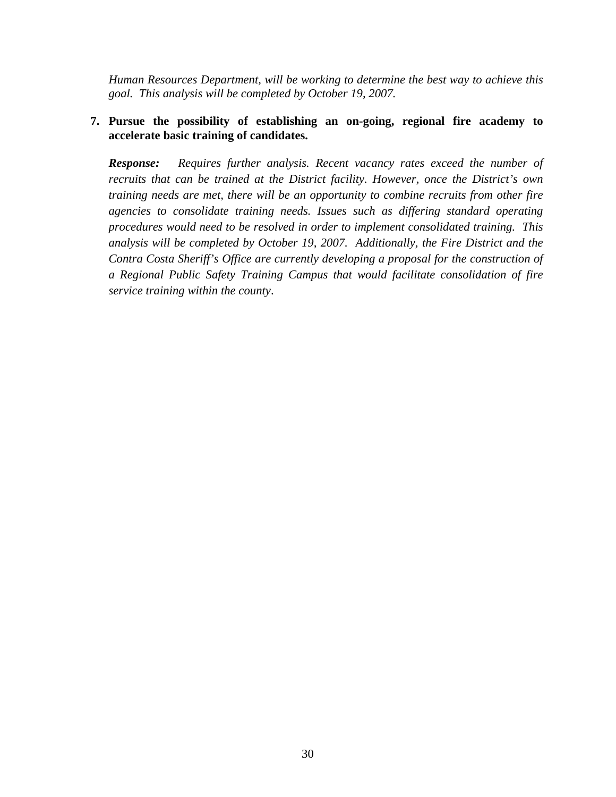*Human Resources Department, will be working to determine the best way to achieve this goal. This analysis will be completed by October 19, 2007.* 

# **7. Pursue the possibility of establishing an on-going, regional fire academy to accelerate basic training of candidates.**

*Response: Requires further analysis. Recent vacancy rates exceed the number of recruits that can be trained at the District facility. However, once the District's own training needs are met, there will be an opportunity to combine recruits from other fire agencies to consolidate training needs. Issues such as differing standard operating procedures would need to be resolved in order to implement consolidated training. This analysis will be completed by October 19, 2007. Additionally, the Fire District and the Contra Costa Sheriff's Office are currently developing a proposal for the construction of a Regional Public Safety Training Campus that would facilitate consolidation of fire service training within the county*.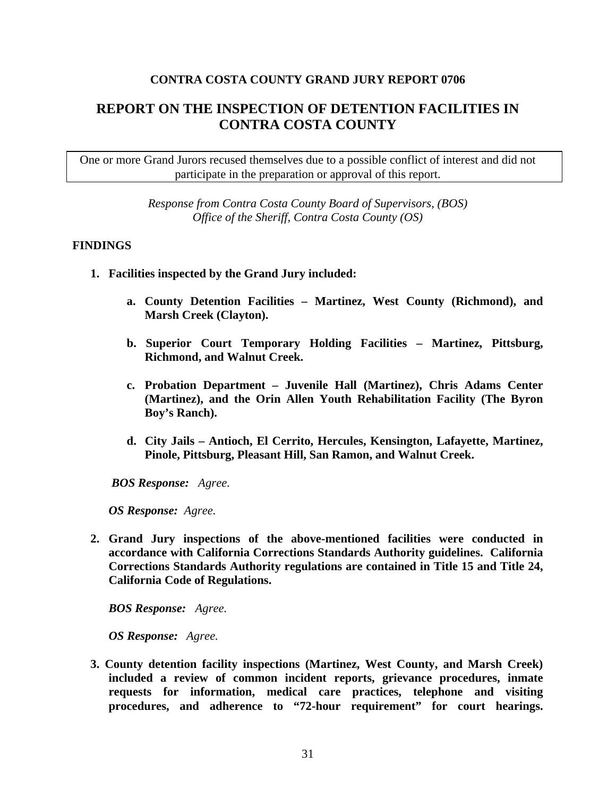# **CONTRA COSTA COUNTY GRAND JURY REPORT 0706**

# **REPORT ON THE INSPECTION OF DETENTION FACILITIES IN CONTRA COSTA COUNTY**

One or more Grand Jurors recused themselves due to a possible conflict of interest and did not participate in the preparation or approval of this report.

> *Response from Contra Costa County Board of Supervisors, (BOS) Office of the Sheriff, Contra Costa County (OS)*

#### **FINDINGS**

- **1. Facilities inspected by the Grand Jury included:** 
	- **a. County Detention Facilities Martinez, West County (Richmond), and Marsh Creek (Clayton).**
	- **b. Superior Court Temporary Holding Facilities Martinez, Pittsburg, Richmond, and Walnut Creek.**
	- **c. Probation Department Juvenile Hall (Martinez), Chris Adams Center (Martinez), and the Orin Allen Youth Rehabilitation Facility (The Byron Boy's Ranch).**
	- **d. City Jails Antioch, El Cerrito, Hercules, Kensington, Lafayette, Martinez, Pinole, Pittsburg, Pleasant Hill, San Ramon, and Walnut Creek.**

 *BOS Response: Agree.* 

*OS Response:**Agree.* 

**2. Grand Jury inspections of the above-mentioned facilities were conducted in accordance with California Corrections Standards Authority guidelines. California Corrections Standards Authority regulations are contained in Title 15 and Title 24, California Code of Regulations.** 

*BOS Response: Agree.* 

 *OS Response:**Agree.*

**3. County detention facility inspections (Martinez, West County, and Marsh Creek) included a review of common incident reports, grievance procedures, inmate requests for information, medical care practices, telephone and visiting procedures, and adherence to "72-hour requirement" for court hearings.**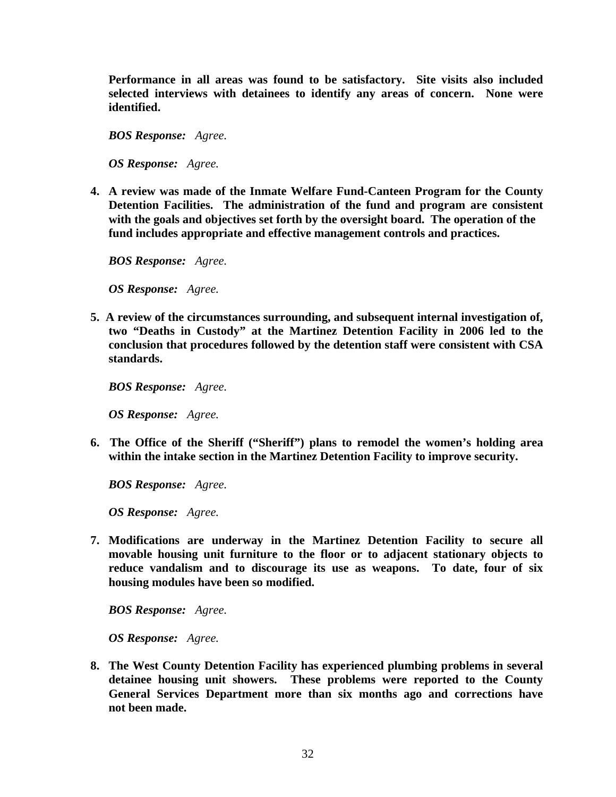**Performance in all areas was found to be satisfactory. Site visits also included selected interviews with detainees to identify any areas of concern. None were identified.** 

*BOS Response: Agree.* 

 *OS Response: Agree.* 

**4. A review was made of the Inmate Welfare Fund-Canteen Program for the County Detention Facilities. The administration of the fund and program are consistent with the goals and objectives set forth by the oversight board. The operation of the fund includes appropriate and effective management controls and practices.** 

*BOS Response: Agree.* 

 *OS Response: Agree.* 

**5. A review of the circumstances surrounding, and subsequent internal investigation of, two "Deaths in Custody" at the Martinez Detention Facility in 2006 led to the conclusion that procedures followed by the detention staff were consistent with CSA standards.**

*BOS Response: Agree.* 

 *OS Response: Agree.* 

**6. The Office of the Sheriff ("Sheriff") plans to remodel the women's holding area within the intake section in the Martinez Detention Facility to improve security.** 

*BOS Response: Agree.* 

 *OS Response: Agree.* 

**7. Modifications are underway in the Martinez Detention Facility to secure all movable housing unit furniture to the floor or to adjacent stationary objects to reduce vandalism and to discourage its use as weapons. To date, four of six housing modules have been so modified.** 

*BOS Response: Agree.* 

 *OS Response: Agree.* 

**8. The West County Detention Facility has experienced plumbing problems in several detainee housing unit showers. These problems were reported to the County General Services Department more than six months ago and corrections have not been made.**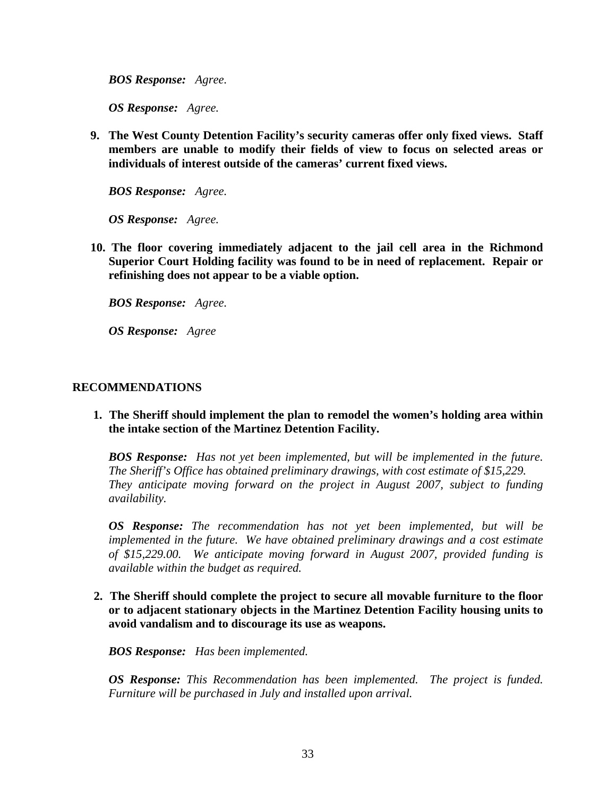*BOS Response: Agree.* 

 *OS Response: Agree.* 

**9. The West County Detention Facility's security cameras offer only fixed views. Staff members are unable to modify their fields of view to focus on selected areas or individuals of interest outside of the cameras' current fixed views.** 

*BOS Response: Agree.* 

 *OS Response: Agree.* 

**10. The floor covering immediately adjacent to the jail cell area in the Richmond Superior Court Holding facility was found to be in need of replacement. Repair or refinishing does not appear to be a viable option.** 

*BOS Response: Agree.* 

 *OS Response: Agree* 

#### **RECOMMENDATIONS**

 **1. The Sheriff should implement the plan to remodel the women's holding area within the intake section of the Martinez Detention Facility.** 

*BOS Response: Has not yet been implemented, but will be implemented in the future. The Sheriff's Office has obtained preliminary drawings, with cost estimate of \$15,229.*  They anticipate moving forward on the project in August 2007, subject to funding *availability.* 

*OS Response: The recommendation has not yet been implemented, but will be implemented in the future. We have obtained preliminary drawings and a cost estimate of \$15,229.00. We anticipate moving forward in August 2007, provided funding is available within the budget as required.* 

 **2. The Sheriff should complete the project to secure all movable furniture to the floor or to adjacent stationary objects in the Martinez Detention Facility housing units to avoid vandalism and to discourage its use as weapons.** 

*BOS Response: Has been implemented.* 

*OS Response: This Recommendation has been implemented. The project is funded. Furniture will be purchased in July and installed upon arrival.*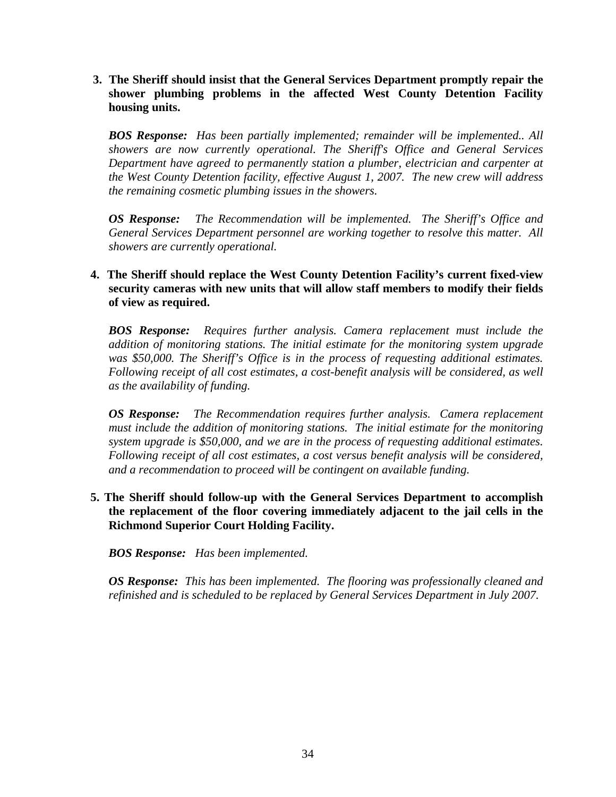**3. The Sheriff should insist that the General Services Department promptly repair the shower plumbing problems in the affected West County Detention Facility housing units.** 

*BOS Response: Has been partially implemented; remainder will be implemented.. All showers are now currently operational. The Sheriff's Office and General Services Department have agreed to permanently station a plumber, electrician and carpenter at the West County Detention facility, effective August 1, 2007. The new crew will address the remaining cosmetic plumbing issues in the showers.* 

*OS Response: The Recommendation will be implemented. The Sheriff's Office and General Services Department personnel are working together to resolve this matter. All showers are currently operational.*

# **4. The Sheriff should replace the West County Detention Facility's current fixed-view security cameras with new units that will allow staff members to modify their fields of view as required.**

*BOS Response: Requires further analysis. Camera replacement must include the addition of monitoring stations. The initial estimate for the monitoring system upgrade was \$50,000. The Sheriff's Office is in the process of requesting additional estimates. Following receipt of all cost estimates, a cost-benefit analysis will be considered, as well as the availability of funding.* 

*OS Response: The Recommendation requires further analysis. Camera replacement must include the addition of monitoring stations. The initial estimate for the monitoring system upgrade is \$50,000, and we are in the process of requesting additional estimates. Following receipt of all cost estimates, a cost versus benefit analysis will be considered, and a recommendation to proceed will be contingent on available funding.* 

 **5. The Sheriff should follow-up with the General Services Department to accomplish the replacement of the floor covering immediately adjacent to the jail cells in the Richmond Superior Court Holding Facility.** 

*BOS Response: Has been implemented.* 

*OS Response: This has been implemented. The flooring was professionally cleaned and refinished and is scheduled to be replaced by General Services Department in July 2007.*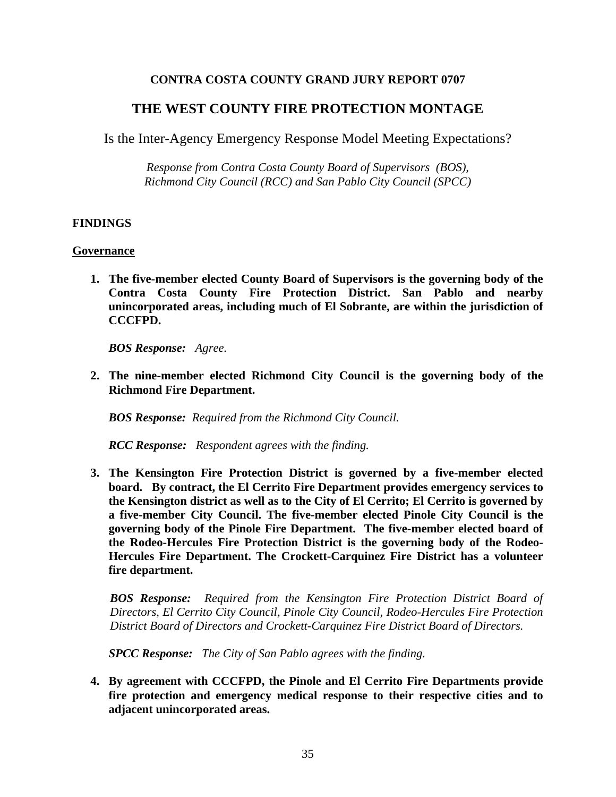# **CONTRA COSTA COUNTY GRAND JURY REPORT 0707**

# **THE WEST COUNTY FIRE PROTECTION MONTAGE**

Is the Inter-Agency Emergency Response Model Meeting Expectations?

*Response from Contra Costa County Board of Supervisors (BOS), Richmond City Council (RCC) and San Pablo City Council (SPCC)* 

#### **FINDINGS**

#### **Governance**

**1. The five-member elected County Board of Supervisors is the governing body of the Contra Costa County Fire Protection District. San Pablo and nearby unincorporated areas, including much of El Sobrante, are within the jurisdiction of CCCFPD.** 

*BOS Response: Agree.* 

**2. The nine-member elected Richmond City Council is the governing body of the Richmond Fire Department.** 

 *BOS Response: Required from the Richmond City Council.* 

*RCC Response: Respondent agrees with the finding.*

**3. The Kensington Fire Protection District is governed by a five-member elected board. By contract, the El Cerrito Fire Department provides emergency services to the Kensington district as well as to the City of El Cerrito; El Cerrito is governed by a five-member City Council. The five-member elected Pinole City Council is the governing body of the Pinole Fire Department. The five-member elected board of the Rodeo-Hercules Fire Protection District is the governing body of the Rodeo-Hercules Fire Department. The Crockett-Carquinez Fire District has a volunteer fire department.** 

*BOS Response: Required from the Kensington Fire Protection District Board of Directors, El Cerrito City Council, Pinole City Council, Rodeo-Hercules Fire Protection District Board of Directors and Crockett-Carquinez Fire District Board of Directors.* 

 *SPCC Response: The City of San Pablo agrees with the finding.* 

**4. By agreement with CCCFPD, the Pinole and El Cerrito Fire Departments provide fire protection and emergency medical response to their respective cities and to adjacent unincorporated areas.**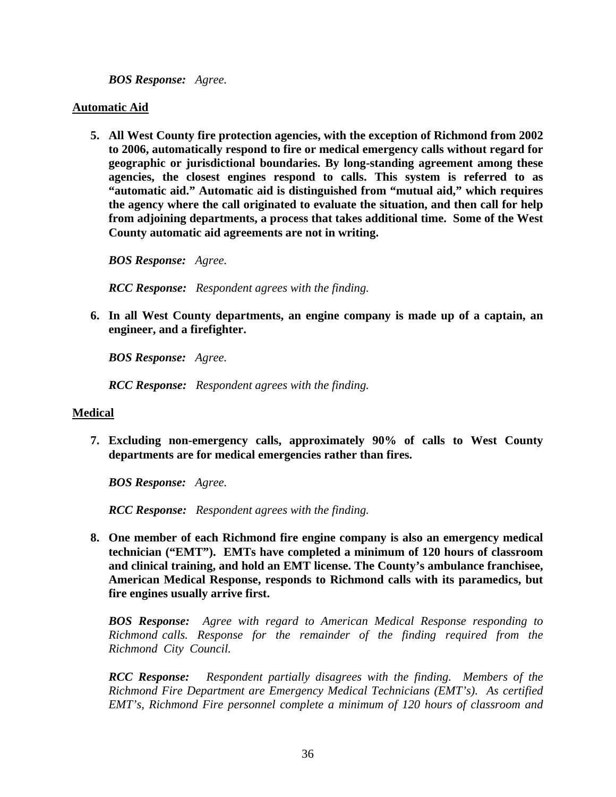*BOS Response: Agree.* 

#### **Automatic Aid**

**5. All West County fire protection agencies, with the exception of Richmond from 2002 to 2006, automatically respond to fire or medical emergency calls without regard for geographic or jurisdictional boundaries. By long-standing agreement among these agencies, the closest engines respond to calls. This system is referred to as "automatic aid." Automatic aid is distinguished from "mutual aid," which requires the agency where the call originated to evaluate the situation, and then call for help from adjoining departments, a process that takes additional time. Some of the West County automatic aid agreements are not in writing.** 

 *BOS Response: Agree.* 

*RCC Response: Respondent agrees with the finding.* 

**6. In all West County departments, an engine company is made up of a captain, an engineer, and a firefighter.** 

*BOS Response: Agree.* 

*RCC Response: Respondent agrees with the finding.* 

# **Medical**

**7. Excluding non-emergency calls, approximately 90% of calls to West County departments are for medical emergencies rather than fires.** 

*BOS Response: Agree.* 

*RCC Response: Respondent agrees with the finding.* 

**8. One member of each Richmond fire engine company is also an emergency medical technician ("EMT"). EMTs have completed a minimum of 120 hours of classroom and clinical training, and hold an EMT license. The County's ambulance franchisee, American Medical Response, responds to Richmond calls with its paramedics, but fire engines usually arrive first.** 

*BOS Response: Agree with regard to American Medical Response responding to Richmond calls. Response for the remainder of the finding required from the Richmond City Council.* 

*RCC Response: Respondent partially disagrees with the finding. Members of the Richmond Fire Department are Emergency Medical Technicians (EMT's). As certified EMT's, Richmond Fire personnel complete a minimum of 120 hours of classroom and*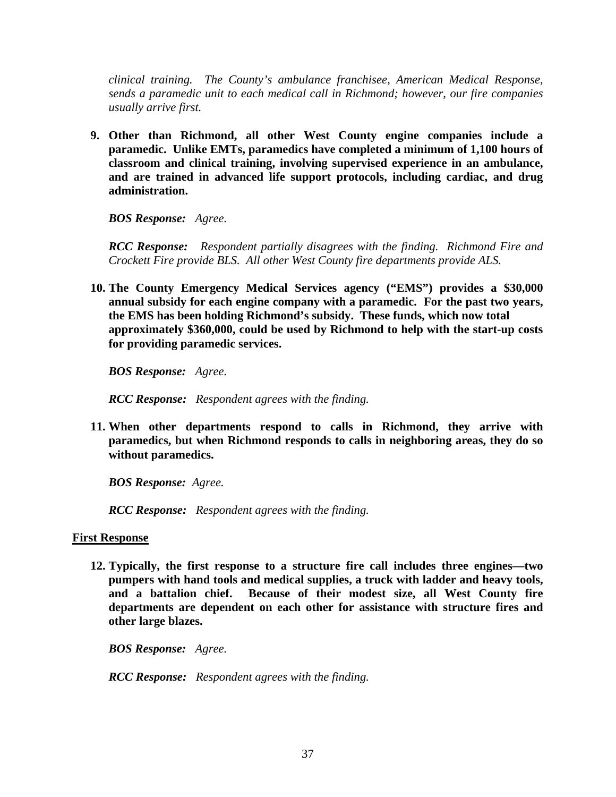*clinical training. The County's ambulance franchisee, American Medical Response, sends a paramedic unit to each medical call in Richmond; however, our fire companies usually arrive first.* 

**9. Other than Richmond, all other West County engine companies include a paramedic. Unlike EMTs, paramedics have completed a minimum of 1,100 hours of classroom and clinical training, involving supervised experience in an ambulance, and are trained in advanced life support protocols, including cardiac, and drug administration.** 

*BOS Response: Agree.* 

*RCC Response: Respondent partially disagrees with the finding. Richmond Fire and Crockett Fire provide BLS. All other West County fire departments provide ALS.* 

**10. The County Emergency Medical Services agency ("EMS") provides a \$30,000 annual subsidy for each engine company with a paramedic. For the past two years, the EMS has been holding Richmond's subsidy. These funds, which now total approximately \$360,000, could be used by Richmond to help with the start-up costs for providing paramedic services.**

*BOS Response: Agree.* 

*RCC Response: Respondent agrees with the finding.* 

**11. When other departments respond to calls in Richmond, they arrive with paramedics, but when Richmond responds to calls in neighboring areas, they do so without paramedics.** 

*BOS Response: Agree.* 

*RCC Response: Respondent agrees with the finding.* 

#### **First Response**

**12. Typically, the first response to a structure fire call includes three engines—two pumpers with hand tools and medical supplies, a truck with ladder and heavy tools, and a battalion chief. Because of their modest size, all West County fire departments are dependent on each other for assistance with structure fires and other large blazes.** 

*BOS Response: Agree.* 

*RCC Response: Respondent agrees with the finding.*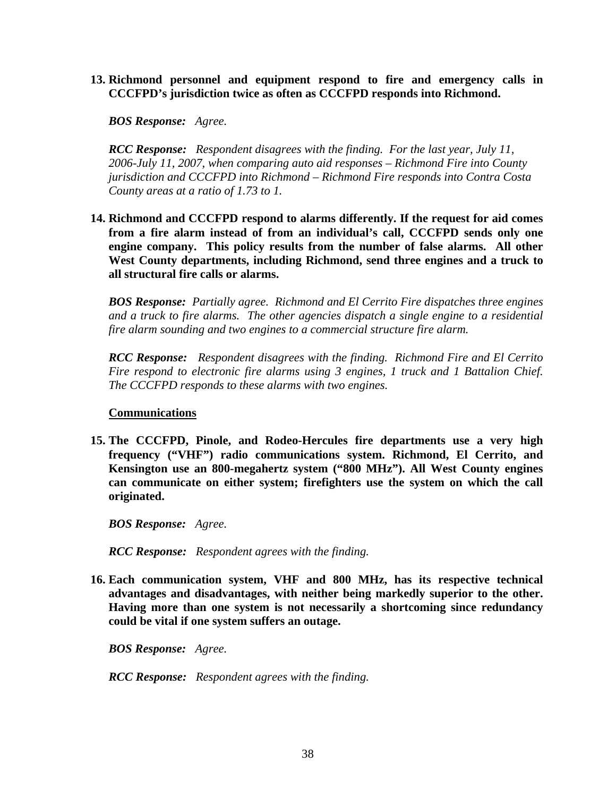**13. Richmond personnel and equipment respond to fire and emergency calls in CCCFPD's jurisdiction twice as often as CCCFPD responds into Richmond.** 

*BOS Response: Agree.* 

*RCC Response: Respondent disagrees with the finding. For the last year, July 11, 2006-July 11, 2007, when comparing auto aid responses – Richmond Fire into County jurisdiction and CCCFPD into Richmond – Richmond Fire responds into Contra Costa County areas at a ratio of 1.73 to 1.* 

**14. Richmond and CCCFPD respond to alarms differently. If the request for aid comes from a fire alarm instead of from an individual's call, CCCFPD sends only one engine company. This policy results from the number of false alarms. All other West County departments, including Richmond, send three engines and a truck to all structural fire calls or alarms.** 

*BOS Response: Partially agree. Richmond and El Cerrito Fire dispatches three engines and a truck to fire alarms. The other agencies dispatch a single engine to a residential fire alarm sounding and two engines to a commercial structure fire alarm.* 

*RCC Response: Respondent disagrees with the finding. Richmond Fire and El Cerrito Fire respond to electronic fire alarms using 3 engines, 1 truck and 1 Battalion Chief. The CCCFPD responds to these alarms with two engines.* 

#### **Communications**

**15. The CCCFPD, Pinole, and Rodeo-Hercules fire departments use a very high frequency ("VHF") radio communications system. Richmond, El Cerrito, and Kensington use an 800-megahertz system ("800 MHz"). All West County engines can communicate on either system; firefighters use the system on which the call originated.** 

*BOS Response: Agree.* 

*RCC Response: Respondent agrees with the finding.* 

**16. Each communication system, VHF and 800 MHz, has its respective technical advantages and disadvantages, with neither being markedly superior to the other. Having more than one system is not necessarily a shortcoming since redundancy could be vital if one system suffers an outage.** 

*BOS Response: Agree.* 

*RCC Response: Respondent agrees with the finding.*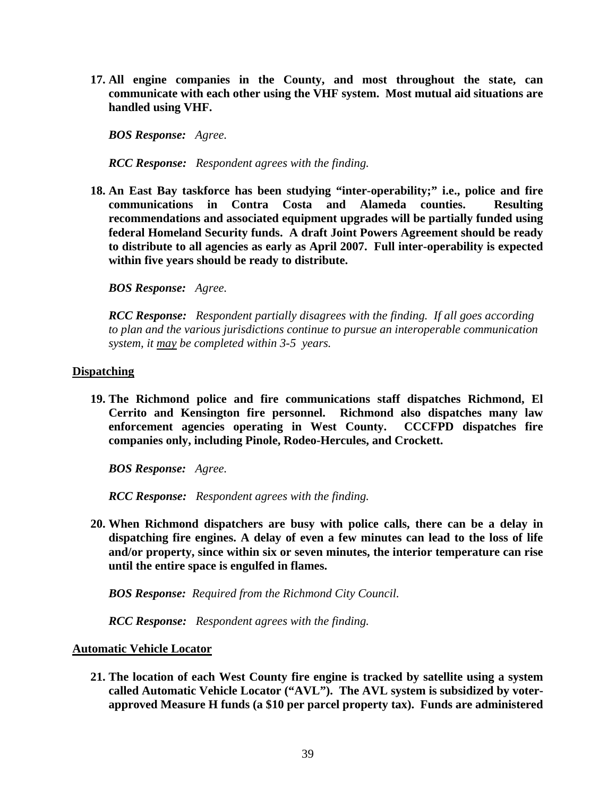**17. All engine companies in the County, and most throughout the state, can communicate with each other using the VHF system. Most mutual aid situations are handled using VHF.** 

*BOS Response: Agree.* 

*RCC Response: Respondent agrees with the finding.* 

**18. An East Bay taskforce has been studying "inter-operability;" i.e., police and fire communications in Contra Costa and Alameda counties. Resulting recommendations and associated equipment upgrades will be partially funded using federal Homeland Security funds. A draft Joint Powers Agreement should be ready to distribute to all agencies as early as April 2007. Full inter-operability is expected within five years should be ready to distribute.** 

*BOS Response: Agree.*

*RCC Response: Respondent partially disagrees with the finding. If all goes according to plan and the various jurisdictions continue to pursue an interoperable communication system, it may be completed within 3-5 years.* 

#### **Dispatching**

**19. The Richmond police and fire communications staff dispatches Richmond, El Cerrito and Kensington fire personnel. Richmond also dispatches many law enforcement agencies operating in West County. CCCFPD dispatches fire companies only, including Pinole, Rodeo-Hercules, and Crockett.** 

*BOS Response: Agree.* 

*RCC Response: Respondent agrees with the finding.* 

**20. When Richmond dispatchers are busy with police calls, there can be a delay in dispatching fire engines. A delay of even a few minutes can lead to the loss of life and/or property, since within six or seven minutes, the interior temperature can rise until the entire space is engulfed in flames.** 

*BOS Response: Required from the Richmond City Council.* 

*RCC Response: Respondent agrees with the finding.* 

#### **Automatic Vehicle Locator**

**21. The location of each West County fire engine is tracked by satellite using a system called Automatic Vehicle Locator ("AVL"). The AVL system is subsidized by voterapproved Measure H funds (a \$10 per parcel property tax). Funds are administered**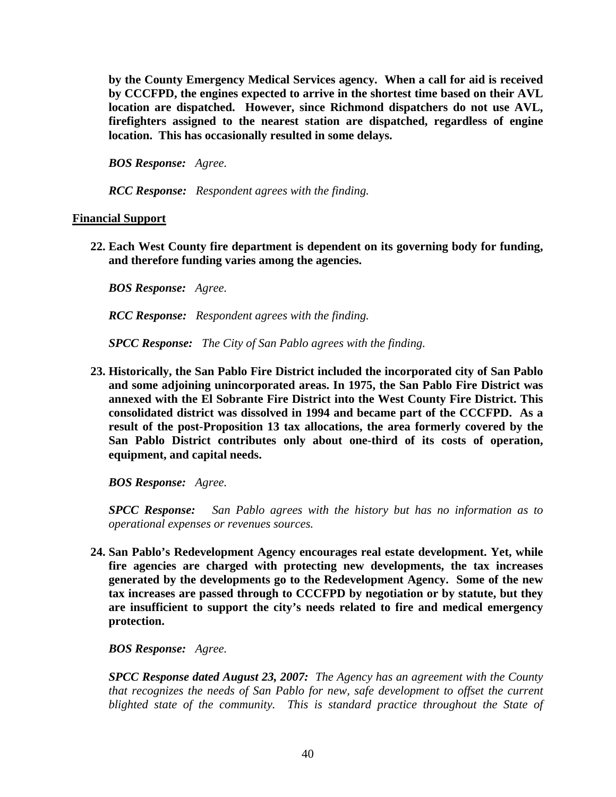**by the County Emergency Medical Services agency. When a call for aid is received by CCCFPD, the engines expected to arrive in the shortest time based on their AVL location are dispatched. However, since Richmond dispatchers do not use AVL, firefighters assigned to the nearest station are dispatched, regardless of engine location. This has occasionally resulted in some delays.** 

*BOS Response: Agree.* 

*RCC Response: Respondent agrees with the finding.* 

#### **Financial Support**

**22. Each West County fire department is dependent on its governing body for funding, and therefore funding varies among the agencies.** 

 *BOS Response: Agree.* 

*RCC Response: Respondent agrees with the finding.* 

*SPCC Response: The City of San Pablo agrees with the finding.* 

**23. Historically, the San Pablo Fire District included the incorporated city of San Pablo and some adjoining unincorporated areas. In 1975, the San Pablo Fire District was annexed with the El Sobrante Fire District into the West County Fire District. This consolidated district was dissolved in 1994 and became part of the CCCFPD. As a result of the post-Proposition 13 tax allocations, the area formerly covered by the San Pablo District contributes only about one-third of its costs of operation, equipment, and capital needs.** 

*BOS Response: Agree.* 

*SPCC Response: San Pablo agrees with the history but has no information as to operational expenses or revenues sources.* 

**24. San Pablo's Redevelopment Agency encourages real estate development. Yet, while fire agencies are charged with protecting new developments, the tax increases generated by the developments go to the Redevelopment Agency. Some of the new tax increases are passed through to CCCFPD by negotiation or by statute, but they are insufficient to support the city's needs related to fire and medical emergency protection.** 

*BOS Response: Agree.* 

*SPCC Response dated August 23, 2007: The Agency has an agreement with the County that recognizes the needs of San Pablo for new, safe development to offset the current*  blighted state of the community. This is standard practice throughout the State of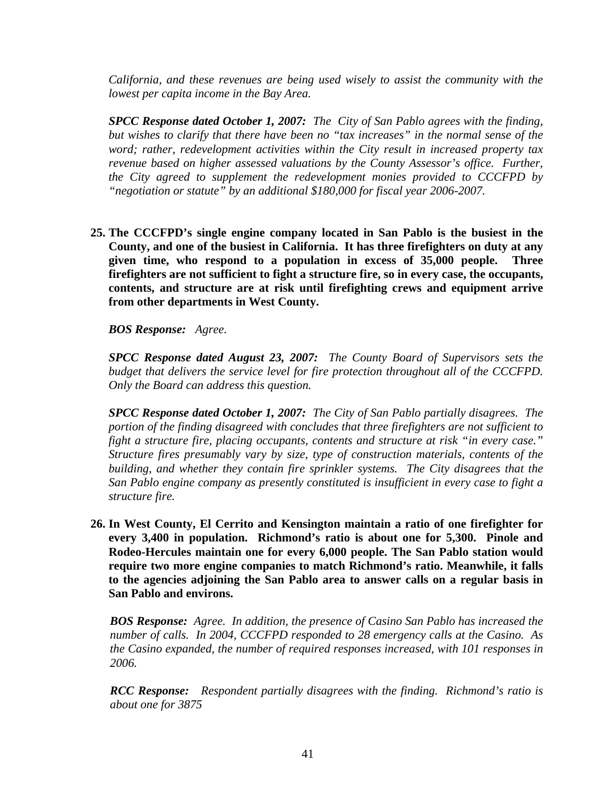*California, and these revenues are being used wisely to assist the community with the lowest per capita income in the Bay Area.* 

*SPCC Response dated October 1, 2007: The City of San Pablo agrees with the finding, but wishes to clarify that there have been no "tax increases" in the normal sense of the word; rather, redevelopment activities within the City result in increased property tax revenue based on higher assessed valuations by the County Assessor's office. Further, the City agreed to supplement the redevelopment monies provided to CCCFPD by "negotiation or statute" by an additional \$180,000 for fiscal year 2006-2007.*

**25. The CCCFPD's single engine company located in San Pablo is the busiest in the County, and one of the busiest in California. It has three firefighters on duty at any given time, who respond to a population in excess of 35,000 people. Three firefighters are not sufficient to fight a structure fire, so in every case, the occupants, contents, and structure are at risk until firefighting crews and equipment arrive from other departments in West County.** 

*BOS Response: Agree.* 

*SPCC Response dated August 23, 2007: The County Board of Supervisors sets the budget that delivers the service level for fire protection throughout all of the CCCFPD. Only the Board can address this question.* 

*SPCC Response dated October 1, 2007: The City of San Pablo partially disagrees. The portion of the finding disagreed with concludes that three firefighters are not sufficient to fight a structure fire, placing occupants, contents and structure at risk "in every case." Structure fires presumably vary by size, type of construction materials, contents of the building, and whether they contain fire sprinkler systems. The City disagrees that the San Pablo engine company as presently constituted is insufficient in every case to fight a structure fire.*

**26. In West County, El Cerrito and Kensington maintain a ratio of one firefighter for every 3,400 in population. Richmond's ratio is about one for 5,300. Pinole and Rodeo-Hercules maintain one for every 6,000 people. The San Pablo station would require two more engine companies to match Richmond's ratio. Meanwhile, it falls to the agencies adjoining the San Pablo area to answer calls on a regular basis in San Pablo and environs.** 

*BOS Response: Agree. In addition, the presence of Casino San Pablo has increased the number of calls. In 2004, CCCFPD responded to 28 emergency calls at the Casino. As the Casino expanded, the number of required responses increased, with 101 responses in 2006.* 

*RCC Response: Respondent partially disagrees with the finding. Richmond's ratio is about one for 3875*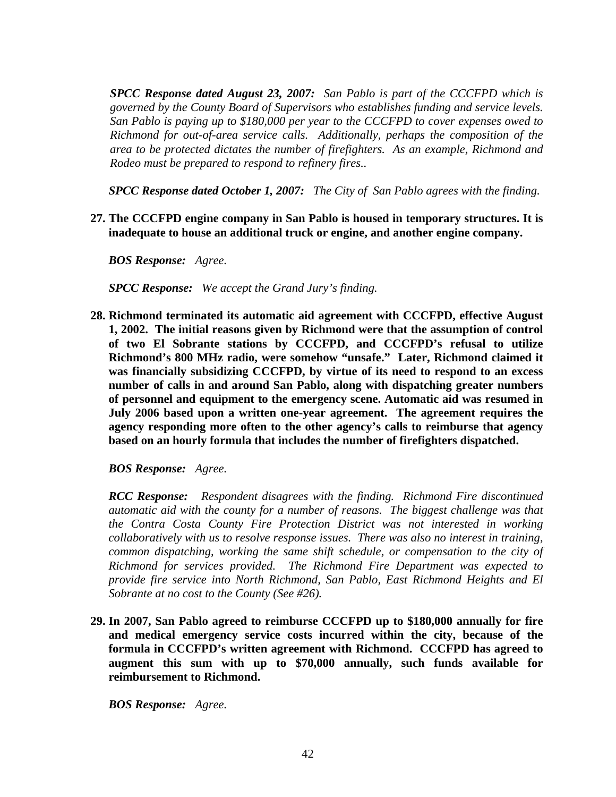*SPCC Response dated August 23, 2007: San Pablo is part of the CCCFPD which is governed by the County Board of Supervisors who establishes funding and service levels. San Pablo is paying up to \$180,000 per year to the CCCFPD to cover expenses owed to Richmond for out-of-area service calls. Additionally, perhaps the composition of the area to be protected dictates the number of firefighters. As an example, Richmond and Rodeo must be prepared to respond to refinery fires..* 

*SPCC Response dated October 1, 2007: The City of San Pablo agrees with the finding.* 

**27. The CCCFPD engine company in San Pablo is housed in temporary structures. It is inadequate to house an additional truck or engine, and another engine company.** 

*BOS Response: Agree.* 

*SPCC Response: We accept the Grand Jury's finding.* 

**28. Richmond terminated its automatic aid agreement with CCCFPD, effective August 1, 2002. The initial reasons given by Richmond were that the assumption of control of two El Sobrante stations by CCCFPD, and CCCFPD's refusal to utilize Richmond's 800 MHz radio, were somehow "unsafe." Later, Richmond claimed it was financially subsidizing CCCFPD, by virtue of its need to respond to an excess number of calls in and around San Pablo, along with dispatching greater numbers of personnel and equipment to the emergency scene. Automatic aid was resumed in July 2006 based upon a written one-year agreement. The agreement requires the agency responding more often to the other agency's calls to reimburse that agency based on an hourly formula that includes the number of firefighters dispatched.** 

*BOS Response: Agree.* 

*RCC Response: Respondent disagrees with the finding. Richmond Fire discontinued automatic aid with the county for a number of reasons. The biggest challenge was that the Contra Costa County Fire Protection District was not interested in working collaboratively with us to resolve response issues. There was also no interest in training, common dispatching, working the same shift schedule, or compensation to the city of Richmond for services provided. The Richmond Fire Department was expected to provide fire service into North Richmond, San Pablo, East Richmond Heights and El Sobrante at no cost to the County (See #26).* 

**29. In 2007, San Pablo agreed to reimburse CCCFPD up to \$180,000 annually for fire and medical emergency service costs incurred within the city, because of the formula in CCCFPD's written agreement with Richmond. CCCFPD has agreed to augment this sum with up to \$70,000 annually, such funds available for reimbursement to Richmond.** 

*BOS Response: Agree.*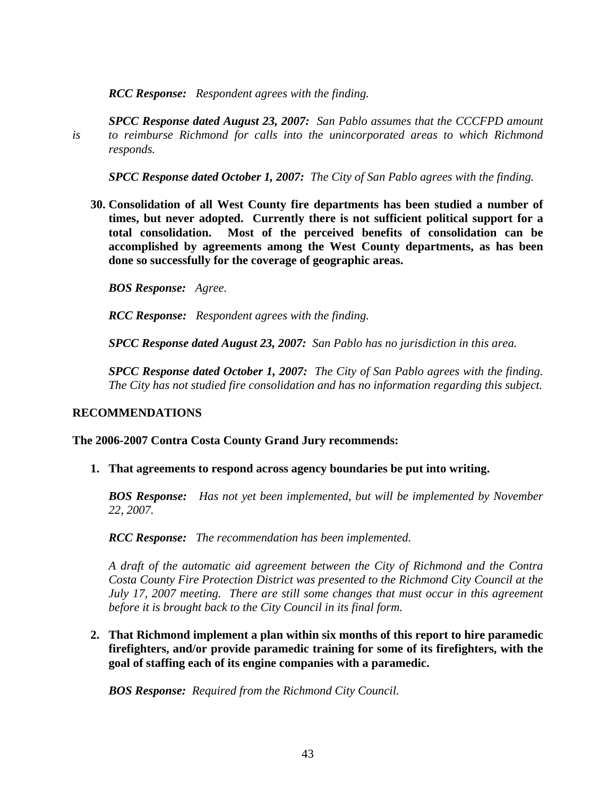*RCC Response: Respondent agrees with the finding.* 

*SPCC Response dated August 23, 2007: San Pablo assumes that the CCCFPD amount is to reimburse Richmond for calls into the unincorporated areas to which Richmond responds.* 

*SPCC Response dated October 1, 2007: The City of San Pablo agrees with the finding.* 

**30. Consolidation of all West County fire departments has been studied a number of times, but never adopted. Currently there is not sufficient political support for a total consolidation. Most of the perceived benefits of consolidation can be accomplished by agreements among the West County departments, as has been done so successfully for the coverage of geographic areas.** 

*BOS Response: Agree.* 

*RCC Response: Respondent agrees with the finding.* 

*SPCC Response dated August 23, 2007: San Pablo has no jurisdiction in this area.* 

*SPCC Response dated October 1, 2007: The City of San Pablo agrees with the finding. The City has not studied fire consolidation and has no information regarding this subject.* 

#### **RECOMMENDATIONS**

#### **The 2006-2007 Contra Costa County Grand Jury recommends:**

**1. That agreements to respond across agency boundaries be put into writing.** 

*BOS Response: Has not yet been implemented, but will be implemented by November 22, 2007.* 

*RCC Response: The recommendation has been implemented.* 

*A draft of the automatic aid agreement between the City of Richmond and the Contra Costa County Fire Protection District was presented to the Richmond City Council at the July 17, 2007 meeting. There are still some changes that must occur in this agreement before it is brought back to the City Council in its final form.* 

**2. That Richmond implement a plan within six months of this report to hire paramedic firefighters, and/or provide paramedic training for some of its firefighters, with the goal of staffing each of its engine companies with a paramedic.** 

*BOS Response: Required from the Richmond City Council.*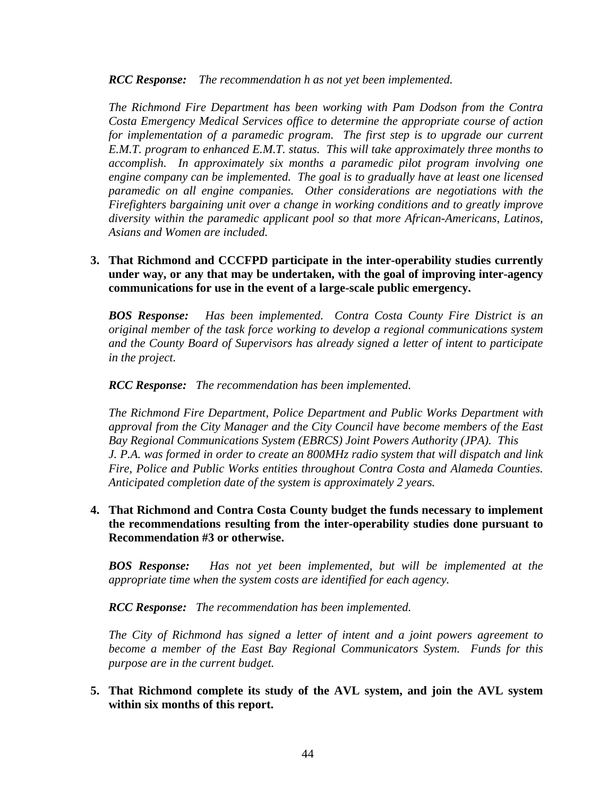*RCC Response: The recommendation h as not yet been implemented.* 

*The Richmond Fire Department has been working with Pam Dodson from the Contra Costa Emergency Medical Services office to determine the appropriate course of action for implementation of a paramedic program. The first step is to upgrade our current E.M.T. program to enhanced E.M.T. status. This will take approximately three months to accomplish. In approximately six months a paramedic pilot program involving one engine company can be implemented. The goal is to gradually have at least one licensed paramedic on all engine companies. Other considerations are negotiations with the Firefighters bargaining unit over a change in working conditions and to greatly improve diversity within the paramedic applicant pool so that more African-Americans, Latinos, Asians and Women are included.* 

# **3. That Richmond and CCCFPD participate in the inter-operability studies currently under way, or any that may be undertaken, with the goal of improving inter-agency communications for use in the event of a large-scale public emergency.**

*BOS Response: Has been implemented. Contra Costa County Fire District is an original member of the task force working to develop a regional communications system and the County Board of Supervisors has already signed a letter of intent to participate in the project.* 

*RCC Response: The recommendation has been implemented.* 

*The Richmond Fire Department, Police Department and Public Works Department with approval from the City Manager and the City Council have become members of the East Bay Regional Communications System (EBRCS) Joint Powers Authority (JPA). This J. P.A. was formed in order to create an 800MHz radio system that will dispatch and link Fire, Police and Public Works entities throughout Contra Costa and Alameda Counties. Anticipated completion date of the system is approximately 2 years.* 

**4. That Richmond and Contra Costa County budget the funds necessary to implement the recommendations resulting from the inter-operability studies done pursuant to Recommendation #3 or otherwise.** 

*BOS Response: Has not yet been implemented, but will be implemented at the appropriate time when the system costs are identified for each agency.* 

*RCC Response: The recommendation has been implemented.* 

*The City of Richmond has signed a letter of intent and a joint powers agreement to become a member of the East Bay Regional Communicators System. Funds for this purpose are in the current budget.* 

**5. That Richmond complete its study of the AVL system, and join the AVL system within six months of this report.**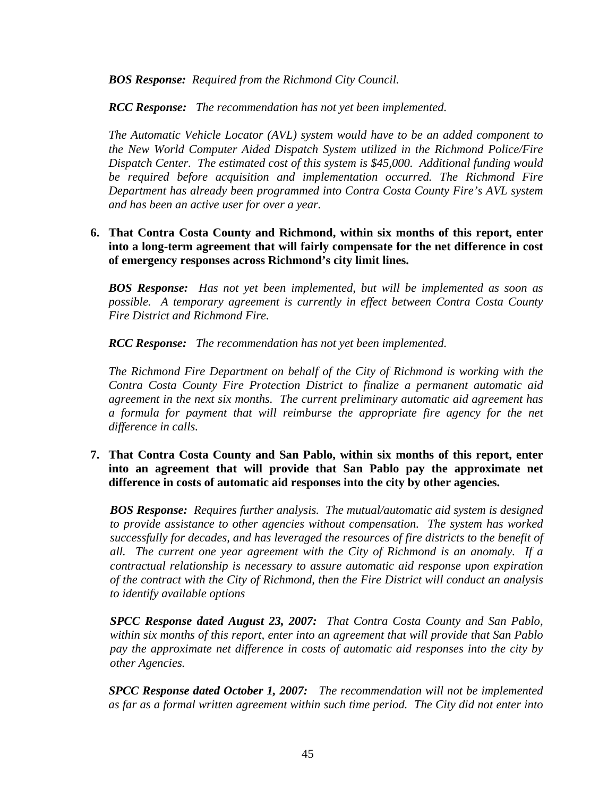*BOS Response: Required from the Richmond City Council.* 

*RCC Response: The recommendation has not yet been implemented.* 

*The Automatic Vehicle Locator (AVL) system would have to be an added component to the New World Computer Aided Dispatch System utilized in the Richmond Police/Fire Dispatch Center. The estimated cost of this system is \$45,000. Additional funding would be required before acquisition and implementation occurred. The Richmond Fire Department has already been programmed into Contra Costa County Fire's AVL system and has been an active user for over a year.* 

# **6. That Contra Costa County and Richmond, within six months of this report, enter into a long-term agreement that will fairly compensate for the net difference in cost of emergency responses across Richmond's city limit lines.**

*BOS Response: Has not yet been implemented, but will be implemented as soon as possible. A temporary agreement is currently in effect between Contra Costa County Fire District and Richmond Fire.* 

*RCC Response: The recommendation has not yet been implemented.* 

*The Richmond Fire Department on behalf of the City of Richmond is working with the Contra Costa County Fire Protection District to finalize a permanent automatic aid agreement in the next six months. The current preliminary automatic aid agreement has a formula for payment that will reimburse the appropriate fire agency for the net difference in calls.* 

# **7. That Contra Costa County and San Pablo, within six months of this report, enter into an agreement that will provide that San Pablo pay the approximate net difference in costs of automatic aid responses into the city by other agencies.**

*BOS Response: Requires further analysis. The mutual/automatic aid system is designed to provide assistance to other agencies without compensation. The system has worked successfully for decades, and has leveraged the resources of fire districts to the benefit of all. The current one year agreement with the City of Richmond is an anomaly. If a contractual relationship is necessary to assure automatic aid response upon expiration of the contract with the City of Richmond, then the Fire District will conduct an analysis to identify available options* 

*SPCC Response dated August 23, 2007: That Contra Costa County and San Pablo, within six months of this report, enter into an agreement that will provide that San Pablo pay the approximate net difference in costs of automatic aid responses into the city by other Agencies.* 

*SPCC Response dated October 1, 2007: The recommendation will not be implemented as far as a formal written agreement within such time period. The City did not enter into*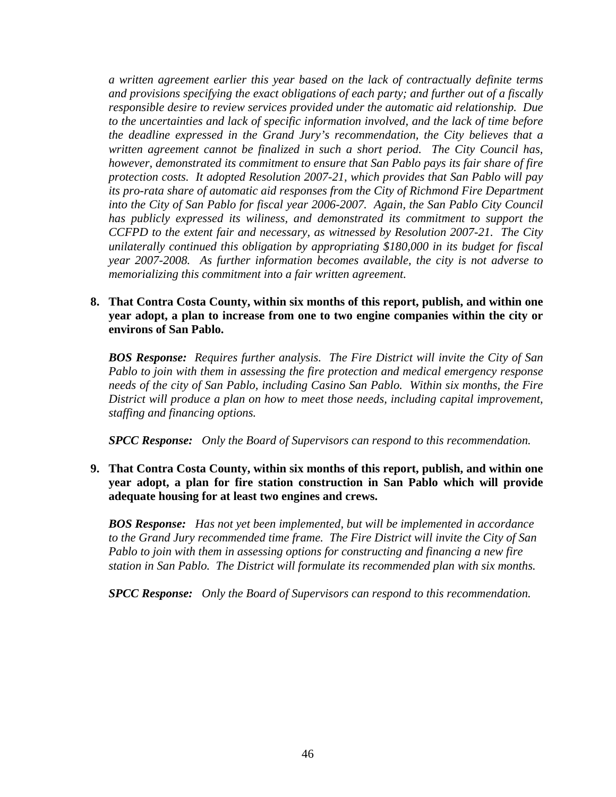*a written agreement earlier this year based on the lack of contractually definite terms and provisions specifying the exact obligations of each party; and further out of a fiscally responsible desire to review services provided under the automatic aid relationship. Due to the uncertainties and lack of specific information involved, and the lack of time before the deadline expressed in the Grand Jury's recommendation, the City believes that a written agreement cannot be finalized in such a short period. The City Council has, however, demonstrated its commitment to ensure that San Pablo pays its fair share of fire protection costs. It adopted Resolution 2007-21, which provides that San Pablo will pay its pro-rata share of automatic aid responses from the City of Richmond Fire Department into the City of San Pablo for fiscal year 2006-2007. Again, the San Pablo City Council*  has publicly expressed its wiliness, and demonstrated its commitment to support the *CCFPD to the extent fair and necessary, as witnessed by Resolution 2007-21. The City unilaterally continued this obligation by appropriating \$180,000 in its budget for fiscal year 2007-2008. As further information becomes available, the city is not adverse to memorializing this commitment into a fair written agreement.* 

#### **8. That Contra Costa County, within six months of this report, publish, and within one year adopt, a plan to increase from one to two engine companies within the city or environs of San Pablo.**

*BOS Response: Requires further analysis. The Fire District will invite the City of San Pablo to join with them in assessing the fire protection and medical emergency response needs of the city of San Pablo, including Casino San Pablo. Within six months, the Fire District will produce a plan on how to meet those needs, including capital improvement, staffing and financing options.* 

*SPCC Response: Only the Board of Supervisors can respond to this recommendation.* 

# **9. That Contra Costa County, within six months of this report, publish, and within one year adopt, a plan for fire station construction in San Pablo which will provide adequate housing for at least two engines and crews.**

*BOS Response: Has not yet been implemented, but will be implemented in accordance to the Grand Jury recommended time frame. The Fire District will invite the City of San Pablo to join with them in assessing options for constructing and financing a new fire station in San Pablo. The District will formulate its recommended plan with six months.* 

*SPCC Response: Only the Board of Supervisors can respond to this recommendation.*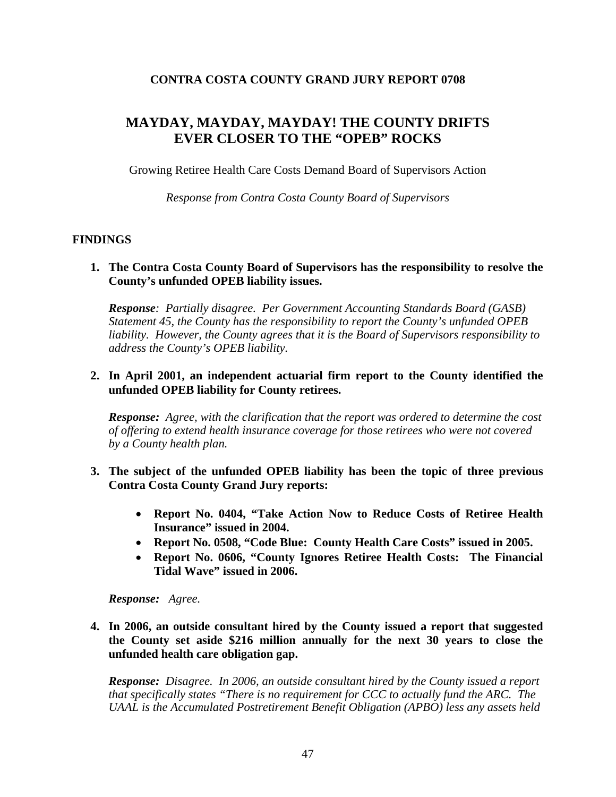# **CONTRA COSTA COUNTY GRAND JURY REPORT 0708**

# **MAYDAY, MAYDAY, MAYDAY! THE COUNTY DRIFTS EVER CLOSER TO THE "OPEB" ROCKS**

Growing Retiree Health Care Costs Demand Board of Supervisors Action

*Response from Contra Costa County Board of Supervisors* 

# **FINDINGS**

**1. The Contra Costa County Board of Supervisors has the responsibility to resolve the County's unfunded OPEB liability issues.** 

*Response: Partially disagree. Per Government Accounting Standards Board (GASB) Statement 45, the County has the responsibility to report the County's unfunded OPEB liability. However, the County agrees that it is the Board of Supervisors responsibility to address the County's OPEB liability.* 

# **2. In April 2001, an independent actuarial firm report to the County identified the unfunded OPEB liability for County retirees.**

*Response: Agree, with the clarification that the report was ordered to determine the cost of offering to extend health insurance coverage for those retirees who were not covered by a County health plan.* 

- **3. The subject of the unfunded OPEB liability has been the topic of three previous Contra Costa County Grand Jury reports:** 
	- **Report No. 0404, "Take Action Now to Reduce Costs of Retiree Health Insurance" issued in 2004.**
	- **Report No. 0508, "Code Blue: County Health Care Costs" issued in 2005.**
	- **Report No. 0606, "County Ignores Retiree Health Costs: The Financial Tidal Wave" issued in 2006.**

*Response: Agree.* 

**4. In 2006, an outside consultant hired by the County issued a report that suggested the County set aside \$216 million annually for the next 30 years to close the unfunded health care obligation gap.** 

*Response: Disagree. In 2006, an outside consultant hired by the County issued a report that specifically states "There is no requirement for CCC to actually fund the ARC. The UAAL is the Accumulated Postretirement Benefit Obligation (APBO) less any assets held*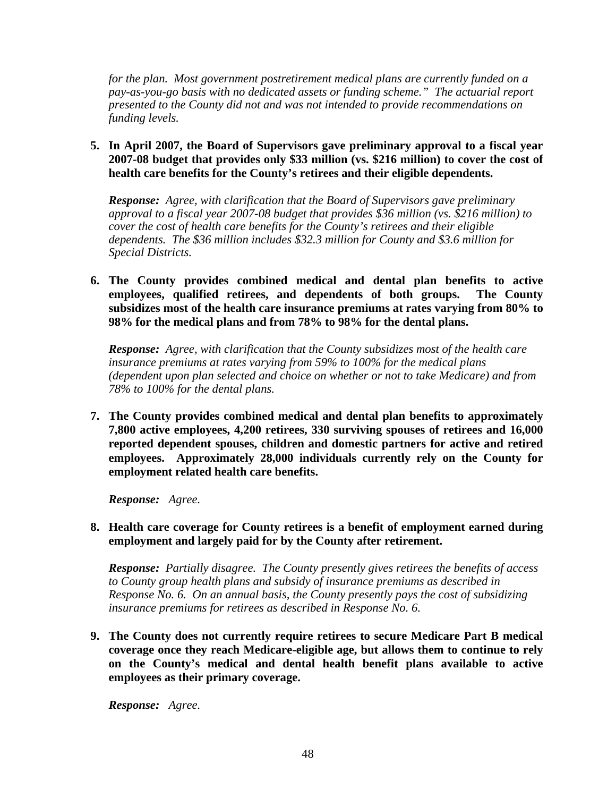*for the plan. Most government postretirement medical plans are currently funded on a pay-as-you-go basis with no dedicated assets or funding scheme." The actuarial report presented to the County did not and was not intended to provide recommendations on funding levels.* 

**5. In April 2007, the Board of Supervisors gave preliminary approval to a fiscal year 2007-08 budget that provides only \$33 million (vs. \$216 million) to cover the cost of health care benefits for the County's retirees and their eligible dependents.** 

*Response: Agree, with clarification that the Board of Supervisors gave preliminary approval to a fiscal year 2007-08 budget that provides \$36 million (vs. \$216 million) to cover the cost of health care benefits for the County's retirees and their eligible dependents. The \$36 million includes \$32.3 million for County and \$3.6 million for Special Districts.* 

**6. The County provides combined medical and dental plan benefits to active employees, qualified retirees, and dependents of both groups. The County subsidizes most of the health care insurance premiums at rates varying from 80% to 98% for the medical plans and from 78% to 98% for the dental plans.** 

*Response: Agree, with clarification that the County subsidizes most of the health care insurance premiums at rates varying from 59% to 100% for the medical plans (dependent upon plan selected and choice on whether or not to take Medicare) and from 78% to 100% for the dental plans.*

**7. The County provides combined medical and dental plan benefits to approximately 7,800 active employees, 4,200 retirees, 330 surviving spouses of retirees and 16,000 reported dependent spouses, children and domestic partners for active and retired employees. Approximately 28,000 individuals currently rely on the County for employment related health care benefits.** 

*Response: Agree.* 

**8. Health care coverage for County retirees is a benefit of employment earned during employment and largely paid for by the County after retirement.** 

*Response: Partially disagree. The County presently gives retirees the benefits of access to County group health plans and subsidy of insurance premiums as described in Response No. 6. On an annual basis, the County presently pays the cost of subsidizing insurance premiums for retirees as described in Response No. 6.* 

**9. The County does not currently require retirees to secure Medicare Part B medical coverage once they reach Medicare-eligible age, but allows them to continue to rely on the County's medical and dental health benefit plans available to active employees as their primary coverage.** 

*Response: Agree.*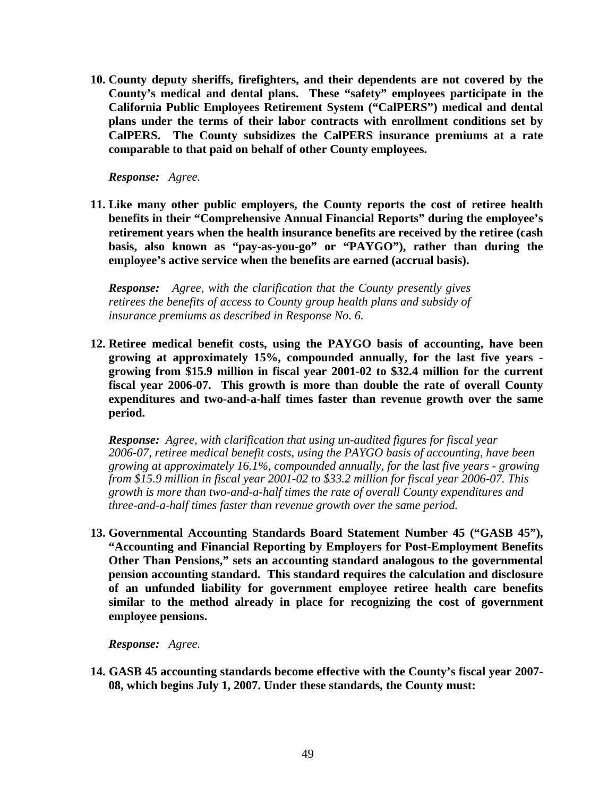**10. County deputy sheriffs, firefighters, and their dependents are not covered by the County's medical and dental plans. These "safety" employees participate in the California Public Employees Retirement System ("CalPERS") medical and dental plans under the terms of their labor contracts with enrollment conditions set by CalPERS. The County subsidizes the CalPERS insurance premiums at a rate comparable to that paid on behalf of other County employees.** 

*Response: Agree.* 

**11. Like many other public employers, the County reports the cost of retiree health benefits in their "Comprehensive Annual Financial Reports" during the employee's retirement years when the health insurance benefits are received by the retiree (cash basis, also known as "pay-as-you-go" or "PAYGO"), rather than during the employee's active service when the benefits are earned (accrual basis).** 

*Response: Agree, with the clarification that the County presently gives retirees the benefits of access to County group health plans and subsidy of insurance premiums as described in Response No. 6.* 

**12. Retiree medical benefit costs, using the PAYGO basis of accounting, have been growing at approximately 15%, compounded annually, for the last five years growing from \$15.9 million in fiscal year 2001-02 to \$32.4 million for the current fiscal year 2006-07. This growth is more than double the rate of overall County expenditures and two-and-a-half times faster than revenue growth over the same period.** 

*Response: Agree, with clarification that using un-audited figures for fiscal year 2006-07, retiree medical benefit costs, using the PAYGO basis of accounting, have been growing at approximately 16.1%, compounded annually, for the last five years - growing from \$15.9 million in fiscal year 2001-02 to \$33.2 million for fiscal year 2006-07. This growth is more than two-and-a-half times the rate of overall County expenditures and three-and-a-half times faster than revenue growth over the same period.* 

**13. Governmental Accounting Standards Board Statement Number 45 ("GASB 45"), "Accounting and Financial Reporting by Employers for Post-Employment Benefits Other Than Pensions," sets an accounting standard analogous to the governmental pension accounting standard. This standard requires the calculation and disclosure of an unfunded liability for government employee retiree health care benefits similar to the method already in place for recognizing the cost of government employee pensions.** 

*Response: Agree.* 

**14. GASB 45 accounting standards become effective with the County's fiscal year 2007- 08, which begins July 1, 2007. Under these standards, the County must:**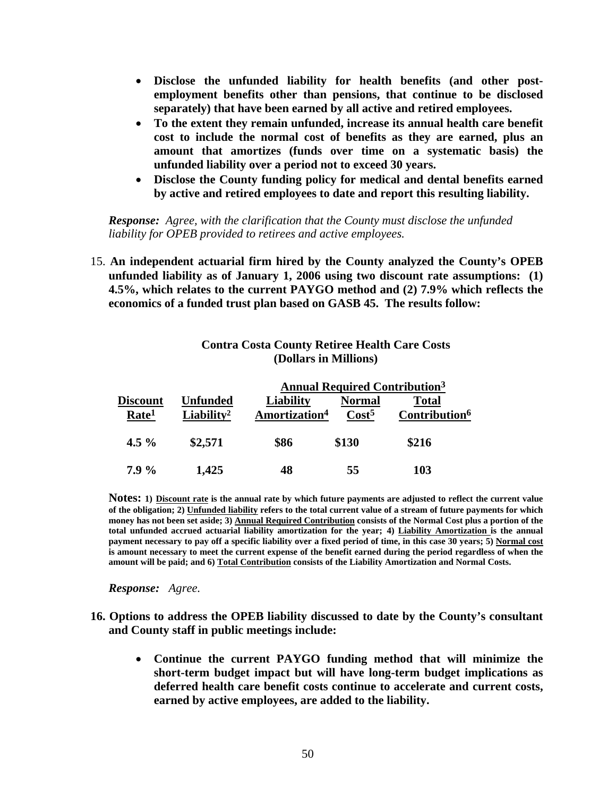- **Disclose the unfunded liability for health benefits (and other postemployment benefits other than pensions, that continue to be disclosed separately) that have been earned by all active and retired employees.**
- **To the extent they remain unfunded, increase its annual health care benefit cost to include the normal cost of benefits as they are earned, plus an amount that amortizes (funds over time on a systematic basis) the unfunded liability over a period not to exceed 30 years.**
- **Disclose the County funding policy for medical and dental benefits earned by active and retired employees to date and report this resulting liability.**

*Response: Agree, with the clarification that the County must disclose the unfunded liability for OPEB provided to retirees and active employees.* 

15. **An independent actuarial firm hired by the County analyzed the County's OPEB unfunded liability as of January 1, 2006 using two discount rate assumptions: (1) 4.5%, which relates to the current PAYGO method and (2) 7.9% which reflects the economics of a funded trust plan based on GASB 45. The results follow:** 

# **Contra Costa County Retiree Health Care Costs (Dollars in Millions)**

|  |                   |                        | <b>Annual Required Contribution</b> <sup>3</sup> |                   |                           |  |
|--|-------------------|------------------------|--------------------------------------------------|-------------------|---------------------------|--|
|  | <b>Discount</b>   | Unfunded               | Liability                                        | <b>Normal</b>     | <b>Total</b>              |  |
|  | Rate <sup>1</sup> | Liability <sup>2</sup> | Amortization <sup>4</sup>                        | Cost <sup>5</sup> | Contribution <sup>6</sup> |  |
|  | 4.5 $\%$          | \$2,571                | \$86                                             | \$130             | \$216                     |  |
|  | $7.9\%$           | 1,425                  | 48                                               | 55                | 103                       |  |

**Notes: 1) Discount rate is the annual rate by which future payments are adjusted to reflect the current value of the obligation; 2) Unfunded liability refers to the total current value of a stream of future payments for which money has not been set aside; 3) Annual Required Contribution consists of the Normal Cost plus a portion of the total unfunded accrued actuarial liability amortization for the year; 4) Liability Amortization is the annual payment necessary to pay off a specific liability over a fixed period of time, in this case 30 years; 5) Normal cost is amount necessary to meet the current expense of the benefit earned during the period regardless of when the amount will be paid; and 6) Total Contribution consists of the Liability Amortization and Normal Costs.**

*Response: Agree.* 

- **16. Options to address the OPEB liability discussed to date by the County's consultant and County staff in public meetings include:** 
	- **Continue the current PAYGO funding method that will minimize the short-term budget impact but will have long-term budget implications as deferred health care benefit costs continue to accelerate and current costs, earned by active employees, are added to the liability.**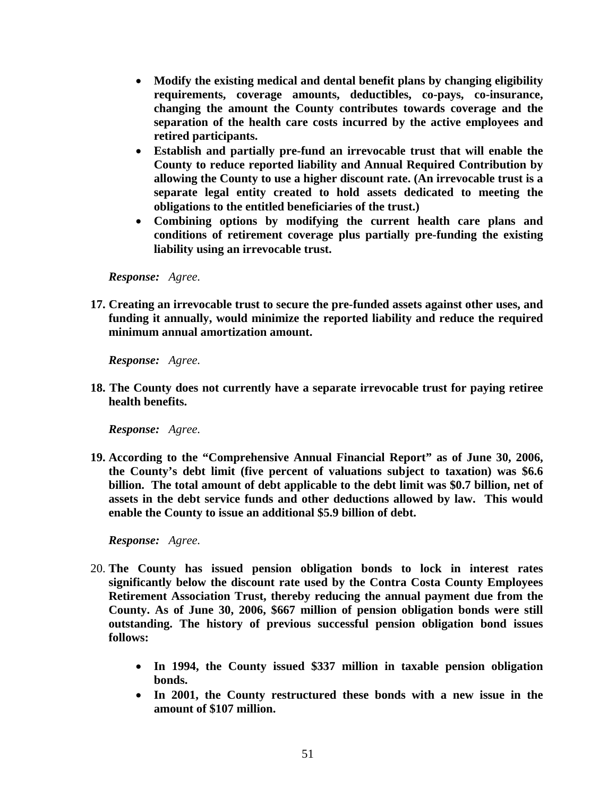- **Modify the existing medical and dental benefit plans by changing eligibility requirements, coverage amounts, deductibles, co-pays, co-insurance, changing the amount the County contributes towards coverage and the separation of the health care costs incurred by the active employees and retired participants.**
- **Establish and partially pre-fund an irrevocable trust that will enable the County to reduce reported liability and Annual Required Contribution by allowing the County to use a higher discount rate. (An irrevocable trust is a separate legal entity created to hold assets dedicated to meeting the obligations to the entitled beneficiaries of the trust.)**
- **Combining options by modifying the current health care plans and conditions of retirement coverage plus partially pre-funding the existing liability using an irrevocable trust.**

*Response: Agree.* 

**17. Creating an irrevocable trust to secure the pre-funded assets against other uses, and funding it annually, would minimize the reported liability and reduce the required minimum annual amortization amount.** 

*Response: Agree.* 

**18. The County does not currently have a separate irrevocable trust for paying retiree health benefits.** 

*Response: Agree.* 

**19. According to the "Comprehensive Annual Financial Report" as of June 30, 2006, the County's debt limit (five percent of valuations subject to taxation) was \$6.6 billion. The total amount of debt applicable to the debt limit was \$0.7 billion, net of assets in the debt service funds and other deductions allowed by law. This would enable the County to issue an additional \$5.9 billion of debt.** 

*Response: Agree.* 

- 20. **The County has issued pension obligation bonds to lock in interest rates significantly below the discount rate used by the Contra Costa County Employees Retirement Association Trust, thereby reducing the annual payment due from the County. As of June 30, 2006, \$667 million of pension obligation bonds were still outstanding. The history of previous successful pension obligation bond issues follows:** 
	- **In 1994, the County issued \$337 million in taxable pension obligation bonds.**
	- **In 2001, the County restructured these bonds with a new issue in the amount of \$107 million.**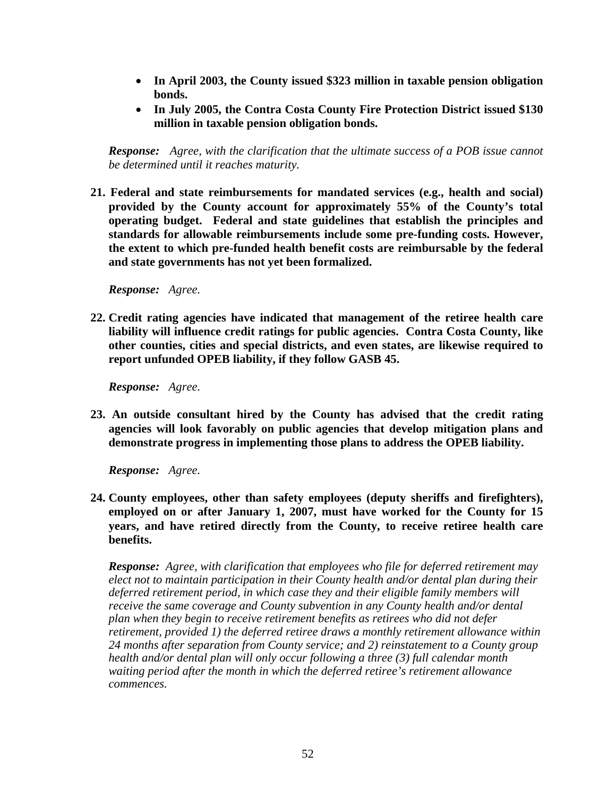- **In April 2003, the County issued \$323 million in taxable pension obligation bonds.**
- **In July 2005, the Contra Costa County Fire Protection District issued \$130 million in taxable pension obligation bonds.**

*Response: Agree, with the clarification that the ultimate success of a POB issue cannot be determined until it reaches maturity.* 

**21. Federal and state reimbursements for mandated services (e.g., health and social) provided by the County account for approximately 55% of the County's total operating budget. Federal and state guidelines that establish the principles and standards for allowable reimbursements include some pre-funding costs. However, the extent to which pre-funded health benefit costs are reimbursable by the federal and state governments has not yet been formalized.** 

*Response: Agree.* 

**22. Credit rating agencies have indicated that management of the retiree health care liability will influence credit ratings for public agencies. Contra Costa County, like other counties, cities and special districts, and even states, are likewise required to report unfunded OPEB liability, if they follow GASB 45.** 

*Response: Agree.* 

**23. An outside consultant hired by the County has advised that the credit rating agencies will look favorably on public agencies that develop mitigation plans and demonstrate progress in implementing those plans to address the OPEB liability.** 

*Response: Agree.* 

**24. County employees, other than safety employees (deputy sheriffs and firefighters), employed on or after January 1, 2007, must have worked for the County for 15 years, and have retired directly from the County, to receive retiree health care benefits.** 

*Response: Agree, with clarification that employees who file for deferred retirement may elect not to maintain participation in their County health and/or dental plan during their deferred retirement period, in which case they and their eligible family members will receive the same coverage and County subvention in any County health and/or dental plan when they begin to receive retirement benefits as retirees who did not defer retirement, provided 1) the deferred retiree draws a monthly retirement allowance within 24 months after separation from County service; and 2) reinstatement to a County group health and/or dental plan will only occur following a three (3) full calendar month waiting period after the month in which the deferred retiree's retirement allowance commences.*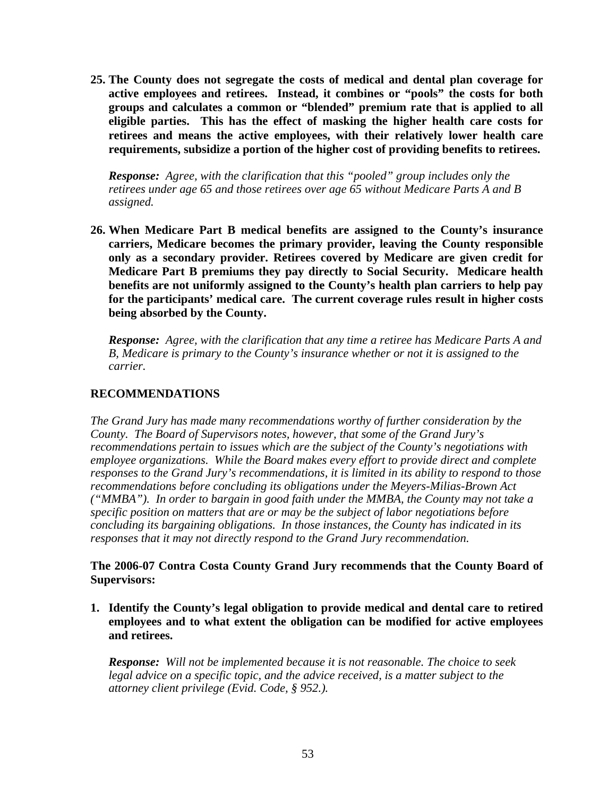**25. The County does not segregate the costs of medical and dental plan coverage for active employees and retirees. Instead, it combines or "pools" the costs for both groups and calculates a common or "blended" premium rate that is applied to all eligible parties. This has the effect of masking the higher health care costs for retirees and means the active employees, with their relatively lower health care requirements, subsidize a portion of the higher cost of providing benefits to retirees.** 

*Response: Agree, with the clarification that this "pooled" group includes only the retirees under age 65 and those retirees over age 65 without Medicare Parts A and B assigned.* 

**26. When Medicare Part B medical benefits are assigned to the County's insurance carriers, Medicare becomes the primary provider, leaving the County responsible only as a secondary provider. Retirees covered by Medicare are given credit for Medicare Part B premiums they pay directly to Social Security. Medicare health benefits are not uniformly assigned to the County's health plan carriers to help pay for the participants' medical care. The current coverage rules result in higher costs being absorbed by the County.** 

*Response: Agree, with the clarification that any time a retiree has Medicare Parts A and B, Medicare is primary to the County's insurance whether or not it is assigned to the carrier.* 

# **RECOMMENDATIONS**

*The Grand Jury has made many recommendations worthy of further consideration by the County. The Board of Supervisors notes, however, that some of the Grand Jury's recommendations pertain to issues which are the subject of the County's negotiations with employee organizations. While the Board makes every effort to provide direct and complete responses to the Grand Jury's recommendations, it is limited in its ability to respond to those recommendations before concluding its obligations under the Meyers-Milias-Brown Act ("MMBA"). In order to bargain in good faith under the MMBA, the County may not take a specific position on matters that are or may be the subject of labor negotiations before concluding its bargaining obligations. In those instances, the County has indicated in its responses that it may not directly respond to the Grand Jury recommendation.* 

**The 2006-07 Contra Costa County Grand Jury recommends that the County Board of Supervisors:** 

**1. Identify the County's legal obligation to provide medical and dental care to retired employees and to what extent the obligation can be modified for active employees and retirees.** 

*Response: Will not be implemented because it is not reasonable. The choice to seek*  legal advice on a specific topic, and the advice received, is a matter subject to the *attorney client privilege (Evid. Code, § 952.).*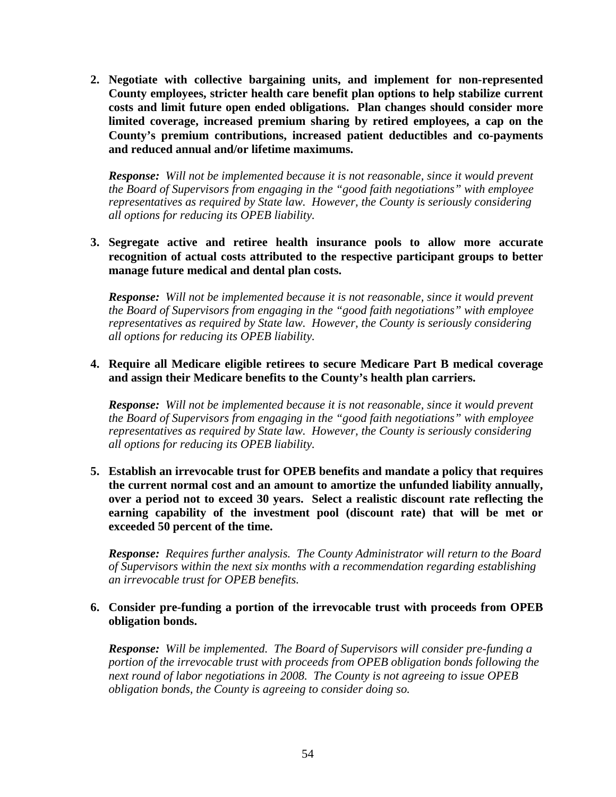**2. Negotiate with collective bargaining units, and implement for non-represented County employees, stricter health care benefit plan options to help stabilize current costs and limit future open ended obligations. Plan changes should consider more limited coverage, increased premium sharing by retired employees, a cap on the County's premium contributions, increased patient deductibles and co-payments and reduced annual and/or lifetime maximums.** 

*Response: Will not be implemented because it is not reasonable, since it would prevent the Board of Supervisors from engaging in the "good faith negotiations" with employee representatives as required by State law. However, the County is seriously considering all options for reducing its OPEB liability.* 

#### **3. Segregate active and retiree health insurance pools to allow more accurate recognition of actual costs attributed to the respective participant groups to better manage future medical and dental plan costs.**

*Response: Will not be implemented because it is not reasonable, since it would prevent the Board of Supervisors from engaging in the "good faith negotiations" with employee representatives as required by State law. However, the County is seriously considering all options for reducing its OPEB liability.* 

#### **4. Require all Medicare eligible retirees to secure Medicare Part B medical coverage and assign their Medicare benefits to the County's health plan carriers.**

*Response: Will not be implemented because it is not reasonable, since it would prevent the Board of Supervisors from engaging in the "good faith negotiations" with employee representatives as required by State law. However, the County is seriously considering all options for reducing its OPEB liability.* 

**5. Establish an irrevocable trust for OPEB benefits and mandate a policy that requires the current normal cost and an amount to amortize the unfunded liability annually, over a period not to exceed 30 years. Select a realistic discount rate reflecting the earning capability of the investment pool (discount rate) that will be met or exceeded 50 percent of the time.** 

*Response: Requires further analysis. The County Administrator will return to the Board of Supervisors within the next six months with a recommendation regarding establishing an irrevocable trust for OPEB benefits.* 

#### **6. Consider pre-funding a portion of the irrevocable trust with proceeds from OPEB obligation bonds.**

 *Response: Will be implemented. The Board of Supervisors will consider pre-funding a portion of the irrevocable trust with proceeds from OPEB obligation bonds following the next round of labor negotiations in 2008. The County is not agreeing to issue OPEB obligation bonds, the County is agreeing to consider doing so.*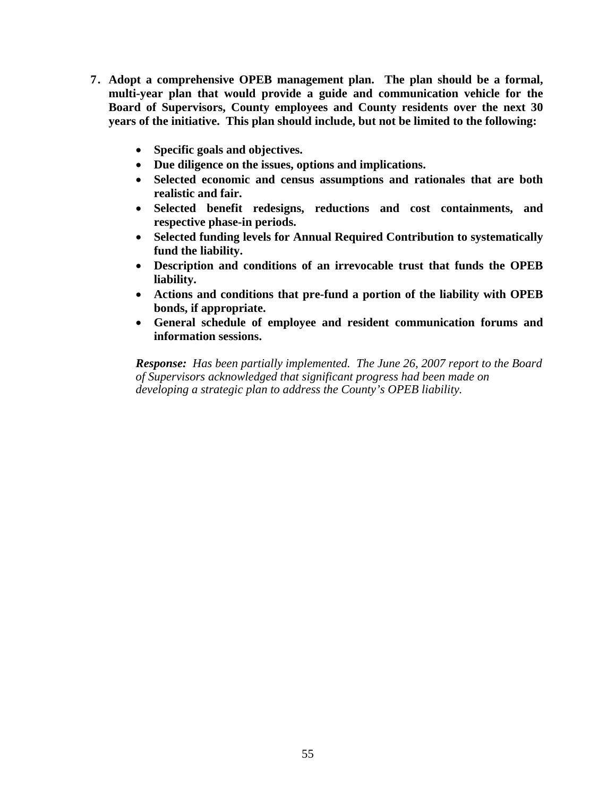- **7. Adopt a comprehensive OPEB management plan. The plan should be a formal, multi-year plan that would provide a guide and communication vehicle for the Board of Supervisors, County employees and County residents over the next 30 years of the initiative. This plan should include, but not be limited to the following:** 
	- **Specific goals and objectives.**
	- **Due diligence on the issues, options and implications.**
	- **Selected economic and census assumptions and rationales that are both realistic and fair.**
	- **Selected benefit redesigns, reductions and cost containments, and respective phase-in periods.**
	- **Selected funding levels for Annual Required Contribution to systematically fund the liability.**
	- **Description and conditions of an irrevocable trust that funds the OPEB liability.**
	- **Actions and conditions that pre-fund a portion of the liability with OPEB bonds, if appropriate.**
	- **General schedule of employee and resident communication forums and information sessions.**

*Response: Has been partially implemented. The June 26, 2007 report to the Board of Supervisors acknowledged that significant progress had been made on developing a strategic plan to address the County's OPEB liability.*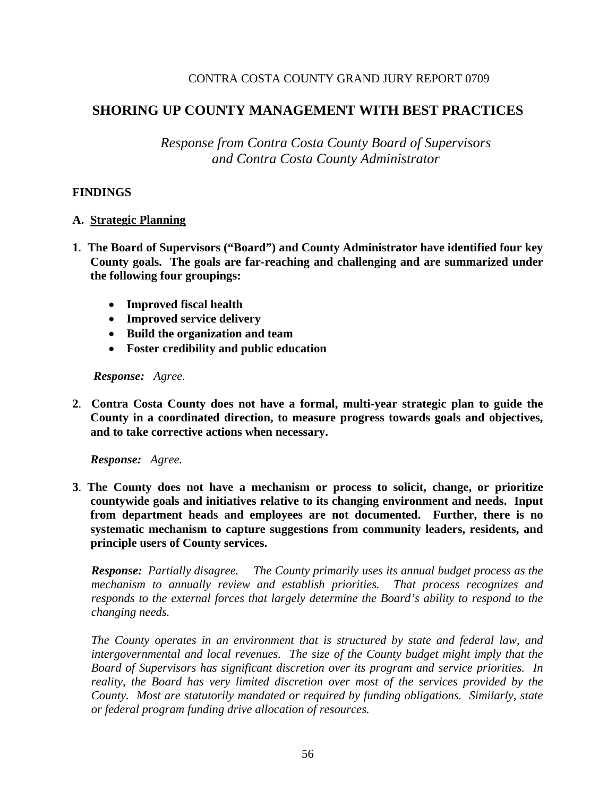#### CONTRA COSTA COUNTY GRAND JURY REPORT 0709

# **SHORING UP COUNTY MANAGEMENT WITH BEST PRACTICES**

*Response from Contra Costa County Board of Supervisors and Contra Costa County Administrator* 

#### **FINDINGS**

#### **A. Strategic Planning**

- **1**. **The Board of Supervisors ("Board") and County Administrator have identified four key County goals. The goals are far-reaching and challenging and are summarized under the following four groupings:** 
	- **Improved fiscal health**
	- **Improved service delivery**
	- **Build the organization and team**
	- **Foster credibility and public education**

#### *Response: Agree.*

**2**. **Contra Costa County does not have a formal, multi-year strategic plan to guide the County in a coordinated direction, to measure progress towards goals and objectives, and to take corrective actions when necessary.** 

*Response: Agree.* 

**3**. **The County does not have a mechanism or process to solicit, change, or prioritize countywide goals and initiatives relative to its changing environment and needs. Input from department heads and employees are not documented. Further, there is no systematic mechanism to capture suggestions from community leaders, residents, and principle users of County services.** 

*Response: Partially disagree. The County primarily uses its annual budget process as the mechanism to annually review and establish priorities. That process recognizes and responds to the external forces that largely determine the Board's ability to respond to the changing needs.*

*The County operates in an environment that is structured by state and federal law, and intergovernmental and local revenues. The size of the County budget might imply that the Board of Supervisors has significant discretion over its program and service priorities. In reality, the Board has very limited discretion over most of the services provided by the County. Most are statutorily mandated or required by funding obligations. Similarly, state or federal program funding drive allocation of resources.*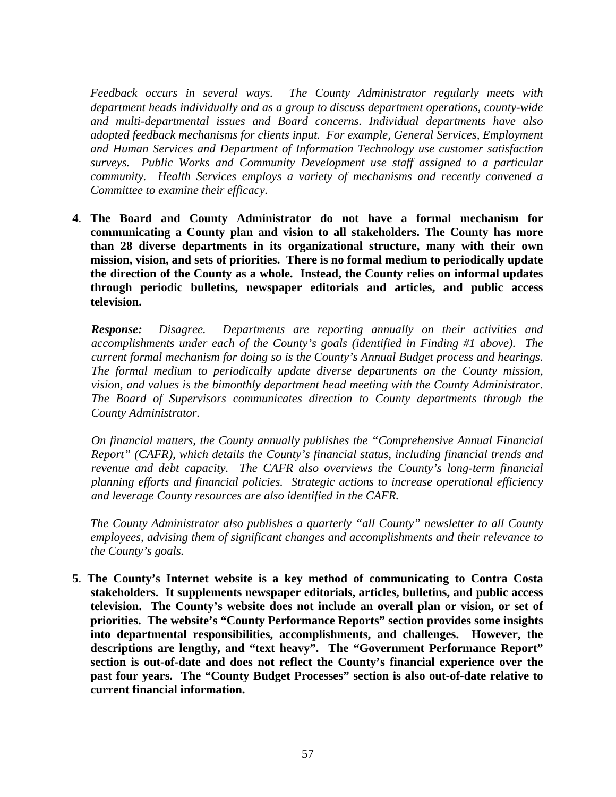*Feedback occurs in several ways. The County Administrator regularly meets with department heads individually and as a group to discuss department operations, county-wide and multi-departmental issues and Board concerns. Individual departments have also adopted feedback mechanisms for clients input. For example, General Services, Employment and Human Services and Department of Information Technology use customer satisfaction surveys. Public Works and Community Development use staff assigned to a particular community. Health Services employs a variety of mechanisms and recently convened a Committee to examine their efficacy.* 

**4**. **The Board and County Administrator do not have a formal mechanism for communicating a County plan and vision to all stakeholders. The County has more than 28 diverse departments in its organizational structure, many with their own mission, vision, and sets of priorities. There is no formal medium to periodically update the direction of the County as a whole. Instead, the County relies on informal updates through periodic bulletins, newspaper editorials and articles, and public access television.** 

*Response: Disagree. Departments are reporting annually on their activities and accomplishments under each of the County's goals (identified in Finding #1 above). The current formal mechanism for doing so is the County's Annual Budget process and hearings. The formal medium to periodically update diverse departments on the County mission, vision, and values is the bimonthly department head meeting with the County Administrator. The Board of Supervisors communicates direction to County departments through the County Administrator.* 

*On financial matters, the County annually publishes the "Comprehensive Annual Financial Report" (CAFR), which details the County's financial status, including financial trends and revenue and debt capacity. The CAFR also overviews the County's long-term financial planning efforts and financial policies. Strategic actions to increase operational efficiency and leverage County resources are also identified in the CAFR.* 

*The County Administrator also publishes a quarterly "all County" newsletter to all County employees, advising them of significant changes and accomplishments and their relevance to the County's goals.* 

**5**. **The County's Internet website is a key method of communicating to Contra Costa stakeholders. It supplements newspaper editorials, articles, bulletins, and public access television. The County's website does not include an overall plan or vision, or set of priorities. The website's "County Performance Reports" section provides some insights into departmental responsibilities, accomplishments, and challenges. However, the descriptions are lengthy, and "text heavy". The "Government Performance Report" section is out-of-date and does not reflect the County's financial experience over the past four years. The "County Budget Processes" section is also out-of-date relative to current financial information.**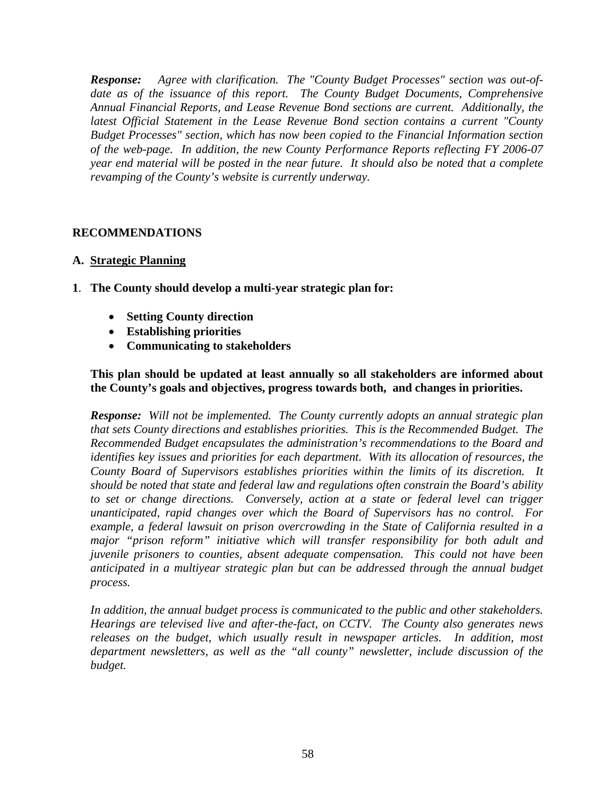*Response: Agree with clarification. The "County Budget Processes" section was out-of*date as of the issuance of this report. The County Budget Documents, Comprehensive *Annual Financial Reports, and Lease Revenue Bond sections are current. Additionally, the latest Official Statement in the Lease Revenue Bond section contains a current "County Budget Processes" section, which has now been copied to the Financial Information section of the web-page. In addition, the new County Performance Reports reflecting FY 2006-07 year end material will be posted in the near future. It should also be noted that a complete revamping of the County's website is currently underway.* 

# **RECOMMENDATIONS**

# **A. Strategic Planning**

- **1**. **The County should develop a multi-year strategic plan for:** 
	- **Setting County direction**
	- **Establishing priorities**
	- **Communicating to stakeholders**

#### **This plan should be updated at least annually so all stakeholders are informed about the County's goals and objectives, progress towards both, and changes in priorities.**

*Response: Will not be implemented. The County currently adopts an annual strategic plan that sets County directions and establishes priorities. This is the Recommended Budget. The Recommended Budget encapsulates the administration's recommendations to the Board and identifies key issues and priorities for each department. With its allocation of resources, the County Board of Supervisors establishes priorities within the limits of its discretion. It should be noted that state and federal law and regulations often constrain the Board's ability to set or change directions. Conversely, action at a state or federal level can trigger unanticipated, rapid changes over which the Board of Supervisors has no control. For example, a federal lawsuit on prison overcrowding in the State of California resulted in a major "prison reform" initiative which will transfer responsibility for both adult and juvenile prisoners to counties, absent adequate compensation. This could not have been anticipated in a multiyear strategic plan but can be addressed through the annual budget process.* 

*In addition, the annual budget process is communicated to the public and other stakeholders. Hearings are televised live and after-the-fact, on CCTV. The County also generates news*  releases on the budget, which usually result in newspaper articles. In addition, most *department newsletters, as well as the "all county" newsletter, include discussion of the budget.*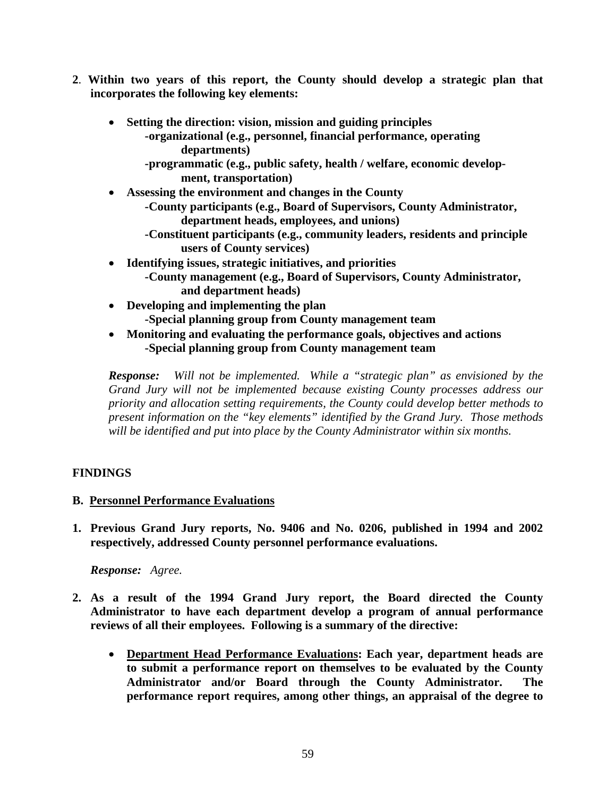- **2**. **Within two years of this report, the County should develop a strategic plan that incorporates the following key elements:** 
	- **Setting the direction: vision, mission and guiding principles -organizational (e.g., personnel, financial performance, operating departments)** 
		- **-programmatic (e.g., public safety, health / welfare, economic develop ment, transportation)**
	- **Assessing the environment and changes in the County** 
		- **-County participants (e.g., Board of Supervisors, County Administrator, department heads, employees, and unions)**
		- **-Constituent participants (e.g., community leaders, residents and principle users of County services)**
	- **Identifying issues, strategic initiatives, and priorities -County management (e.g., Board of Supervisors, County Administrator, and department heads)**
	- **Developing and implementing the plan -Special planning group from County management team**
	- **Monitoring and evaluating the performance goals, objectives and actions -Special planning group from County management team**

*Response: Will not be implemented. While a "strategic plan" as envisioned by the Grand Jury will not be implemented because existing County processes address our priority and allocation setting requirements, the County could develop better methods to present information on the "key elements" identified by the Grand Jury. Those methods will be identified and put into place by the County Administrator within six months.* 

# **FINDINGS**

# **B. Personnel Performance Evaluations**

**1. Previous Grand Jury reports, No. 9406 and No. 0206, published in 1994 and 2002 respectively, addressed County personnel performance evaluations.** 

*Response: Agree.* 

- **2. As a result of the 1994 Grand Jury report, the Board directed the County Administrator to have each department develop a program of annual performance reviews of all their employees. Following is a summary of the directive:** 
	- **Department Head Performance Evaluations: Each year, department heads are to submit a performance report on themselves to be evaluated by the County Administrator and/or Board through the County Administrator. The performance report requires, among other things, an appraisal of the degree to**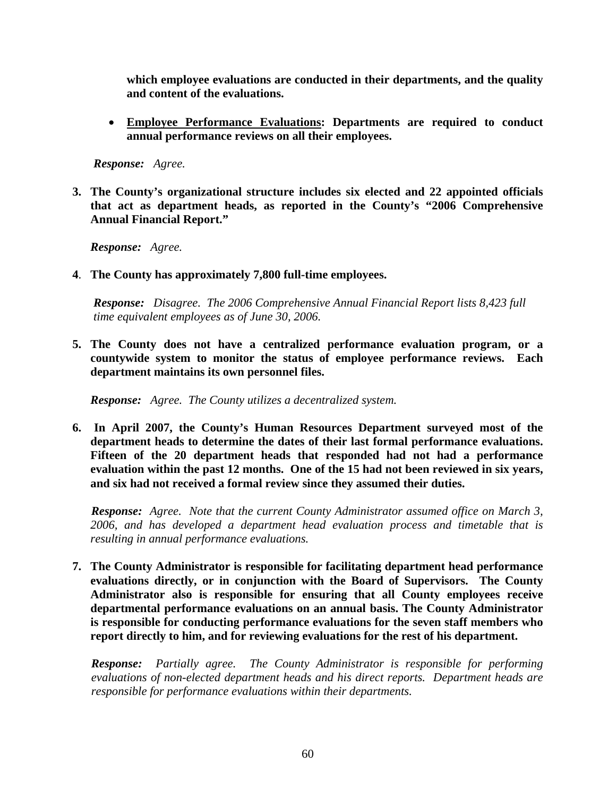**which employee evaluations are conducted in their departments, and the quality and content of the evaluations.** 

• **Employee Performance Evaluations: Departments are required to conduct annual performance reviews on all their employees.** 

 *Response: Agree.* 

**3. The County's organizational structure includes six elected and 22 appointed officials that act as department heads, as reported in the County's "2006 Comprehensive Annual Financial Report."** 

*Response: Agree.* 

**4**. **The County has approximately 7,800 full-time employees.** 

*Response: Disagree. The 2006 Comprehensive Annual Financial Report lists 8,423 full time equivalent employees as of June 30, 2006.* 

**5. The County does not have a centralized performance evaluation program, or a countywide system to monitor the status of employee performance reviews. Each department maintains its own personnel files.** 

*Response: Agree. The County utilizes a decentralized system.* 

**6. In April 2007, the County's Human Resources Department surveyed most of the department heads to determine the dates of their last formal performance evaluations. Fifteen of the 20 department heads that responded had not had a performance evaluation within the past 12 months. One of the 15 had not been reviewed in six years, and six had not received a formal review since they assumed their duties.** 

*Response: Agree. Note that the current County Administrator assumed office on March 3, 2006, and has developed a department head evaluation process and timetable that is resulting in annual performance evaluations.* 

**7. The County Administrator is responsible for facilitating department head performance evaluations directly, or in conjunction with the Board of Supervisors. The County Administrator also is responsible for ensuring that all County employees receive departmental performance evaluations on an annual basis. The County Administrator is responsible for conducting performance evaluations for the seven staff members who report directly to him, and for reviewing evaluations for the rest of his department.** 

*Response: Partially agree. The County Administrator is responsible for performing evaluations of non-elected department heads and his direct reports. Department heads are responsible for performance evaluations within their departments.*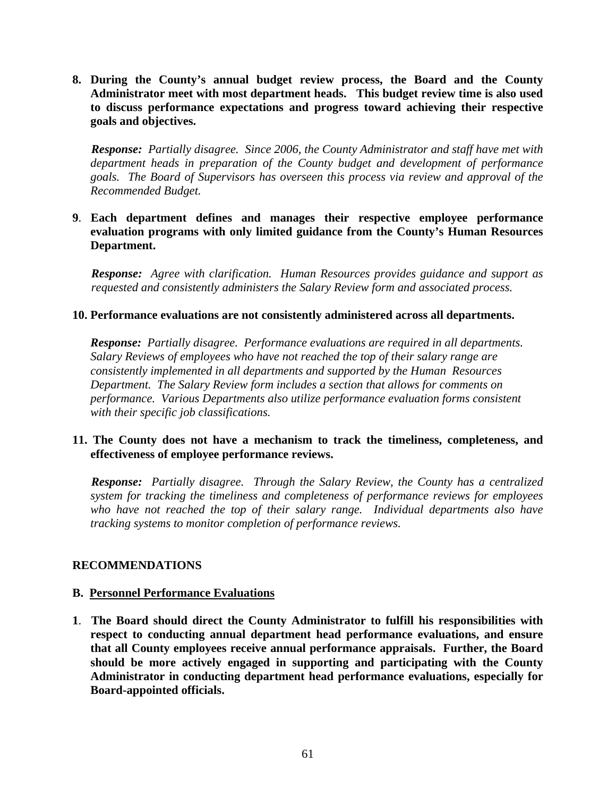**8. During the County's annual budget review process, the Board and the County Administrator meet with most department heads. This budget review time is also used to discuss performance expectations and progress toward achieving their respective goals and objectives.** 

*Response: Partially disagree. Since 2006, the County Administrator and staff have met with department heads in preparation of the County budget and development of performance goals. The Board of Supervisors has overseen this process via review and approval of the Recommended Budget.*

# **9**. **Each department defines and manages their respective employee performance evaluation programs with only limited guidance from the County's Human Resources Department.**

*Response: Agree with clarification. Human Resources provides guidance and support as requested and consistently administers the Salary Review form and associated process.* 

# **10. Performance evaluations are not consistently administered across all departments.**

*Response: Partially disagree. Performance evaluations are required in all departments. Salary Reviews of employees who have not reached the top of their salary range are consistently implemented in all departments and supported by the Human Resources Department. The Salary Review form includes a section that allows for comments on performance. Various Departments also utilize performance evaluation forms consistent with their specific job classifications.*

# **11. The County does not have a mechanism to track the timeliness, completeness, and effectiveness of employee performance reviews.**

*Response: Partially disagree. Through the Salary Review, the County has a centralized system for tracking the timeliness and completeness of performance reviews for employees who have not reached the top of their salary range. Individual departments also have tracking systems to monitor completion of performance reviews.*

#### **RECOMMENDATIONS**

#### **B. Personnel Performance Evaluations**

**1**. **The Board should direct the County Administrator to fulfill his responsibilities with respect to conducting annual department head performance evaluations, and ensure that all County employees receive annual performance appraisals. Further, the Board should be more actively engaged in supporting and participating with the County Administrator in conducting department head performance evaluations, especially for Board-appointed officials.**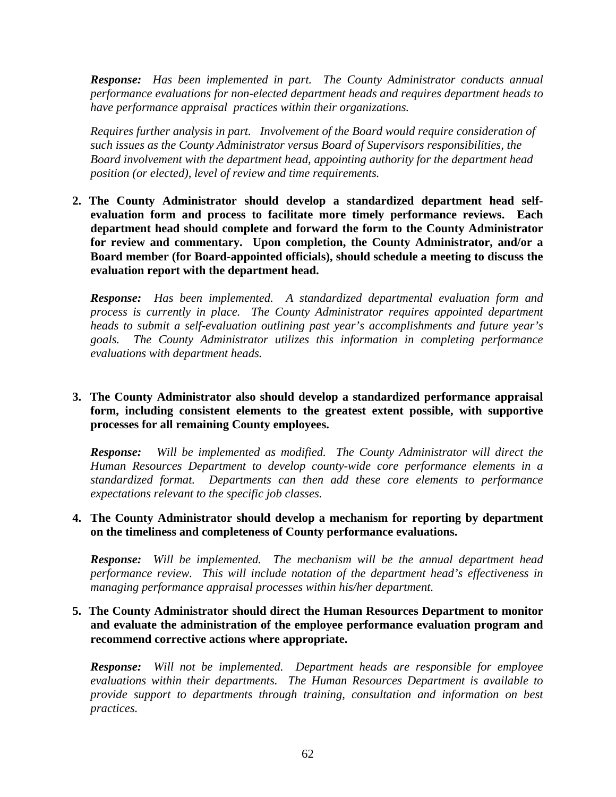*Response: Has been implemented in part. The County Administrator conducts annual performance evaluations for non-elected department heads and requires department heads to have performance appraisal practices within their organizations.* 

*Requires further analysis in part. Involvement of the Board would require consideration of such issues as the County Administrator versus Board of Supervisors responsibilities, the Board involvement with the department head, appointing authority for the department head position (or elected), level of review and time requirements.* 

**2. The County Administrator should develop a standardized department head selfevaluation form and process to facilitate more timely performance reviews. Each department head should complete and forward the form to the County Administrator for review and commentary. Upon completion, the County Administrator, and/or a Board member (for Board-appointed officials), should schedule a meeting to discuss the evaluation report with the department head.** 

*Response: Has been implemented. A standardized departmental evaluation form and process is currently in place. The County Administrator requires appointed department heads to submit a self-evaluation outlining past year's accomplishments and future year's goals. The County Administrator utilizes this information in completing performance evaluations with department heads.* 

# **3. The County Administrator also should develop a standardized performance appraisal form, including consistent elements to the greatest extent possible, with supportive processes for all remaining County employees.**

*Response: Will be implemented as modified. The County Administrator will direct the Human Resources Department to develop county-wide core performance elements in a standardized format. Departments can then add these core elements to performance expectations relevant to the specific job classes.* 

# **4. The County Administrator should develop a mechanism for reporting by department on the timeliness and completeness of County performance evaluations.**

*Response: Will be implemented. The mechanism will be the annual department head performance review. This will include notation of the department head's effectiveness in managing performance appraisal processes within his/her department.* 

# **5. The County Administrator should direct the Human Resources Department to monitor and evaluate the administration of the employee performance evaluation program and recommend corrective actions where appropriate.**

*Response: Will not be implemented. Department heads are responsible for employee evaluations within their departments. The Human Resources Department is available to provide support to departments through training, consultation and information on best practices.*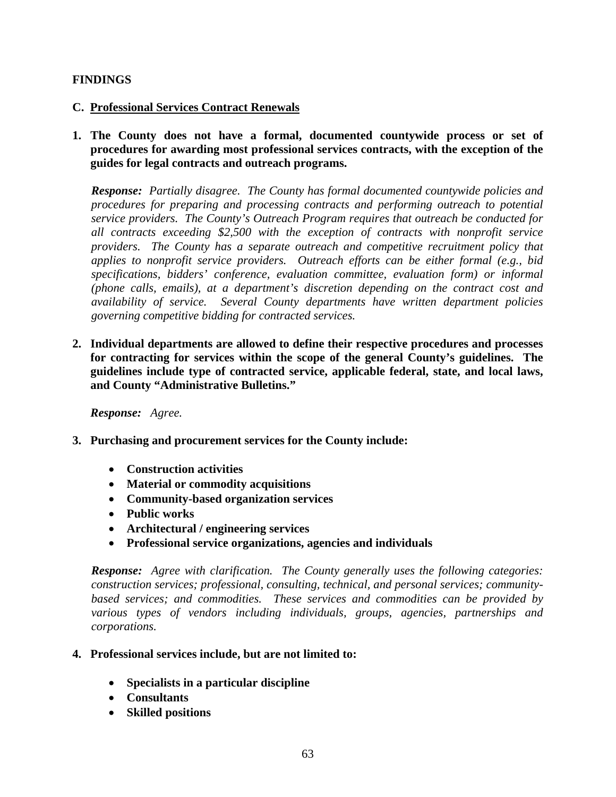# **FINDINGS**

#### **C. Professional Services Contract Renewals**

**1. The County does not have a formal, documented countywide process or set of procedures for awarding most professional services contracts, with the exception of the guides for legal contracts and outreach programs.** 

*Response: Partially disagree. The County has formal documented countywide policies and procedures for preparing and processing contracts and performing outreach to potential service providers. The County's Outreach Program requires that outreach be conducted for all contracts exceeding \$2,500 with the exception of contracts with nonprofit service providers. The County has a separate outreach and competitive recruitment policy that applies to nonprofit service providers. Outreach efforts can be either formal (e.g., bid specifications, bidders' conference, evaluation committee, evaluation form) or informal (phone calls, emails), at a department's discretion depending on the contract cost and availability of service. Several County departments have written department policies governing competitive bidding for contracted services.*

**2. Individual departments are allowed to define their respective procedures and processes for contracting for services within the scope of the general County's guidelines. The guidelines include type of contracted service, applicable federal, state, and local laws, and County "Administrative Bulletins."** 

*Response: Agree.* 

- **3. Purchasing and procurement services for the County include:** 
	- **Construction activities**
	- **Material or commodity acquisitions**
	- **Community-based organization services**
	- **Public works**
	- **Architectural / engineering services**
	- **Professional service organizations, agencies and individuals**

*Response: Agree with clarification. The County generally uses the following categories: construction services; professional, consulting, technical, and personal services; communitybased services; and commodities. These services and commodities can be provided by various types of vendors including individuals, groups, agencies, partnerships and corporations.*

#### **4. Professional services include, but are not limited to:**

- **Specialists in a particular discipline**
- **Consultants**
- **Skilled positions**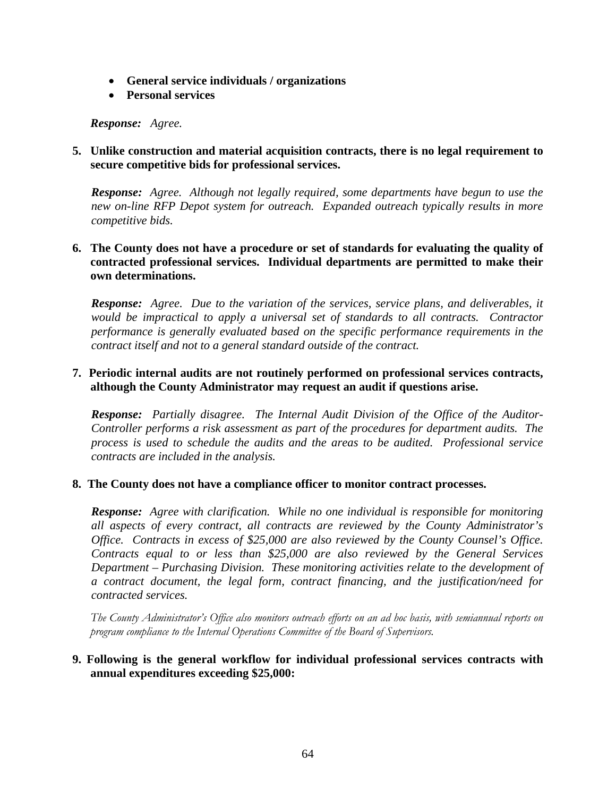- **General service individuals / organizations**
- **Personal services**

*Response: Agree.* 

**5. Unlike construction and material acquisition contracts, there is no legal requirement to secure competitive bids for professional services.** 

*Response: Agree. Although not legally required, some departments have begun to use the new on-line RFP Depot system for outreach. Expanded outreach typically results in more competitive bids.* 

**6. The County does not have a procedure or set of standards for evaluating the quality of contracted professional services. Individual departments are permitted to make their own determinations.** 

*Response: Agree. Due to the variation of the services, service plans, and deliverables, it would be impractical to apply a universal set of standards to all contracts. Contractor performance is generally evaluated based on the specific performance requirements in the contract itself and not to a general standard outside of the contract.*

# **7. Periodic internal audits are not routinely performed on professional services contracts, although the County Administrator may request an audit if questions arise.**

 *Response: Partially disagree. The Internal Audit Division of the Office of the Auditor-Controller performs a risk assessment as part of the procedures for department audits. The process is used to schedule the audits and the areas to be audited. Professional service contracts are included in the analysis.* 

#### **8. The County does not have a compliance officer to monitor contract processes.**

*Response: Agree with clarification. While no one individual is responsible for monitoring all aspects of every contract, all contracts are reviewed by the County Administrator's Office. Contracts in excess of \$25,000 are also reviewed by the County Counsel's Office. Contracts equal to or less than \$25,000 are also reviewed by the General Services Department – Purchasing Division. These monitoring activities relate to the development of a contract document, the legal form, contract financing, and the justification/need for contracted services.* 

 *The County Administrator's Office also monitors outreach efforts on an ad hoc basis, with semiannual reports on program compliance to the Internal Operations Committee of the Board of Supervisors.* 

# **9. Following is the general workflow for individual professional services contracts with annual expenditures exceeding \$25,000:**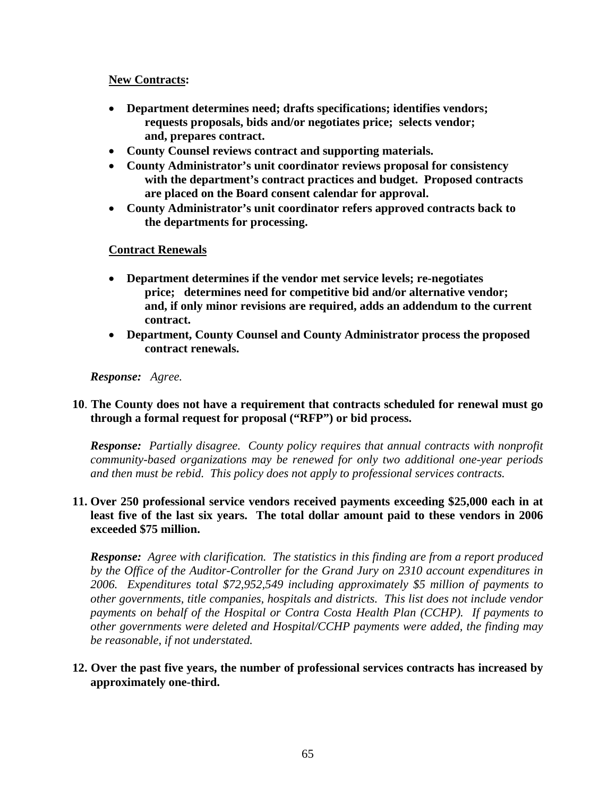#### **New Contracts:**

- **Department determines need; drafts specifications; identifies vendors; requests proposals, bids and/or negotiates price; selects vendor; and, prepares contract.**
- **County Counsel reviews contract and supporting materials.**
- **County Administrator's unit coordinator reviews proposal for consistency with the department's contract practices and budget. Proposed contracts are placed on the Board consent calendar for approval.**
- **County Administrator's unit coordinator refers approved contracts back to the departments for processing.**

# **Contract Renewals**

- **Department determines if the vendor met service levels; re-negotiates price; determines need for competitive bid and/or alternative vendor; and, if only minor revisions are required, adds an addendum to the current contract.**
- **Department, County Counsel and County Administrator process the proposed contract renewals.**

#### *Response: Agree.*

# **10**. **The County does not have a requirement that contracts scheduled for renewal must go through a formal request for proposal ("RFP") or bid process.**

*Response: Partially disagree. County policy requires that annual contracts with nonprofit community-based organizations may be renewed for only two additional one-year periods and then must be rebid. This policy does not apply to professional services contracts.*

# **11. Over 250 professional service vendors received payments exceeding \$25,000 each in at least five of the last six years. The total dollar amount paid to these vendors in 2006 exceeded \$75 million.**

*Response: Agree with clarification. The statistics in this finding are from a report produced by the Office of the Auditor-Controller for the Grand Jury on 2310 account expenditures in 2006. Expenditures total \$72,952,549 including approximately \$5 million of payments to other governments, title companies, hospitals and districts. This list does not include vendor payments on behalf of the Hospital or Contra Costa Health Plan (CCHP). If payments to other governments were deleted and Hospital/CCHP payments were added, the finding may be reasonable, if not understated.*

# **12. Over the past five years, the number of professional services contracts has increased by approximately one-third.**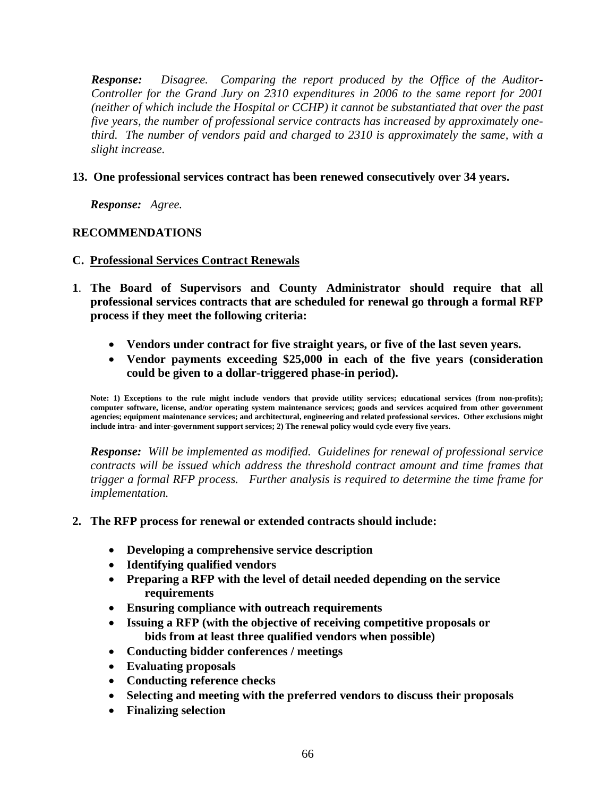*Response: Disagree. Comparing the report produced by the Office of the Auditor-Controller for the Grand Jury on 2310 expenditures in 2006 to the same report for 2001 (neither of which include the Hospital or CCHP) it cannot be substantiated that over the past five years, the number of professional service contracts has increased by approximately onethird. The number of vendors paid and charged to 2310 is approximately the same, with a slight increase.*

# **13. One professional services contract has been renewed consecutively over 34 years.**

*Response: Agree.* 

# **RECOMMENDATIONS**

# **C. Professional Services Contract Renewals**

- **1**. **The Board of Supervisors and County Administrator should require that all professional services contracts that are scheduled for renewal go through a formal RFP process if they meet the following criteria:** 
	- **Vendors under contract for five straight years, or five of the last seven years.**
	- **Vendor payments exceeding \$25,000 in each of the five years (consideration could be given to a dollar-triggered phase-in period).**

**Note: 1) Exceptions to the rule might include vendors that provide utility services; educational services (from non-profits); computer software, license, and/or operating system maintenance services; goods and services acquired from other government agencies; equipment maintenance services; and architectural, engineering and related professional services. Other exclusions might include intra- and inter-government support services; 2) The renewal policy would cycle every five years.** 

*Response: Will be implemented as modified. Guidelines for renewal of professional service contracts will be issued which address the threshold contract amount and time frames that trigger a formal RFP process. Further analysis is required to determine the time frame for implementation.* 

#### **2. The RFP process for renewal or extended contracts should include:**

- **Developing a comprehensive service description**
- **Identifying qualified vendors**
- **Preparing a RFP with the level of detail needed depending on the service requirements**
- **Ensuring compliance with outreach requirements**
- **Issuing a RFP (with the objective of receiving competitive proposals or bids from at least three qualified vendors when possible)**
- **Conducting bidder conferences / meetings**
- **Evaluating proposals**
- **Conducting reference checks**
- **Selecting and meeting with the preferred vendors to discuss their proposals**
- **Finalizing selection**